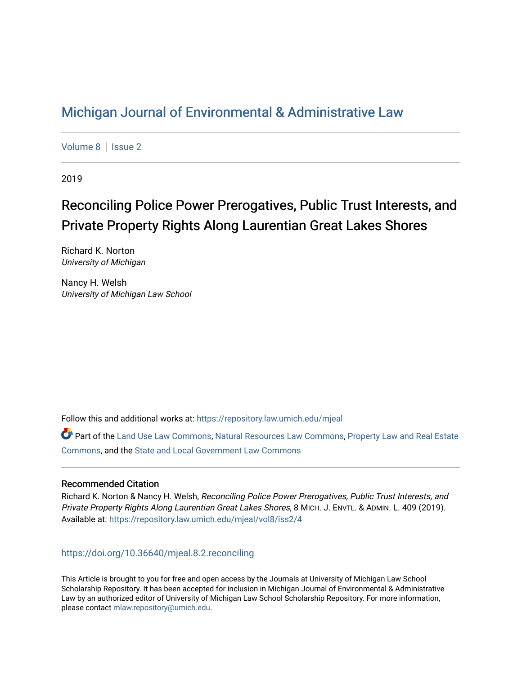# [Michigan Journal of Environmental & Administrative Law](https://repository.law.umich.edu/mjeal)

[Volume 8](https://repository.law.umich.edu/mjeal/vol8) | Issue 2

2019

# Reconciling Police Power Prerogatives, Public Trust Interests, and Private Property Rights Along Laurentian Great Lakes Shores

Richard K. Norton University of Michigan

Nancy H. Welsh University of Michigan Law School

Follow this and additional works at: [https://repository.law.umich.edu/mjeal](https://repository.law.umich.edu/mjeal?utm_source=repository.law.umich.edu%2Fmjeal%2Fvol8%2Fiss2%2F4&utm_medium=PDF&utm_campaign=PDFCoverPages)

Part of the [Land Use Law Commons](http://network.bepress.com/hgg/discipline/852?utm_source=repository.law.umich.edu%2Fmjeal%2Fvol8%2Fiss2%2F4&utm_medium=PDF&utm_campaign=PDFCoverPages), [Natural Resources Law Commons,](http://network.bepress.com/hgg/discipline/863?utm_source=repository.law.umich.edu%2Fmjeal%2Fvol8%2Fiss2%2F4&utm_medium=PDF&utm_campaign=PDFCoverPages) [Property Law and Real Estate](http://network.bepress.com/hgg/discipline/897?utm_source=repository.law.umich.edu%2Fmjeal%2Fvol8%2Fiss2%2F4&utm_medium=PDF&utm_campaign=PDFCoverPages) [Commons](http://network.bepress.com/hgg/discipline/897?utm_source=repository.law.umich.edu%2Fmjeal%2Fvol8%2Fiss2%2F4&utm_medium=PDF&utm_campaign=PDFCoverPages), and the [State and Local Government Law Commons](http://network.bepress.com/hgg/discipline/879?utm_source=repository.law.umich.edu%2Fmjeal%2Fvol8%2Fiss2%2F4&utm_medium=PDF&utm_campaign=PDFCoverPages)

## Recommended Citation

Richard K. Norton & Nancy H. Welsh, Reconciling Police Power Prerogatives, Public Trust Interests, and Private Property Rights Along Laurentian Great Lakes Shores, 8 MICH. J. ENVTL. & ADMIN. L. 409 (2019). Available at: [https://repository.law.umich.edu/mjeal/vol8/iss2/4](https://repository.law.umich.edu/mjeal/vol8/iss2/4?utm_source=repository.law.umich.edu%2Fmjeal%2Fvol8%2Fiss2%2F4&utm_medium=PDF&utm_campaign=PDFCoverPages)

<https://doi.org/10.36640/mjeal.8.2.reconciling>

This Article is brought to you for free and open access by the Journals at University of Michigan Law School Scholarship Repository. It has been accepted for inclusion in Michigan Journal of Environmental & Administrative Law by an authorized editor of University of Michigan Law School Scholarship Repository. For more information, please contact [mlaw.repository@umich.edu.](mailto:mlaw.repository@umich.edu)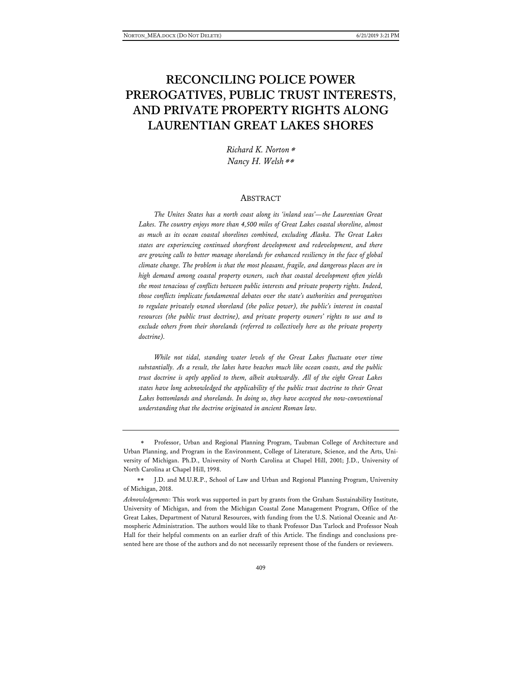# **RECONCILING POLICE POWER PREROGATIVES, PUBLIC TRUST INTERESTS, AND PRIVATE PROPERTY RIGHTS ALONG LAURENTIAN GREAT LAKES SHORES**

*Richard K. Norton*[∗](#page-1-0) *Nancy H. Welsh*[∗∗](#page-1-1)

#### ABSTRACT

*The Unites States has a north coast along its 'inland seas'—the Laurentian Great Lakes. The country enjoys more than 4,500 miles of Great Lakes coastal shoreline, almost as much as its ocean coastal shorelines combined, excluding Alaska. The Great Lakes states are experiencing continued shorefront development and redevelopment, and there are growing calls to better manage shorelands for enhanced resiliency in the face of global climate change. The problem is that the most pleasant, fragile, and dangerous places are in high demand among coastal property owners, such that coastal development often yields the most tenacious of conflicts between public interests and private property rights. Indeed, those conflicts implicate fundamental debates over the state's authorities and prerogatives to regulate privately owned shoreland (the police power), the public's interest in coastal resources (the public trust doctrine), and private property owners' rights to use and to exclude others from their shorelands (referred to collectively here as the private property doctrine).*

*While not tidal, standing water levels of the Great Lakes fluctuate over time substantially. As a result, the lakes have beaches much like ocean coasts, and the public trust doctrine is aptly applied to them, albeit awkwardly. All of the eight Great Lakes states have long acknowledged the applicability of the public trust doctrine to their Great Lakes bottomlands and shorelands. In doing so, they have accepted the now-conventional understanding that the doctrine originated in ancient Roman law.*

<span id="page-1-0"></span>Professor, Urban and Regional Planning Program, Taubman College of Architecture and Urban Planning, and Program in the Environment, College of Literature, Science, and the Arts, University of Michigan. Ph.D., University of North Carolina at Chapel Hill, 2001; J.D., University of North Carolina at Chapel Hill, 1998.

<span id="page-1-1"></span><sup>∗∗</sup> J.D. and M.U.R.P., School of Law and Urban and Regional Planning Program, University of Michigan, 2018.

*Acknowledgements*: This work was supported in part by grants from the Graham Sustainability Institute, University of Michigan, and from the Michigan Coastal Zone Management Program, Office of the Great Lakes, Department of Natural Resources, with funding from the U.S. National Oceanic and Atmospheric Administration. The authors would like to thank Professor Dan Tarlock and Professor Noah Hall for their helpful comments on an earlier draft of this Article. The findings and conclusions presented here are those of the authors and do not necessarily represent those of the funders or reviewers.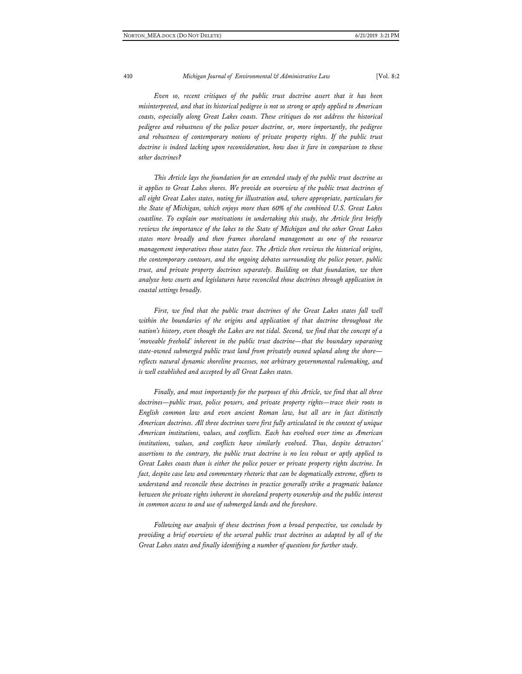*Even so, recent critiques of the public trust doctrine assert that it has been misinterpreted, and that its historical pedigree is not so strong or aptly applied to American coasts, especially along Great Lakes coasts. These critiques do not address the historical pedigree and robustness of the police power doctrine, or, more importantly, the pedigree and robustness of contemporary notions of private property rights. If the public trust doctrine is indeed lacking upon reconsideration, how does it fare in comparison to these other doctrines?*

*This Article lays the foundation for an extended study of the public trust doctrine as it applies to Great Lakes shores. We provide an overview of the public trust doctrines of all eight Great Lakes states, noting for illustration and, where appropriate, particulars for the State of Michigan, which enjoys more than 60% of the combined U.S. Great Lakes coastline. To explain our motivations in undertaking this study, the Article first briefly reviews the importance of the lakes to the State of Michigan and the other Great Lakes states more broadly and then frames shoreland management as one of the resource management imperatives those states face. The Article then reviews the historical origins, the contemporary contours, and the ongoing debates surrounding the police power, public trust, and private property doctrines separately. Building on that foundation, we then analyze how courts and legislatures have reconciled those doctrines through application in coastal settings broadly.*

First, we find that the public trust doctrines of the Great Lakes states fall well within the boundaries of the origins and application of that doctrine throughout the *nation's history, even though the Lakes are not tidal. Second, we find that the concept of a 'moveable freehold' inherent in the public trust doctrine—that the boundary separating state-owned submerged public trust land from privately owned upland along the shore reflects natural dynamic shoreline processes, not arbitrary governmental rulemaking, and is well established and accepted by all Great Lakes states.*

*Finally, and most importantly for the purposes of this Article, we find that all three doctrines—public trust, police powers, and private property rights—trace their roots to English common law and even ancient Roman law, but all are in fact distinctly American doctrines. All three doctrines were first fully articulated in the context of unique American institutions, values, and conflicts. Each has evolved over time as American institutions, values, and conflicts have similarly evolved. Thus, despite detractors' assertions to the contrary, the public trust doctrine is no less robust or aptly applied to Great Lakes coasts than is either the police power or private property rights doctrine. In fact, despite case law and commentary rhetoric that can be dogmatically extreme, efforts to understand and reconcile these doctrines in practice generally strike a pragmatic balance between the private rights inherent in shoreland property ownership and the public interest in common access to and use of submerged lands and the foreshore.*

*Following our analysis of these doctrines from a broad perspective, we conclude by providing a brief overview of the several public trust doctrines as adapted by all of the Great Lakes states and finally identifying a number of questions for further study.*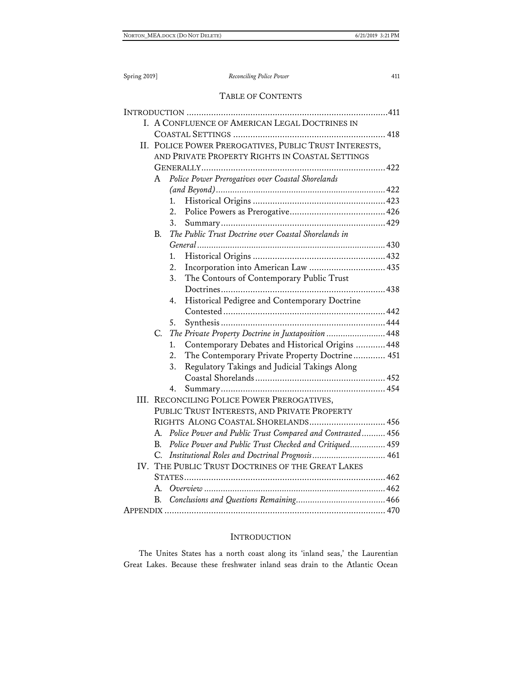## TABLE OF CONTENTS

|             | I. A CONFLUENCE OF AMERICAN LEGAL DOCTRINES IN            |  |
|-------------|-----------------------------------------------------------|--|
|             |                                                           |  |
|             | II. POLICE POWER PREROGATIVES, PUBLIC TRUST INTERESTS,    |  |
|             | AND PRIVATE PROPERTY RIGHTS IN COASTAL SETTINGS           |  |
|             |                                                           |  |
| A           | Police Power Prerogatives over Coastal Shorelands         |  |
|             |                                                           |  |
|             | 1.                                                        |  |
|             | 2.                                                        |  |
|             | 3.                                                        |  |
| В.          | The Public Trust Doctrine over Coastal Shorelands in      |  |
|             |                                                           |  |
|             | 1.                                                        |  |
|             | Incorporation into American Law  435<br>2.                |  |
|             | The Contours of Contemporary Public Trust<br>3.           |  |
|             |                                                           |  |
|             | Historical Pedigree and Contemporary Doctrine<br>4.       |  |
|             |                                                           |  |
|             | 5.                                                        |  |
| C.          | The Private Property Doctrine in Juxtaposition  448       |  |
|             | Contemporary Debates and Historical Origins  448<br>1.    |  |
|             | The Contemporary Private Property Doctrine 451<br>2.      |  |
|             | Regulatory Takings and Judicial Takings Along<br>3.       |  |
|             |                                                           |  |
|             | 4.                                                        |  |
|             | III. RECONCILING POLICE POWER PREROGATIVES,               |  |
|             | PUBLIC TRUST INTERESTS, AND PRIVATE PROPERTY              |  |
|             | RIGHTS ALONG COASTAL SHORELANDS 456                       |  |
| А.          | Police Power and Public Trust Compared and Contrasted 456 |  |
| $B_{\cdot}$ | Police Power and Public Trust Checked and Critiqued 459   |  |
| C.          | Institutional Roles and Doctrinal Prognosis 461           |  |
|             | IV. THE PUBLIC TRUST DOCTRINES OF THE GREAT LAKES         |  |
|             |                                                           |  |
| А.          |                                                           |  |
| B.          |                                                           |  |
|             |                                                           |  |

### INTRODUCTION

The Unites States has a north coast along its 'inland seas,' the Laurentian Great Lakes. Because these freshwater inland seas drain to the Atlantic Ocean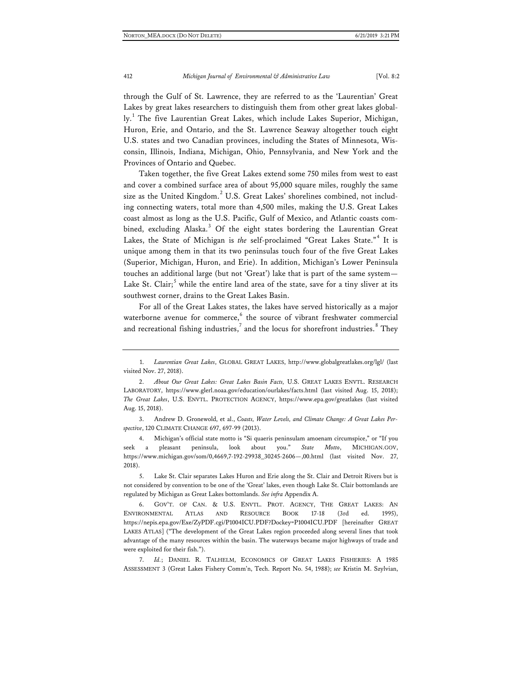through the Gulf of St. Lawrence, they are referred to as the 'Laurentian' Great Lakes by great lakes researchers to distinguish them from other great lakes global-ly.<sup>[1](#page-4-0)</sup> The five Laurentian Great Lakes, which include Lakes Superior, Michigan, Huron, Erie, and Ontario, and the St. Lawrence Seaway altogether touch eight U.S. states and two Canadian provinces, including the States of Minnesota, Wisconsin, Illinois, Indiana, Michigan, Ohio, Pennsylvania, and New York and the Provinces of Ontario and Quebec.

Taken together, the five Great Lakes extend some 750 miles from west to east and cover a combined surface area of about 95,000 square miles, roughly the same size as the United Kingdom. $<sup>2</sup>$  $<sup>2</sup>$  $<sup>2</sup>$  U.S. Great Lakes' shorelines combined, not includ-</sup> ing connecting waters, total more than 4,500 miles, making the U.S. Great Lakes coast almost as long as the U.S. Pacific, Gulf of Mexico, and Atlantic coasts com-bined, excluding Alaska.<sup>[3](#page-4-2)</sup> Of the eight states bordering the Laurentian Great Lakes, the State of Michigan is *the* self-proclaimed "Great Lakes State." [4](#page-4-3) It is unique among them in that its two peninsulas touch four of the five Great Lakes (Superior, Michigan, Huron, and Erie). In addition, Michigan's Lower Peninsula touches an additional large (but not 'Great') lake that is part of the same system— Lake St. Clair; $5$  while the entire land area of the state, save for a tiny sliver at its southwest corner, drains to the Great Lakes Basin.

<span id="page-4-7"></span>For all of the Great Lakes states, the lakes have served historically as a major waterborne avenue for commerce, $6$  the source of vibrant freshwater commercial and recreational fishing industries,<sup>[7](#page-4-6)</sup> and the locus for shorefront industries.<sup>[8](#page-4-7)</sup> They

<span id="page-4-2"></span>3. Andrew D. Gronewold, et al., *Coasts, Water Levels, and Climate Change: A Great Lakes Perspective*, 120 CLIMATE CHANGE 697, 697-99 (2013).

<span id="page-4-3"></span>4. Michigan's official state motto is "Si quaeris peninsulam amoenam circumspice," or "If you seek a pleasant peninsula, look about you." *State Motto*, MICHIGAN.GOV, [https://www.michigan.gov/som/0,4669,7-192-29938\\_30245-2606—,00.html](https://www.michigan.gov/som/0,4669,7-192-29938_30245-2606--,00.html) (last visited Nov. 27, 2018).

<span id="page-4-4"></span>5. Lake St. Clair separates Lakes Huron and Erie along the St. Clair and Detroit Rivers but is not considered by convention to be one of the 'Great' lakes, even though Lake St. Clair bottomlands are regulated by Michigan as Great Lakes bottomlands. *See infra* Appendix A.

<span id="page-4-5"></span>6. GOV'T. OF CAN. & U.S. ENVTL. PROT. AGENCY, THE GREAT LAKES: AN ENVIRONMENTAL ATLAS AND RESOURCE BOOK 17-18 (3rd ed. 1995), <https://nepis.epa.gov/Exe/ZyPDF.cgi/P1004ICU.PDF?Dockey=P1004ICU.PDF> [hereinafter GREAT LAKES ATLAS] ("The development of the Great Lakes region proceeded along several lines that took advantage of the many resources within the basin. The waterways became major highways of trade and were exploited for their fish.").

<span id="page-4-6"></span>7. *Id.*; DANIEL R. TALHELM, ECONOMICS OF GREAT LAKES FISHERIES: A 1985 ASSESSMENT 3 (Great Lakes Fishery Comm'n, Tech. Report No. 54, 1988); *see* Kristin M. Szylvian,

<span id="page-4-0"></span><sup>1.</sup> *Laurentian Great Lakes*, GLOBAL GREAT LAKES,<http://www.globalgreatlakes.org/lgl/> (last visited Nov. 27, 2018).

<span id="page-4-1"></span><sup>2.</sup> *About Our Great Lakes: Great Lakes Basin Facts,* U.S. GREAT LAKES ENVTL. RESEARCH LABORATORY,<https://www.glerl.noaa.gov/education/ourlakes/facts.html> (last visited Aug. 15, 2018); *The Great Lakes*, U.S. ENVTL. PROTECTION AGENCY, <https://www.epa.gov/greatlakes> (last visited Aug. 15, 2018).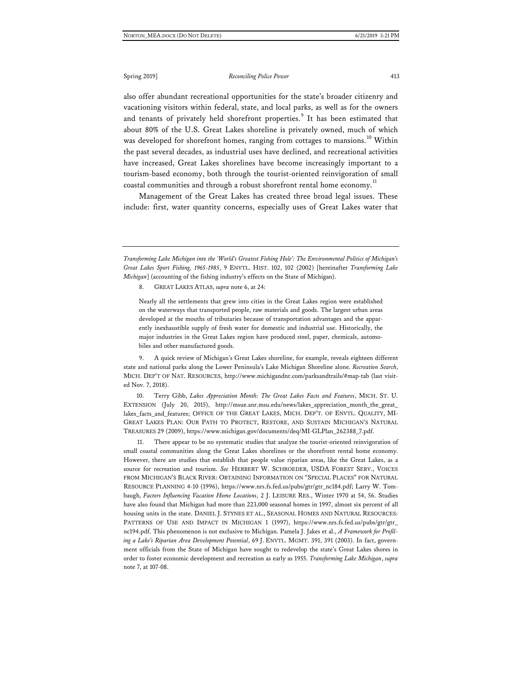also offer abundant recreational opportunities for the state's broader citizenry and vacationing visitors within federal, state, and local parks, as well as for the owners and tenants of privately held shorefront properties.<sup>[9](#page-5-0)</sup> It has been estimated that about 80% of the U.S. Great Lakes shoreline is privately owned, much of which was developed for shorefront homes, ranging from cottages to mansions.<sup>[10](#page-5-1)</sup> Within the past several decades, as industrial uses have declined, and recreational activities have increased, Great Lakes shorelines have become increasingly important to a tourism-based economy, both through the tourist-oriented reinvigoration of small coastal communities and through a robust shorefront rental home economy.<sup>[11](#page-5-2)</sup>

Management of the Great Lakes has created three broad legal issues. These include: first, water quantity concerns, especially uses of Great Lakes water that

*Transforming Lake Michigan into the 'World's Greatest Fishing Hole': The Environmental Politics of Michigan's Great Lakes Sport Fishing, 1965-1985*, 9 ENVTL. HIST. 102, 102 (2002) [hereinafter *Transforming Lake Michigan*] (accounting of the fishing industry's effects on the State of Michigan).

8. GREAT LAKES ATLAS, *supra* note 6, at 24:

Nearly all the settlements that grew into cities in the Great Lakes region were established on the waterways that transported people, raw materials and goods. The largest urban areas developed at the mouths of tributaries because of transportation advantages and the apparently inexhaustible supply of fresh water for domestic and industrial use. Historically, the major industries in the Great Lakes region have produced steel, paper, chemicals, automobiles and other manufactured goods.

<span id="page-5-0"></span>9. A quick review of Michigan's Great Lakes shoreline, for example, reveals eighteen different state and national parks along the Lower Peninsula's Lake Michigan Shoreline alone. *Recreation Search*, MICH. DEP'T OF NAT. RESOURCES, [http://www.michigandnr.com/parksandtrails/#map-tab](http://www.michigandnr.com/parksandtrails/%23map-tab) (last visited Nov. 7, 2018).

<span id="page-5-1"></span>10. Terry Gibb, *Lakes Appreciation Month: The Great Lakes Facts and Features*, MICH. ST. U. EXTENSION (July 20, 2015), [http://msue.anr.msu.edu/news/lakes\\_appreciation\\_month\\_the\\_great\\_](http://msue.anr.msu.edu/news/lakes_appreciation_month_the_great_lakes_facts_and_features) [lakes\\_facts\\_and\\_features;](http://msue.anr.msu.edu/news/lakes_appreciation_month_the_great_lakes_facts_and_features) OFFICE OF THE GREAT LAKES, MICH. DEP'T. OF ENVTL. QUALITY, MI-GREAT LAKES PLAN: OUR PATH TO PROTECT, RESTORE, AND SUSTAIN MICHIGAN'S NATURAL TREASURES 29 (2009), [https://www.michigan.gov/documents/deq/MI-GLPlan\\_262388\\_7.pdf.](https://www.michigan.gov/documents/deq/MI-GLPlan_262388_7.pdf)

<span id="page-5-2"></span>11. There appear to be no systematic studies that analyze the tourist-oriented reinvigoration of small coastal communities along the Great Lakes shorelines or the shorefront rental home economy. However, there are studies that establish that people value riparian areas, like the Great Lakes, as a source for recreation and tourism. *See* HERBERT W. SCHROEDER, USDA FOREST SERV., VOICES FROM MICHIGAN'S BLACK RIVER: OBTAINING INFORMATION ON "SPECIAL PLACES" FOR NATURAL RESOURCE PLANNING 4-10 (1996), [https://www.nrs.fs.fed.us/pubs/gtr/gtr\\_nc184.pdf;](https://www.nrs.fs.fed.us/pubs/gtr/gtr_nc184.pdf) Larry W. Tombaugh, *Factors Influencing Vacation Home Locations*, 2 J. LEISURE RES., Winter 1970 at 54, 56. Studies have also found that Michigan had more than 223,000 seasonal homes in 1997, almost six percent of all housing units in the state. DANIEL J. STYNES ET AL., SEASONAL HOMES AND NATURAL RESOURCES: PATTERNS OF USE AND IMPACT IN MICHIGAN 1 (1997), [https://www.nrs.fs.fed.us/pubs/gtr/gtr\\_](https://www.nrs.fs.fed.us/pubs/gtr/gtr_nc194.pdf) [nc194.pdf.](https://www.nrs.fs.fed.us/pubs/gtr/gtr_nc194.pdf) This phenomenon is not exclusive to Michigan. Pamela J. Jakes et al., *A Framework for Profiling a Lake's Riparian Area Development Potential*, 69 J. ENVTL. MGMT. 391, 391 (2003). In fact, government officials from the State of Michigan have sought to redevelop the state's Great Lakes shores in order to foster economic development and recreation as early as 1955. *Transforming Lake Michigan*, *supra*  note 7, at 107-08.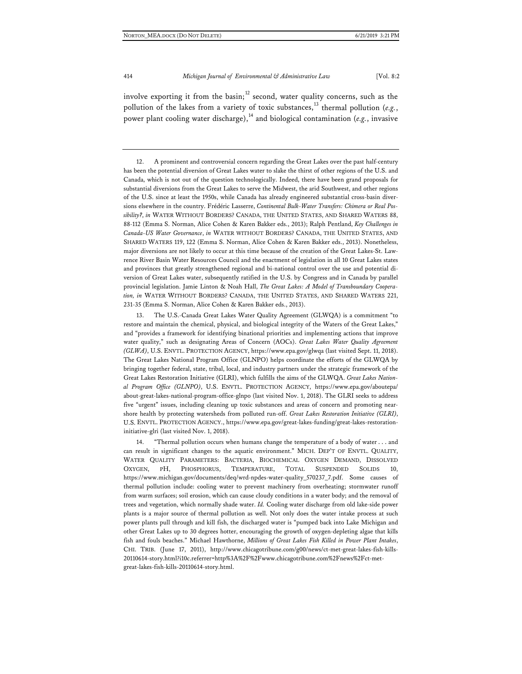involve exporting it from the basin; $^{12}$  $^{12}$  $^{12}$  second, water quality concerns, such as the pollution of the lakes from a variety of toxic substances,<sup>[13](#page-6-1)</sup> thermal pollution (*e.g.*, power plant cooling water discharge),<sup>[14](#page-6-2)</sup> and biological contamination ( $e.g.,$  invasive

<span id="page-6-1"></span>The U.S.-Canada Great Lakes Water Quality Agreement (GLWQA) is a commitment "to restore and maintain the chemical, physical, and biological integrity of the Waters of the Great Lakes," and "provides a framework for identifying binational priorities and implementing actions that improve water quality," such as designating Areas of Concern (AOCs). *Great Lakes Water Quality Agreement (GLWA)*, U.S. ENVTL. PROTECTION AGENCY[, https://www.epa.gov/glwqa](https://www.epa.gov/glwqa) (last visited Sept. 11, 2018). The Great Lakes National Program Office (GLNPO) helps coordinate the efforts of the GLWQA by bringing together federal, state, tribal, local, and industry partners under the strategic framework of the Great Lakes Restoration Initiative (GLRI), which fulfills the aims of the GLWQA. *Great Lakes National Program Office (GLNPO)*, U.S. ENVTL. PROTECTION AGENCY, [https://www.epa.gov/aboutepa/](https://www.epa.gov/aboutepa/about-great-lakes-national-program-office-glnpo) [about-great-lakes-national-program-office-glnpo](https://www.epa.gov/aboutepa/about-great-lakes-national-program-office-glnpo) (last visited Nov. 1, 2018). The GLRI seeks to address five "urgent" issues, including cleaning up toxic substances and areas of concern and promoting nearshore health by protecting watersheds from polluted run-off. *Great Lakes Restoration Initiative (GLRI)*, U.S. ENVTL. PROTECTION AGENCY.[, https://www.epa.gov/great-lakes-funding/great-lakes-restoration](https://www.epa.gov/great-lakes-funding/great-lakes-restoration-initiative-glri)[initiative-glri](https://www.epa.gov/great-lakes-funding/great-lakes-restoration-initiative-glri) (last visited Nov. 1, 2018).

<span id="page-6-2"></span>14. "Thermal pollution occurs when humans change the temperature of a body of water . . . and can result in significant changes to the aquatic environment." MICH. DEP'T OF ENVTL. QUALITY, WATER QUALITY PARAMETERS: BACTERIA, BIOCHEMICAL OXYGEN DEMAND, DISSOLVED OXYGEN, PH, PHOSPHORUS, TEMPERATURE, TOTAL SUSPENDED SOLIDS 10, [https://www.michigan.gov/documents/deq/wrd-npdes-water-quality\\_570237\\_7.pdf.](https://www.michigan.gov/%E2%80%8Cdocuments/deq/wrd-npdes-water-quality_%E2%80%8C570237_%E2%80%8C7.pdf) Some causes of thermal pollution include: cooling water to prevent machinery from overheating; stormwater runoff from warm surfaces; soil erosion, which can cause cloudy conditions in a water body; and the removal of trees and vegetation, which normally shade water. *Id.* Cooling water discharge from old lake-side power plants is a major source of thermal pollution as well. Not only does the water intake process at such power plants pull through and kill fish, the discharged water is "pumped back into Lake Michigan and other Great Lakes up to 30 degrees hotter, encouraging the growth of oxygen-depleting algae that kills fish and fouls beaches." Michael Hawthorne, *Millions of Great Lakes Fish Killed in Power Plant Intakes*, CHI. TRIB. (June 17, 2011), [http://www.chicagotribune.com/g00/news/ct-met-great-lakes-fish-kills-](http://www.chicagotribune.com/g00/news/ct-met-great-lakes-fish-kills-20110614-story.html?i10c.referrer=http%3A%2F%2Fwww.chicagotribune.com%2Fnews%2Fct-met-great-lakes-fish-kills-20110614-story.html.)[20110614-story.html?i10c.referrer=http%3A%2F%2Fwww.chicagotribune.com%2Fnews%2Fct-met](http://www.chicagotribune.com/g00/news/ct-met-great-lakes-fish-kills-20110614-story.html?i10c.referrer=http%3A%2F%2Fwww.chicagotribune.com%2Fnews%2Fct-met-great-lakes-fish-kills-20110614-story.html.)[great-lakes-fish-kills-20110614-story.html.](http://www.chicagotribune.com/g00/news/ct-met-great-lakes-fish-kills-20110614-story.html?i10c.referrer=http%3A%2F%2Fwww.chicagotribune.com%2Fnews%2Fct-met-great-lakes-fish-kills-20110614-story.html.)

<span id="page-6-0"></span><sup>12.</sup> A prominent and controversial concern regarding the Great Lakes over the past half-century has been the potential diversion of Great Lakes water to slake the thirst of other regions of the U.S. and Canada, which is not out of the question technologically. Indeed, there have been grand proposals for substantial diversions from the Great Lakes to serve the Midwest, the arid Southwest, and other regions of the U.S. since at least the 1950s, while Canada has already engineered substantial cross-basin diversions elsewhere in the country. Frédéric Lasserre, *Continental Bulk-Water Transfers: Chimera or Real Possibility?*, *in* WATER WITHOUT BORDERS? CANADA, THE UNITED STATES, AND SHARED WATERS 88, 88-112 (Emma S. Norman, Alice Cohen & Karen Bakker eds., 2013); Ralph Pentland, *Key Challenges in Canada-US Water Governance*, *in* WATER WITHOUT BORDERS? CANADA, THE UNITED STATES, AND SHARED WATERS 119, 122 (Emma S. Norman, Alice Cohen & Karen Bakker eds., 2013). Nonetheless, major diversions are not likely to occur at this time because of the creation of the Great Lakes-St. Lawrence River Basin Water Resources Council and the enactment of legislation in all 10 Great Lakes states and provinces that greatly strengthened regional and bi-national control over the use and potential diversion of Great Lakes water, subsequently ratified in the U.S. by Congress and in Canada by parallel provincial legislation. Jamie Linton & Noah Hall, *The Great Lakes: A Model of Transboundary Cooperation, in* WATER WITHOUT BORDERS? CANADA, THE UNITED STATES, AND SHARED WATERS 221, 231-35 (Emma S. Norman, Alice Cohen & Karen Bakker eds., 2013).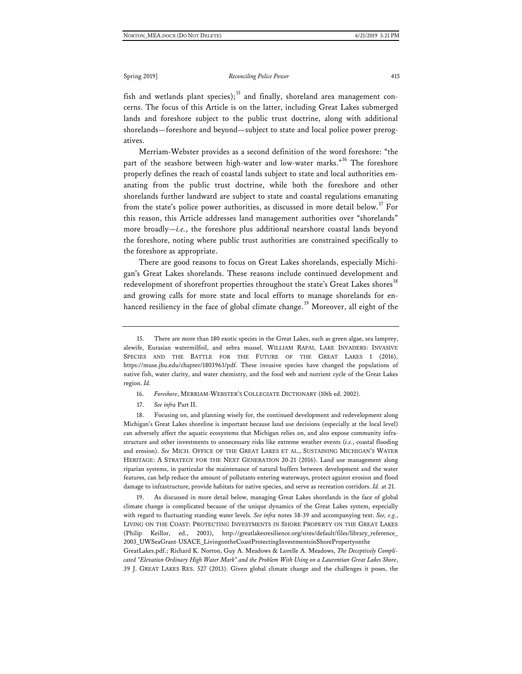fish and wetlands plant species);<sup>[15](#page-7-0)</sup> and finally, shoreland area management concerns. The focus of this Article is on the latter, including Great Lakes submerged lands and foreshore subject to the public trust doctrine, along with additional shorelands—foreshore and beyond—subject to state and local police power prerogatives.

Merriam-Webster provides as a second definition of the word foreshore: "the part of the seashore between high-water and low-water marks."<sup>[16](#page-7-1)</sup> The foreshore properly defines the reach of coastal lands subject to state and local authorities emanating from the public trust doctrine, while both the foreshore and other shorelands further landward are subject to state and coastal regulations emanating from the state's police power authorities, as discussed in more detail below.<sup>[17](#page-7-2)</sup> For this reason, this Article addresses land management authorities over "shorelands" more broadly—*i.e.*, the foreshore plus additional nearshore coastal lands beyond the foreshore, noting where public trust authorities are constrained specifically to the foreshore as appropriate.

There are good reasons to focus on Great Lakes shorelands, especially Michigan's Great Lakes shorelands. These reasons include continued development and redevelopment of shorefront properties throughout the state's Great Lakes shores<sup>[18](#page-7-3)</sup> and growing calls for more state and local efforts to manage shorelands for en-hanced resiliency in the face of global climate change.<sup>[19](#page-7-4)</sup> Moreover, all eight of the

- 16. *Foreshore*, MERRIAM-WEBSTER'S COLLEGIATE DICTIONARY (10th ed. 2002).
- 17. *See infra* Part II.

<span id="page-7-3"></span><span id="page-7-2"></span><span id="page-7-1"></span>18. Focusing on, and planning wisely for, the continued development and redevelopment along Michigan's Great Lakes shoreline is important because land use decisions (especially at the local level) can adversely affect the aquatic ecosystems that Michigan relies on, and also expose community infrastructure and other investments to unnecessary risks like extreme weather events (*i.e.*, coastal flooding and erosion). *See* MICH. OFFICE OF THE GREAT LAKES ET AL., SUSTAINING MICHIGAN'S WATER HERITAGE: A STRATEGY FOR THE NEXT GENERATION 20-21 (2016). Land use management along riparian systems, in particular the maintenance of natural buffers between development and the water features, can help reduce the amount of pollutants entering waterways, protect against erosion and flood damage to infrastructure, provide habitats for native species, and serve as recreation corridors. *Id.* at 21.

<span id="page-7-4"></span>19. As discussed in more detail below, managing Great Lakes shorelands in the face of global climate change is complicated because of the unique dynamics of the Great Lakes system, especially with regard to fluctuating standing water levels. *See infra* notes 38-39 and accompanying text. *See, e.g.*, LIVING ON THE COAST: PROTECTING INVESTMENTS IN SHORE PROPERTY ON THE GREAT LAKES (Philip Keillor, ed., 2003), [http://greatlakesresilience.org/sites/default/files/library\\_reference\\_](http://greatlakesresilience.org/sites/default/files/library_%E2%80%8Creference_%E2%80%8C2003_UWSeaGrant-USACE_%E2%80%8CLivingontheCoastProtectingInvestmentsinShorePropertyonthe%E2%80%8CGreatLakes.pdf) [2003\\_UWSeaGrant-USACE\\_LivingontheCoastProtectingInvestmentsinShorePropertyonthe](http://greatlakesresilience.org/sites/default/files/library_%E2%80%8Creference_%E2%80%8C2003_UWSeaGrant-USACE_%E2%80%8CLivingontheCoastProtectingInvestmentsinShorePropertyonthe%E2%80%8CGreatLakes.pdf)

[GreatLakes.pdf.](http://greatlakesresilience.org/sites/default/files/library_%E2%80%8Creference_%E2%80%8C2003_UWSeaGrant-USACE_%E2%80%8CLivingontheCoastProtectingInvestmentsinShorePropertyonthe%E2%80%8CGreatLakes.pdf); Richard K. Norton, Guy A. Meadows & Lorelle A. Meadows, *The Deceptively Complicated "Elevation Ordinary High Water Mark" and the Problem With Using on a Laurentian Great Lakes Shore*, 39 J. GREAT LAKES RES. 527 (2013). Given global climate change and the challenges it poses, the

<span id="page-7-0"></span><sup>15.</sup> There are more than 180 exotic species in the Great Lakes, such as green algae, sea lamprey, alewife, Eurasian watermilfoil, and zebra mussel. WILLIAM RAPAI, LAKE INVADERS: INVASIVE SPECIES AND THE BATTLE FOR THE FUTURE OF THE GREAT LAKES 1 (2016), [https://muse.jhu.edu/chapter/1803963/pdf.](https://muse.jhu.edu/chapter/1803963/pdf) These invasive species have changed the populations of native fish, water clarity, and water chemistry, and the food web and nutrient cycle of the Great Lakes region. *Id.*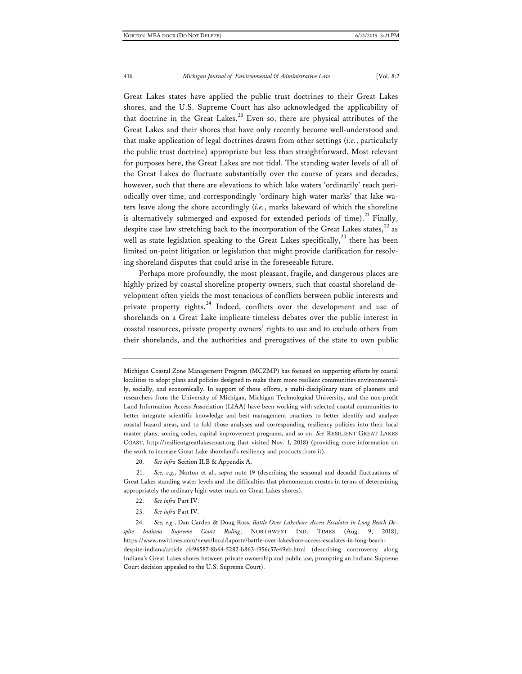Great Lakes states have applied the public trust doctrines to their Great Lakes shores, and the U.S. Supreme Court has also acknowledged the applicability of that doctrine in the Great Lakes.<sup>[20](#page-8-0)</sup> Even so, there are physical attributes of the Great Lakes and their shores that have only recently become well-understood and that make application of legal doctrines drawn from other settings (*i.e.*, particularly the public trust doctrine) appropriate but less than straightforward. Most relevant for purposes here, the Great Lakes are not tidal. The standing water levels of all of the Great Lakes do fluctuate substantially over the course of years and decades, however, such that there are elevations to which lake waters 'ordinarily' reach periodically over time, and correspondingly 'ordinary high water marks' that lake waters leave along the shore accordingly (*i.e.*, marks lakeward of which the shoreline is alternatively submerged and exposed for extended periods of time).<sup>[21](#page-8-1)</sup> Finally, despite case law stretching back to the incorporation of the Great Lakes states, $2^2$  as well as state legislation speaking to the Great Lakes specifically, $^{23}$  $^{23}$  $^{23}$  there has been limited on-point litigation or legislation that might provide clarification for resolving shoreland disputes that could arise in the foreseeable future.

Perhaps more profoundly, the most pleasant, fragile, and dangerous places are highly prized by coastal shoreline property owners, such that coastal shoreland development often yields the most tenacious of conflicts between public interests and private property rights. $24$  Indeed, conflicts over the development and use of shorelands on a Great Lake implicate timeless debates over the public interest in coastal resources, private property owners' rights to use and to exclude others from their shorelands, and the authorities and prerogatives of the state to own public

- 22. *See infra* Part IV.
- 23. *See infra* Part IV.

Michigan Coastal Zone Management Program (MCZMP) has focused on supporting efforts by coastal localities to adopt plans and policies designed to make them more resilient communities environmentally, socially, and economically. In support of those efforts, a multi-disciplinary team of planners and researchers from the University of Michigan, Michigan Technological University, and the non-profit Land Information Access Association (LIAA) have been working with selected coastal communities to better integrate scientific knowledge and best management practices to better identify and analyze coastal hazard areas, and to fold those analyses and corresponding resiliency policies into their local master plans, zoning codes, capital improvement programs, and so on. *See* RESILIENT GREAT LAKES COAST, [http://resilientgreatlakescoast.org](http://resilientgreatlakescoast.org/) (last visited Nov. 1, 2018) (providing more information on the work to increase Great Lake shoreland's resiliency and products from it).

<sup>20.</sup> *See infra* Section II.B & Appendix A.

<span id="page-8-1"></span><span id="page-8-0"></span><sup>21.</sup> *See, e.g.*, Norton et al., *supra* note 19 (describing the seasonal and decadal fluctuations of Great Lakes standing water levels and the difficulties that phenomenon creates in terms of determining appropriately the ordinary high-water mark on Great Lakes shores).

<span id="page-8-4"></span><span id="page-8-3"></span><span id="page-8-2"></span><sup>24.</sup> *See, e.g.*, Dan Carden & Doug Ross, *Battle Over Lakeshore Access Escalates in Long Beach Despite Indiana Supreme Court Ruling*, NORTHWEST IND. TIMES (Aug. 9, 2018), [https://www.nwitimes.com/news/local/laporte/battle-over-lakeshore-access-escalates-in-long-beach](https://www.nwitimes.com/news/local/laporte/battle-over-lakeshore-access-escalates-in-long-beach-despite-indiana/article_cfc96587-8b64-5282-b863-f956c57e49eb.html)[despite-indiana/article\\_cfc96587-8b64-5282-b863-f956c57e49eb.html](https://www.nwitimes.com/news/local/laporte/battle-over-lakeshore-access-escalates-in-long-beach-despite-indiana/article_cfc96587-8b64-5282-b863-f956c57e49eb.html) (describing controversy along Indiana's Great Lakes shores between private ownership and public use, prompting an Indiana Supreme Court decision appealed to the U.S. Supreme Court).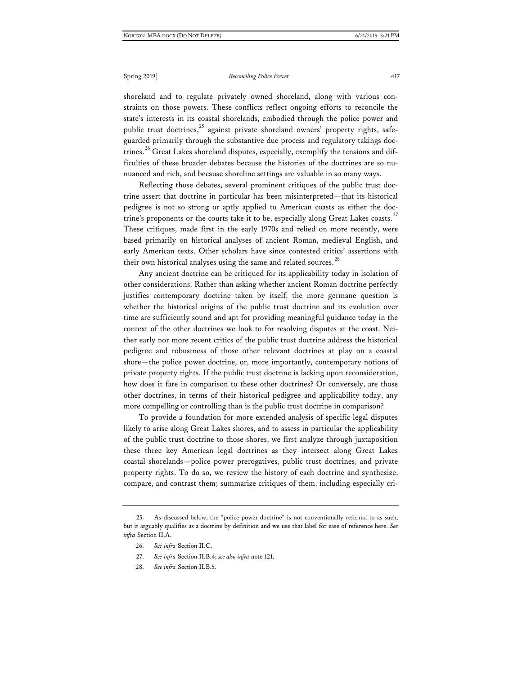shoreland and to regulate privately owned shoreland, along with various constraints on those powers. These conflicts reflect ongoing efforts to reconcile the state's interests in its coastal shorelands, embodied through the police power and public trust doctrines, $^{25}$  $^{25}$  $^{25}$  against private shoreland owners' property rights, safeguarded primarily through the substantive due process and regulatory takings doc-trines.<sup>[26](#page-9-1)</sup> Great Lakes shoreland disputes, especially, exemplify the tensions and difficulties of these broader debates because the histories of the doctrines are so nunuanced and rich, and because shoreline settings are valuable in so many ways.

Reflecting those debates, several prominent critiques of the public trust doctrine assert that doctrine in particular has been misinterpreted—that its historical pedigree is not so strong or aptly applied to American coasts as either the doc-trine's proponents or the courts take it to be, especially along Great Lakes coasts.<sup>[27](#page-9-2)</sup> These critiques, made first in the early 1970s and relied on more recently, were based primarily on historical analyses of ancient Roman, medieval English, and early American texts. Other scholars have since contested critics' assertions with their own historical analyses using the same and related sources.<sup>[28](#page-9-3)</sup>

Any ancient doctrine can be critiqued for its applicability today in isolation of other considerations. Rather than asking whether ancient Roman doctrine perfectly justifies contemporary doctrine taken by itself, the more germane question is whether the historical origins of the public trust doctrine and its evolution over time are sufficiently sound and apt for providing meaningful guidance today in the context of the other doctrines we look to for resolving disputes at the coast. Neither early nor more recent critics of the public trust doctrine address the historical pedigree and robustness of those other relevant doctrines at play on a coastal shore—the police power doctrine, or, more importantly, contemporary notions of private property rights. If the public trust doctrine is lacking upon reconsideration, how does it fare in comparison to these other doctrines? Or conversely, are those other doctrines, in terms of their historical pedigree and applicability today, any more compelling or controlling than is the public trust doctrine in comparison?

To provide a foundation for more extended analysis of specific legal disputes likely to arise along Great Lakes shores, and to assess in particular the applicability of the public trust doctrine to those shores, we first analyze through juxtaposition these three key American legal doctrines as they intersect along Great Lakes coastal shorelands—police power prerogatives, public trust doctrines, and private property rights. To do so, we review the history of each doctrine and synthesize, compare, and contrast them; summarize critiques of them, including especially cri-

- 27. *See infra* Section II.B.4; *see also infra* note 121.
- 28. *See infra* Section II.B.5.

<span id="page-9-3"></span><span id="page-9-2"></span><span id="page-9-1"></span><span id="page-9-0"></span><sup>25.</sup> As discussed below, the "police power doctrine" is not conventionally referred to as such, but it arguably qualifies as a doctrine by definition and we use that label for ease of reference here. *See infra* Section II.A.

<sup>26.</sup> *See infra* Section II.C.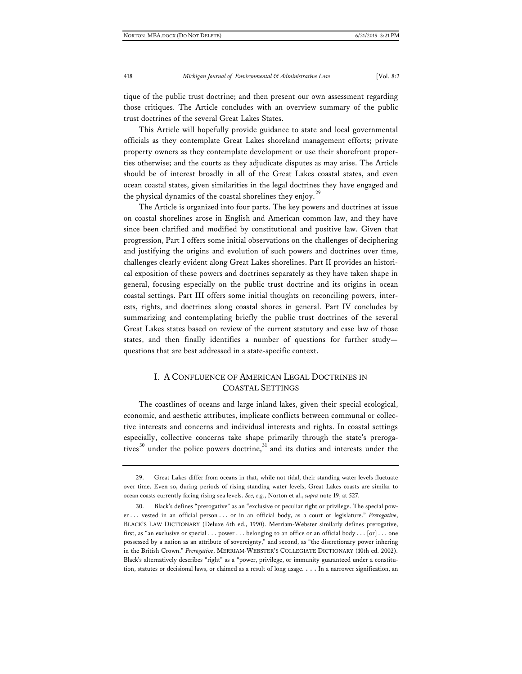tique of the public trust doctrine; and then present our own assessment regarding those critiques. The Article concludes with an overview summary of the public trust doctrines of the several Great Lakes States.

This Article will hopefully provide guidance to state and local governmental officials as they contemplate Great Lakes shoreland management efforts; private property owners as they contemplate development or use their shorefront properties otherwise; and the courts as they adjudicate disputes as may arise. The Article should be of interest broadly in all of the Great Lakes coastal states, and even ocean coastal states, given similarities in the legal doctrines they have engaged and the physical dynamics of the coastal shorelines they enjoy.<sup>[29](#page-10-0)</sup>

The Article is organized into four parts. The key powers and doctrines at issue on coastal shorelines arose in English and American common law, and they have since been clarified and modified by constitutional and positive law. Given that progression, Part I offers some initial observations on the challenges of deciphering and justifying the origins and evolution of such powers and doctrines over time, challenges clearly evident along Great Lakes shorelines. Part II provides an historical exposition of these powers and doctrines separately as they have taken shape in general, focusing especially on the public trust doctrine and its origins in ocean coastal settings. Part III offers some initial thoughts on reconciling powers, interests, rights, and doctrines along coastal shores in general. Part IV concludes by summarizing and contemplating briefly the public trust doctrines of the several Great Lakes states based on review of the current statutory and case law of those states, and then finally identifies a number of questions for further study questions that are best addressed in a state-specific context.

## I. A CONFLUENCE OF AMERICAN LEGAL DOCTRINES IN COASTAL SETTINGS

The coastlines of oceans and large inland lakes, given their special ecological, economic, and aesthetic attributes, implicate conflicts between communal or collective interests and concerns and individual interests and rights. In coastal settings especially, collective concerns take shape primarily through the state's preroga-tives<sup>[30](#page-10-1)</sup> under the police powers doctrine,<sup>[31](#page-10-2)</sup> and its duties and interests under the

<span id="page-10-2"></span><span id="page-10-0"></span><sup>29.</sup> Great Lakes differ from oceans in that, while not tidal, their standing water levels fluctuate over time. Even so, during periods of rising standing water levels, Great Lakes coasts are similar to ocean coasts currently facing rising sea levels. *See, e.g.*, Norton et al., *supra* note 19, at 527.

<span id="page-10-1"></span><sup>30.</sup> Black's defines "prerogative" as an "exclusive or peculiar right or privilege. The special power . . . vested in an official person . . . or in an official body, as a court or legislature." *Prerogative*, BLACK'S LAW DICTIONARY (Deluxe 6th ed., 1990). Merriam-Webster similarly defines prerogative, first, as "an exclusive or special . . . power . . . belonging to an office or an official body . . . [or] . . . one possessed by a nation as an attribute of sovereignty," and second, as "the discretionary power inhering in the British Crown." *Prerogative*, MERRIAM-WEBSTER'S COLLEGIATE DICTIONARY (10th ed. 2002). Black's alternatively describes "right" as a "power, privilege, or immunity guaranteed under a constitution, statutes or decisional laws, or claimed as a result of long usage. . . . In a narrower signification, an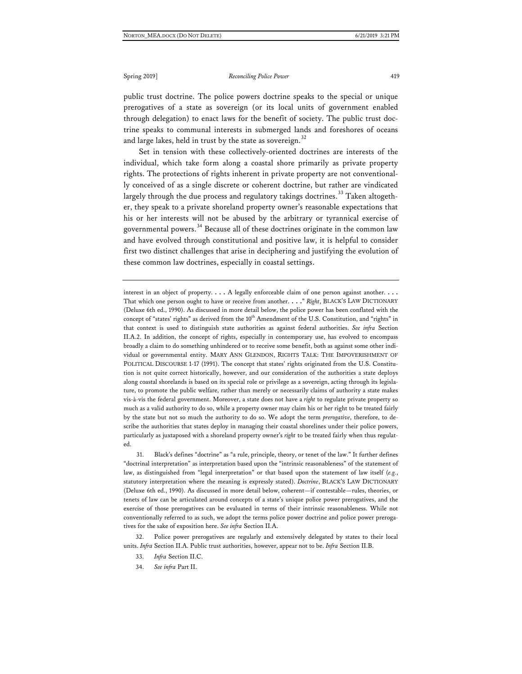public trust doctrine. The police powers doctrine speaks to the special or unique prerogatives of a state as sovereign (or its local units of government enabled through delegation) to enact laws for the benefit of society. The public trust doctrine speaks to communal interests in submerged lands and foreshores of oceans and large lakes, held in trust by the state as sovereign. $32$ 

Set in tension with these collectively-oriented doctrines are interests of the individual, which take form along a coastal shore primarily as private property rights. The protections of rights inherent in private property are not conventionally conceived of as a single discrete or coherent doctrine, but rather are vindicated largely through the due process and regulatory takings doctrines.<sup>[33](#page-11-1)</sup> Taken altogether, they speak to a private shoreland property owner's reasonable expectations that his or her interests will not be abused by the arbitrary or tyrannical exercise of governmental powers.<sup>[34](#page-11-2)</sup> Because all of these doctrines originate in the common law and have evolved through constitutional and positive law, it is helpful to consider first two distinct challenges that arise in deciphering and justifying the evolution of these common law doctrines, especially in coastal settings.

interest in an object of property. . . . A legally enforceable claim of one person against another. . . . That which one person ought to have or receive from another. . . ." *Right*, BLACK'S LAW DICTIONARY (Deluxe 6th ed., 1990). As discussed in more detail below, the police power has been conflated with the concept of "states' rights" as derived from the 10<sup>th</sup> Amendment of the U.S. Constitution, and "rights" in that context is used to distinguish state authorities as against federal authorities. *See infra* Section II.A.2. In addition, the concept of rights, especially in contemporary use, has evolved to encompass broadly a claim to do something unhindered or to receive some benefit, both as against some other individual or governmental entity. MARY ANN GLENDON, RIGHTS TALK: THE IMPOVERISHMENT OF POLITICAL DISCOURSE 1-17 (1991). The concept that states' rights originated from the U.S. Constitution is not quite correct historically, however, and our consideration of the authorities a state deploys along coastal shorelands is based on its special role or privilege as a sovereign, acting through its legislature, to promote the public welfare, rather than merely or necessarily claims of authority a state makes vis-à-vis the federal government. Moreover, a state does not have a *right* to regulate private property so much as a valid authority to do so, while a property owner may claim his or her right to be treated fairly by the state but not so much the authority to do so. We adopt the term *prerogative*, therefore, to describe the authorities that states deploy in managing their coastal shorelines under their police powers, particularly as juxtaposed with a shoreland property owner's *right* to be treated fairly when thus regulated.

31. Black's defines "doctrine" as "a rule, principle, theory, or tenet of the law." It further defines "doctrinal interpretation" as interpretation based upon the "intrinsic reasonableness" of the statement of law, as distinguished from "legal interpretation" or that based upon the statement of law itself (*e.g.*, statutory interpretation where the meaning is expressly stated). *Doctrine*, BLACK'S LAW DICTIONARY (Deluxe 6th ed., 1990). As discussed in more detail below, coherent—if contestable—rules, theories, or tenets of law can be articulated around concepts of a state's unique police power prerogatives, and the exercise of those prerogatives can be evaluated in terms of their intrinsic reasonableness. While not conventionally referred to as such, we adopt the terms police power doctrine and police power prerogatives for the sake of exposition here. *See infra* Section II.A.

<span id="page-11-2"></span><span id="page-11-1"></span><span id="page-11-0"></span>32. Police power prerogatives are regularly and extensively delegated by states to their local units. *Infra* Section II.A. Public trust authorities, however, appear not to be. *Infra* Section II.B.

<sup>33.</sup> *Infra* Section II.C.

<sup>34.</sup> *See infra* Part II.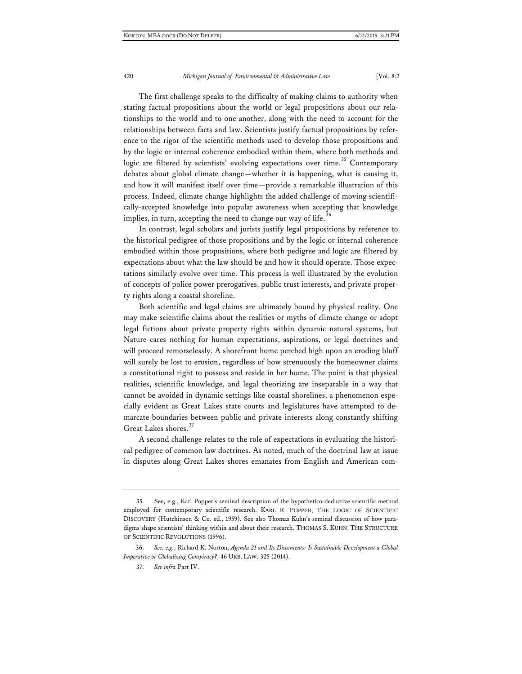The first challenge speaks to the difficulty of making claims to authority when stating factual propositions about the world or legal propositions about our relationships to the world and to one another, along with the need to account for the relationships between facts and law. Scientists justify factual propositions by reference to the rigor of the scientific methods used to develop those propositions and by the logic or internal coherence embodied within them, where both methods and logic are filtered by scientists' evolving expectations over time.<sup>[35](#page-12-0)</sup> Contemporary debates about global climate change—whether it is happening, what is causing it, and how it will manifest itself over time—provide a remarkable illustration of this process. Indeed, climate change highlights the added challenge of moving scientifically-accepted knowledge into popular awareness when accepting that knowledge implies, in turn, accepting the need to change our way of life.<sup>[36](#page-12-1)</sup>

In contrast, legal scholars and jurists justify legal propositions by reference to the historical pedigree of those propositions and by the logic or internal coherence embodied within those propositions, where both pedigree and logic are filtered by expectations about what the law should be and how it should operate. Those expectations similarly evolve over time. This process is well illustrated by the evolution of concepts of police power prerogatives, public trust interests, and private property rights along a coastal shoreline.

Both scientific and legal claims are ultimately bound by physical reality. One may make scientific claims about the realities or myths of climate change or adopt legal fictions about private property rights within dynamic natural systems, but Nature cares nothing for human expectations, aspirations, or legal doctrines and will proceed remorselessly. A shorefront home perched high upon an eroding bluff will surely be lost to erosion, regardless of how strenuously the homeowner claims a constitutional right to possess and reside in her home. The point is that physical realities, scientific knowledge, and legal theorizing are inseparable in a way that cannot be avoided in dynamic settings like coastal shorelines, a phenomenon especially evident as Great Lakes state courts and legislatures have attempted to demarcate boundaries between public and private interests along constantly shifting Great Lakes shores.<sup>[37](#page-12-2)</sup>

A second challenge relates to the role of expectations in evaluating the historical pedigree of common law doctrines. As noted, much of the doctrinal law at issue in disputes along Great Lakes shores emanates from English and American com-

<span id="page-12-0"></span><sup>35.</sup> See, e.g., Karl Popper's seminal description of the hypothetico-deductive scientific method employed for contemporary scientific research. KARL R. POPPER, THE LOGIC OF SCIENTIFIC DISCOVERY (Hutchinson & Co. ed., 1959). See also Thomas Kuhn's seminal discussion of how paradigms shape scientists' thinking within and about their research. THOMAS S. KUHN, THE STRUCTURE OF SCIENTIFIC REVOLUTIONS (1996).

<span id="page-12-2"></span><span id="page-12-1"></span><sup>36.</sup> *See, e.g.*, Richard K. Norton, *Agenda 21 and Its Discontents: Is Sustainable Development a Global Imperative or Globalizing Conspiracy?*, 46 URB. LAW. 325 (2014).

<sup>37.</sup> *See infra* Part IV.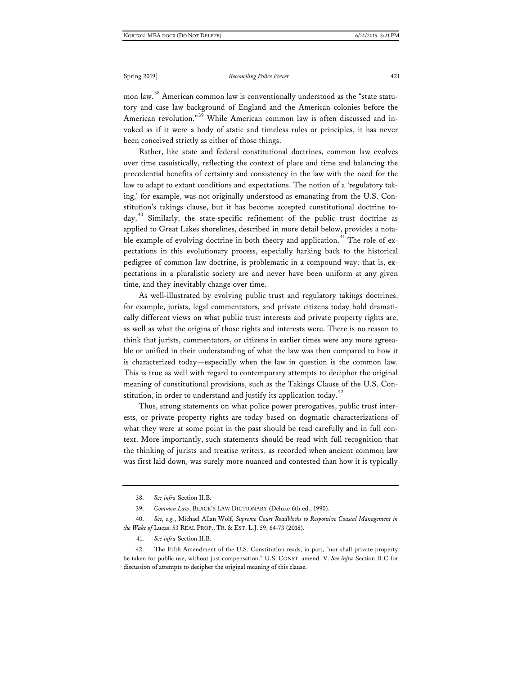mon law.<sup>[38](#page-13-0)</sup> American common law is conventionally understood as the "state statutory and case law background of England and the American colonies before the American revolution."<sup>[39](#page-13-1)</sup> While American common law is often discussed and invoked as if it were a body of static and timeless rules or principles, it has never been conceived strictly as either of those things.

Rather, like state and federal constitutional doctrines, common law evolves over time casuistically, reflecting the context of place and time and balancing the precedential benefits of certainty and consistency in the law with the need for the law to adapt to extant conditions and expectations. The notion of a 'regulatory taking,' for example, was not originally understood as emanating from the U.S. Constitution's takings clause, but it has become accepted constitutional doctrine to- $day.<sup>40</sup>$  $day.<sup>40</sup>$  $day.<sup>40</sup>$  Similarly, the state-specific refinement of the public trust doctrine as applied to Great Lakes shorelines, described in more detail below, provides a nota-ble example of evolving doctrine in both theory and application.<sup>[41](#page-13-3)</sup> The role of expectations in this evolutionary process, especially harking back to the historical pedigree of common law doctrine, is problematic in a compound way; that is, expectations in a pluralistic society are and never have been uniform at any given time, and they inevitably change over time.

As well-illustrated by evolving public trust and regulatory takings doctrines, for example, jurists, legal commentators, and private citizens today hold dramatically different views on what public trust interests and private property rights are, as well as what the origins of those rights and interests were. There is no reason to think that jurists, commentators, or citizens in earlier times were any more agreeable or unified in their understanding of what the law was then compared to how it is characterized today—especially when the law in question is the common law. This is true as well with regard to contemporary attempts to decipher the original meaning of constitutional provisions, such as the Takings Clause of the U.S. Constitution, in order to understand and justify its application today. $42$ 

Thus, strong statements on what police power prerogatives, public trust interests, or private property rights are today based on dogmatic characterizations of what they were at some point in the past should be read carefully and in full context. More importantly, such statements should be read with full recognition that the thinking of jurists and treatise writers, as recorded when ancient common law was first laid down, was surely more nuanced and contested than how it is typically

<sup>38.</sup> *See infra* Section II.B.

<sup>39.</sup> *Common Law*, BLACK'S LAW DICTIONARY (Deluxe 6th ed., 1990).

<span id="page-13-2"></span><span id="page-13-1"></span><span id="page-13-0"></span><sup>40.</sup> *See, e.g.*, Michael Allan Wolf, *Supreme Court Roadblocks to Responsive Coastal Management in the Wake of* Lucas, 53 REAL PROP., TR. & EST. L.J. 59, 64-73 (2018).

<sup>41.</sup> *See infra* Section II.B.

<span id="page-13-4"></span><span id="page-13-3"></span><sup>42.</sup> The Fifth Amendment of the U.S. Constitution reads, in part, "nor shall private property be taken for public use, without just compensation." U.S. CONST. amend. V. *See infra* Section II.C for discussion of attempts to decipher the original meaning of this clause.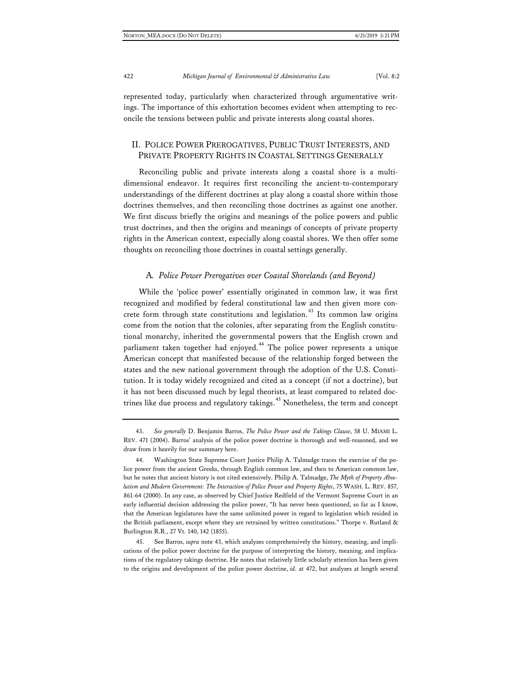represented today, particularly when characterized through argumentative writings. The importance of this exhortation becomes evident when attempting to reconcile the tensions between public and private interests along coastal shores.

## II. POLICE POWER PREROGATIVES, PUBLIC TRUST INTERESTS, AND PRIVATE PROPERTY RIGHTS IN COASTAL SETTINGS GENERALLY

Reconciling public and private interests along a coastal shore is a multidimensional endeavor. It requires first reconciling the ancient-to-contemporary understandings of the different doctrines at play along a coastal shore within those doctrines themselves, and then reconciling those doctrines as against one another. We first discuss briefly the origins and meanings of the police powers and public trust doctrines, and then the origins and meanings of concepts of private property rights in the American context, especially along coastal shores. We then offer some thoughts on reconciling those doctrines in coastal settings generally.

#### A*. Police Power Prerogatives over Coastal Shorelands (and Beyond)*

While the 'police power' essentially originated in common law, it was first recognized and modified by federal constitutional law and then given more con-crete form through state constitutions and legislation.<sup>[43](#page-14-0)</sup> Its common law origins come from the notion that the colonies, after separating from the English constitutional monarchy, inherited the governmental powers that the English crown and parliament taken together had enjoyed.<sup>[44](#page-14-1)</sup> The police power represents a unique American concept that manifested because of the relationship forged between the states and the new national government through the adoption of the U.S. Constitution. It is today widely recognized and cited as a concept (if not a doctrine), but it has not been discussed much by legal theorists, at least compared to related doc-trines like due process and regulatory takings.<sup>[45](#page-14-2)</sup> Nonetheless, the term and concept

<span id="page-14-0"></span><sup>43.</sup> *See generally* D. Benjamin Barros, *The Police Power and the Takings Clause*, 58 U. MIAMI L. REV. 471 (2004). Barros' analysis of the police power doctrine is thorough and well-reasoned, and we draw from it heavily for our summary here.

<span id="page-14-1"></span><sup>44.</sup> Washington State Supreme Court Justice Philip A. Talmadge traces the exercise of the police power from the ancient Greeks, through English common law, and then to American common law, but he notes that ancient history is not cited extensively. Philip A. Talmadge, *The Myth of Property Absolutism and Modern Government: The Interaction of Police Power and Property Rights*, 75 WASH. L. REV. 857, 861-64 (2000). In any case, as observed by Chief Justice Redfield of the Vermont Supreme Court in an early influential decision addressing the police power, "It has never been questioned, so far as I know, that the American legislatures have the same unlimited power in regard to legislation which resided in the British parliament, except where they are retrained by written constitutions." Thorpe v. Rutland & Burlington R.R., 27 Vt. 140, 142 (1855).

<span id="page-14-2"></span><sup>45.</sup> See Barros, *supra* note 43, which analyzes comprehensively the history, meaning, and implications of the police power doctrine for the purpose of interpreting the history, meaning, and implications of the regulatory takings doctrine. He notes that relatively little scholarly attention has been given to the origins and development of the police power doctrine, *id.* at 472, but analyzes at length several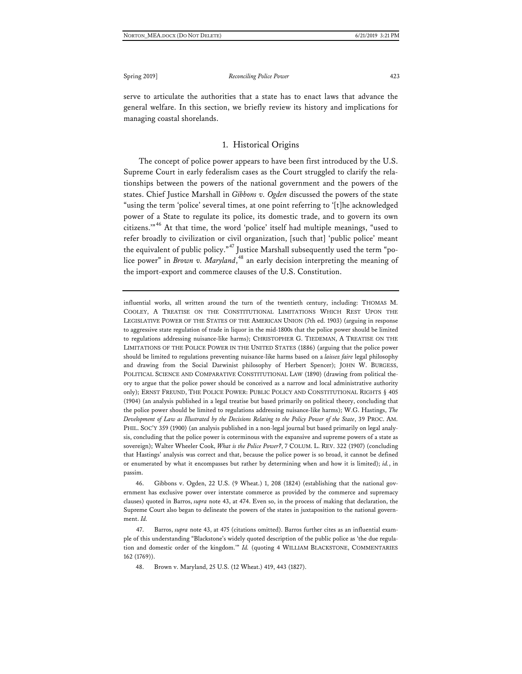serve to articulate the authorities that a state has to enact laws that advance the general welfare. In this section, we briefly review its history and implications for managing coastal shorelands.

## 1. Historical Origins

The concept of police power appears to have been first introduced by the U.S. Supreme Court in early federalism cases as the Court struggled to clarify the relationships between the powers of the national government and the powers of the states. Chief Justice Marshall in *Gibbons v. Ogden* discussed the powers of the state "using the term 'police' several times, at one point referring to '[t]he acknowledged power of a State to regulate its police, its domestic trade, and to govern its own citizens.'" [46](#page-15-0) At that time, the word 'police' itself had multiple meanings, "used to refer broadly to civilization or civil organization, [such that] 'public police' meant the equivalent of public policy."<sup>[47](#page-15-1)</sup> Justice Marshall subsequently used the term "police power" in *Brown v. Maryland*, [48](#page-15-2) an early decision interpreting the meaning of the import-export and commerce clauses of the U.S. Constitution.

influential works, all written around the turn of the twentieth century, including: THOMAS M. COOLEY, A TREATISE ON THE CONSTITUTIONAL LIMITATIONS WHICH REST UPON THE LEGISLATIVE POWER OF THE STATES OF THE AMERICAN UNION (7th ed. 1903) (arguing in response to aggressive state regulation of trade in liquor in the mid-1800s that the police power should be limited to regulations addressing nuisance-like harms); CHRISTOPHER G. TIEDEMAN, A TREATISE ON THE LIMITATIONS OF THE POLICE POWER IN THE UNITED STATES (1886) (arguing that the police power should be limited to regulations preventing nuisance-like harms based on a *laissez faire* legal philosophy and drawing from the Social Darwinist philosophy of Herbert Spencer); JOHN W. BURGESS, POLITICAL SCIENCE AND COMPARATIVE CONSTITUTIONAL LAW (1890) (drawing from political theory to argue that the police power should be conceived as a narrow and local administrative authority only); ERNST FREUND, THE POLICE POWER: PUBLIC POLICY AND CONSTITUTIONAL RIGHTS § 405 (1904) (an analysis published in a legal treatise but based primarily on political theory, concluding that the police power should be limited to regulations addressing nuisance-like harms); W.G. Hastings, *The Development of Law as Illustrated by the Decisions Relating to the Policy Power of the State*, 39 PROC. AM. PHIL. SOC'Y 359 (1900) (an analysis published in a non-legal journal but based primarily on legal analysis, concluding that the police power is coterminous with the expansive and supreme powers of a state as sovereign); Walter Wheeler Cook, *What is the Police Power?*, 7 COLUM. L. REV. 322 (1907) (concluding that Hastings' analysis was correct and that, because the police power is so broad, it cannot be defined or enumerated by what it encompasses but rather by determining when and how it is limited); *id.*, in passim.

<span id="page-15-0"></span>46. Gibbons v. Ogden, 22 U.S. (9 Wheat.) 1, 208 (1824) (establishing that the national government has exclusive power over interstate commerce as provided by the commerce and supremacy clauses) quoted in Barros, *supra* note 43, at 474. Even so, in the process of making that declaration, the Supreme Court also began to delineate the powers of the states in juxtaposition to the national government. *Id.*

<span id="page-15-2"></span><span id="page-15-1"></span>47. Barros, *supra* note 43, at 475 (citations omitted). Barros further cites as an influential example of this understanding "Blackstone's widely quoted description of the public police as 'the due regulation and domestic order of the kingdom.'" *Id.* (quoting 4 WILLIAM BLACKSTONE, COMMENTARIES 162 (1769)).

48. Brown v. Maryland, 25 U.S. (12 Wheat.) 419, 443 (1827).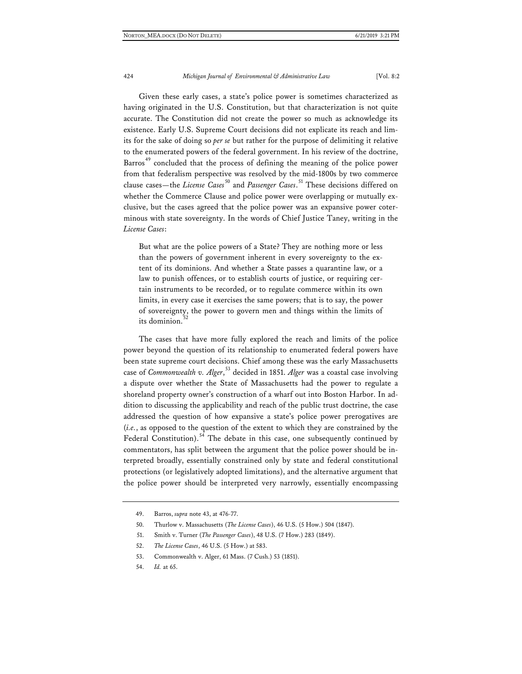Given these early cases, a state's police power is sometimes characterized as having originated in the U.S. Constitution, but that characterization is not quite accurate. The Constitution did not create the power so much as acknowledge its existence. Early U.S. Supreme Court decisions did not explicate its reach and limits for the sake of doing so *per se* but rather for the purpose of delimiting it relative to the enumerated powers of the federal government. In his review of the doctrine, Barros<sup>[49](#page-16-0)</sup> concluded that the process of defining the meaning of the police power from that federalism perspective was resolved by the mid-1800s by two commerce clause cases—the *License Cases* [50](#page-16-1) and *Passenger Cases*. [51](#page-16-2) These decisions differed on whether the Commerce Clause and police power were overlapping or mutually exclusive, but the cases agreed that the police power was an expansive power coterminous with state sovereignty. In the words of Chief Justice Taney, writing in the *License Cases*:

But what are the police powers of a State? They are nothing more or less than the powers of government inherent in every sovereignty to the extent of its dominions. And whether a State passes a quarantine law, or a law to punish offences, or to establish courts of justice, or requiring certain instruments to be recorded, or to regulate commerce within its own limits, in every case it exercises the same powers; that is to say, the power of sovereignty, the power to govern men and things within the limits of its dominion.

The cases that have more fully explored the reach and limits of the police power beyond the question of its relationship to enumerated federal powers have been state supreme court decisions. Chief among these was the early Massachusetts case of *Commonwealth v. Alger*, [53](#page-16-4) decided in 1851. *Alger* was a coastal case involving a dispute over whether the State of Massachusetts had the power to regulate a shoreland property owner's construction of a wharf out into Boston Harbor. In addition to discussing the applicability and reach of the public trust doctrine, the case addressed the question of how expansive a state's police power prerogatives are (*i.e.*, as opposed to the question of the extent to which they are constrained by the Federal Constitution).<sup>[54](#page-16-5)</sup> The debate in this case, one subsequently continued by commentators, has split between the argument that the police power should be interpreted broadly, essentially constrained only by state and federal constitutional protections (or legislatively adopted limitations), and the alternative argument that the police power should be interpreted very narrowly, essentially encompassing

<span id="page-16-5"></span>54. *Id.* at 65.

<span id="page-16-0"></span><sup>49.</sup> Barros, *supra* note 43, at 476-77.

<span id="page-16-2"></span><span id="page-16-1"></span><sup>50.</sup> Thurlow v. Massachusetts (*The License Cases*), 46 U.S. (5 How.) 504 (1847).

<sup>51.</sup> Smith v. Turner (*The Passenger Cases*), 48 U.S. (7 How.) 283 (1849).

<span id="page-16-3"></span><sup>52.</sup> *The License Cases*, 46 U.S. (5 How.) at 583.

<span id="page-16-4"></span><sup>53.</sup> Commonwealth v. Alger, 61 Mass. (7 Cush.) 53 (1851).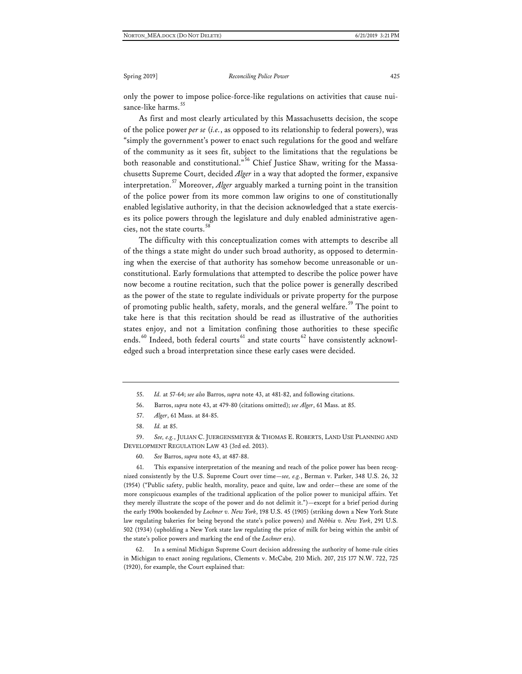only the power to impose police-force-like regulations on activities that cause nui-sance-like harms.<sup>[55](#page-17-0)</sup>

As first and most clearly articulated by this Massachusetts decision, the scope of the police power *per se* (*i.e.*, as opposed to its relationship to federal powers), was "simply the government's power to enact such regulations for the good and welfare of the community as it sees fit, subject to the limitations that the regulations be both reasonable and constitutional." [56](#page-17-1) Chief Justice Shaw, writing for the Massachusetts Supreme Court, decided *Alger* in a way that adopted the former, expansive interpretation.[57](#page-17-2) Moreover, *Alger* arguably marked a turning point in the transition of the police power from its more common law origins to one of constitutionally enabled legislative authority, in that the decision acknowledged that a state exercises its police powers through the legislature and duly enabled administrative agencies, not the state courts.[58](#page-17-3)

The difficulty with this conceptualization comes with attempts to describe all of the things a state might do under such broad authority, as opposed to determining when the exercise of that authority has somehow become unreasonable or unconstitutional. Early formulations that attempted to describe the police power have now become a routine recitation, such that the police power is generally described as the power of the state to regulate individuals or private property for the purpose of promoting public health, safety, morals, and the general welfare.<sup>[59](#page-17-4)</sup> The point to take here is that this recitation should be read as illustrative of the authorities states enjoy, and not a limitation confining those authorities to these specific ends.<sup>[60](#page-17-5)</sup> Indeed, both federal courts<sup>[61](#page-17-6)</sup> and state courts<sup>[62](#page-17-7)</sup> have consistently acknowledged such a broad interpretation since these early cases were decided.

<span id="page-17-4"></span><span id="page-17-3"></span><span id="page-17-2"></span><span id="page-17-1"></span><span id="page-17-0"></span>59. *See, e.g.*, JULIAN C. JUERGENSMEYER & THOMAS E. ROBERTS, LAND USE PLANNING AND DEVELOPMENT REGULATION LAW 43 (3rd ed. 2013).

60. *See* Barros, *supra* note 43, at 487-88.

<span id="page-17-6"></span><span id="page-17-5"></span>61. This expansive interpretation of the meaning and reach of the police power has been recognized consistently by the U.S. Supreme Court over time—*see, e.g.*, Berman v. Parker, 348 U.S. 26, 32 (1954) ("Public safety, public health, morality, peace and quite, law and order—these are some of the more conspicuous examples of the traditional application of the police power to municipal affairs. Yet they merely illustrate the scope of the power and do not delimit it.")—except for a brief period during the early 1900s bookended by *Lochner v. New York*, 198 U.S. 45 (1905) (striking down a New York State law regulating bakeries for being beyond the state's police powers) and *Nebbia v. New York*, 291 U.S. 502 (1934) (upholding a New York state law regulating the price of milk for being within the ambit of the state's police powers and marking the end of the *Lochner* era).

<span id="page-17-7"></span>62. In a seminal Michigan Supreme Court decision addressing the authority of home-rule cities in Michigan to enact zoning regulations, Clements v. McCabe*,* 210 Mich. 207, 215 177 N.W. 722, 725 (1920), for example, the Court explained that:

<sup>55.</sup> *Id.* at 57-64; *see also* Barros, *supra* note 43, at 481-82, and following citations.

<sup>56.</sup> Barros, *supra* note 43, at 479-80 (citations omitted); *see Alger*, 61 Mass. at 85.

<sup>57.</sup> *Alger*, 61 Mass. at 84-85.

<sup>58.</sup> *Id.* at 85.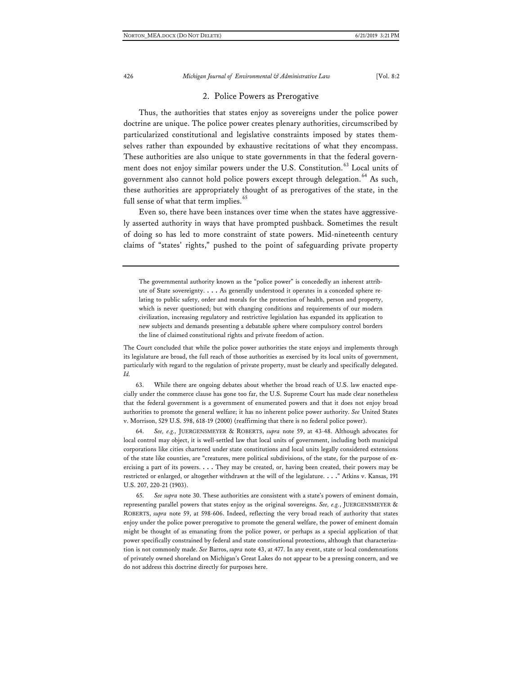### 2. Police Powers as Prerogative

Thus, the authorities that states enjoy as sovereigns under the police power doctrine are unique. The police power creates plenary authorities, circumscribed by particularized constitutional and legislative constraints imposed by states themselves rather than expounded by exhaustive recitations of what they encompass. These authorities are also unique to state governments in that the federal govern-ment does not enjoy similar powers under the U.S. Constitution.<sup>[63](#page-18-0)</sup> Local units of government also cannot hold police powers except through delegation.<sup>[64](#page-18-1)</sup> As such, these authorities are appropriately thought of as prerogatives of the state, in the full sense of what that term implies.<sup>[65](#page-18-2)</sup>

Even so, there have been instances over time when the states have aggressively asserted authority in ways that have prompted pushback. Sometimes the result of doing so has led to more constraint of state powers. Mid-nineteenth century claims of "states' rights," pushed to the point of safeguarding private property

The governmental authority known as the "police power" is concededly an inherent attribute of State sovereignty. . . . As generally understood it operates in a conceded sphere relating to public safety, order and morals for the protection of health, person and property, which is never questioned; but with changing conditions and requirements of our modern civilization, increasing regulatory and restrictive legislation has expanded its application to new subjects and demands presenting a debatable sphere where compulsory control borders the line of claimed constitutional rights and private freedom of action.

The Court concluded that while the police power authorities the state enjoys and implements through its legislature are broad, the full reach of those authorities as exercised by its local units of government, particularly with regard to the regulation of private property, must be clearly and specifically delegated. *Id.*

<span id="page-18-0"></span>63. While there are ongoing debates about whether the broad reach of U.S. law enacted especially under the commerce clause has gone too far, the U.S. Supreme Court has made clear nonetheless that the federal government is a government of enumerated powers and that it does not enjoy broad authorities to promote the general welfare; it has no inherent police power authority. *See* United States v. Morrison, 529 U.S. 598, 618-19 (2000) (reaffirming that there is no federal police power).

<span id="page-18-1"></span>64. *See, e.g.,* JUERGENSMEYER & ROBERTS, *supra* note 59, at 43-48. Although advocates for local control may object, it is well-settled law that local units of government, including both municipal corporations like cities chartered under state constitutions and local units legally considered extensions of the state like counties, are "creatures, mere political subdivisions, of the state, for the purpose of exercising a part of its powers. . . . They may be created, or, having been created, their powers may be restricted or enlarged, or altogether withdrawn at the will of the legislature. . . ." Atkins v. Kansas, 191 U.S. 207, 220-21 (1903).

<span id="page-18-2"></span>65. *See supra* note 30. These authorities are consistent with a state's powers of eminent domain, representing parallel powers that states enjoy as the original sovereigns. *See, e.g.*, JUERGENSMEYER & ROBERTS, *supra* note 59, at 598-606. Indeed, reflecting the very broad reach of authority that states enjoy under the police power prerogative to promote the general welfare, the power of eminent domain might be thought of as emanating from the police power, or perhaps as a special application of that power specifically constrained by federal and state constitutional protections, although that characterization is not commonly made. *See* Barros, *supra* note 43, at 477. In any event, state or local condemnations of privately owned shoreland on Michigan's Great Lakes do not appear to be a pressing concern, and we do not address this doctrine directly for purposes here.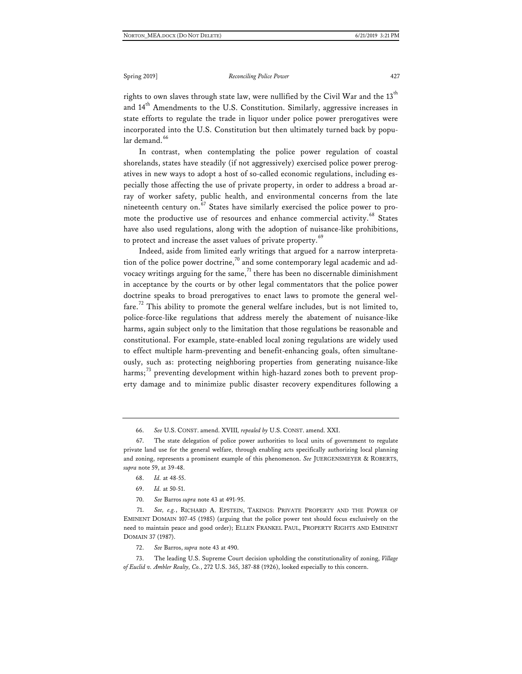rights to own slaves through state law, were nullified by the Civil War and the  $13^{\text{th}}$ and  $14<sup>th</sup>$  Amendments to the U.S. Constitution. Similarly, aggressive increases in state efforts to regulate the trade in liquor under police power prerogatives were incorporated into the U.S. Constitution but then ultimately turned back by popu-lar demand.<sup>[66](#page-19-0)</sup>

In contrast, when contemplating the police power regulation of coastal shorelands, states have steadily (if not aggressively) exercised police power prerogatives in new ways to adopt a host of so-called economic regulations, including especially those affecting the use of private property, in order to address a broad array of worker safety, public health, and environmental concerns from the late nineteenth century on.<sup>[67](#page-19-1)</sup> States have similarly exercised the police power to pro-mote the productive use of resources and enhance commercial activity.<sup>[68](#page-19-2)</sup> States have also used regulations, along with the adoption of nuisance-like prohibitions, to protect and increase the asset values of private property.<sup>[69](#page-19-3)</sup>

Indeed, aside from limited early writings that argued for a narrow interpretation of the police power doctrine, $70$  and some contemporary legal academic and advocacy writings arguing for the same, $^{71}$  $^{71}$  $^{71}$  there has been no discernable diminishment in acceptance by the courts or by other legal commentators that the police power doctrine speaks to broad prerogatives to enact laws to promote the general wel-fare.<sup>[72](#page-19-6)</sup> This ability to promote the general welfare includes, but is not limited to, police-force-like regulations that address merely the abatement of nuisance-like harms, again subject only to the limitation that those regulations be reasonable and constitutional. For example, state-enabled local zoning regulations are widely used to effect multiple harm-preventing and benefit-enhancing goals, often simultaneously, such as: protecting neighboring properties from generating nuisance-like harms; $^{73}$  $^{73}$  $^{73}$  preventing development within high-hazard zones both to prevent property damage and to minimize public disaster recovery expenditures following a

70. *See* Barros *supra* note 43 at 491-95.

<span id="page-19-5"></span><span id="page-19-4"></span><span id="page-19-3"></span>71. *See, e.g.*, RICHARD A. EPSTEIN, TAKINGS: PRIVATE PROPERTY AND THE POWER OF EMINENT DOMAIN 107-45 (1985) (arguing that the police power test should focus exclusively on the need to maintain peace and good order); ELLEN FRANKEL PAUL, PROPERTY RIGHTS AND EMINENT DOMAIN 37 (1987).

72. *See* Barros, *supra* note 43 at 490.

<span id="page-19-7"></span><span id="page-19-6"></span>73. The leading U.S. Supreme Court decision upholding the constitutionality of zoning, *Village of Euclid v. Ambler Realty, Co.*, 272 U.S. 365, 387-88 (1926), looked especially to this concern.

<sup>66.</sup> *See* U.S. CONST. amend. XVIII*, repealed by* U.S. CONST. amend. XXI.

<span id="page-19-2"></span><span id="page-19-1"></span><span id="page-19-0"></span><sup>67.</sup> The state delegation of police power authorities to local units of government to regulate private land use for the general welfare, through enabling acts specifically authorizing local planning and zoning, represents a prominent example of this phenomenon. *See* JUERGENSMEYER & ROBERTS, *supra* note 59, at 39-48.

<sup>68.</sup> *Id.* at 48-55.

<sup>69.</sup> *Id.* at 50-51.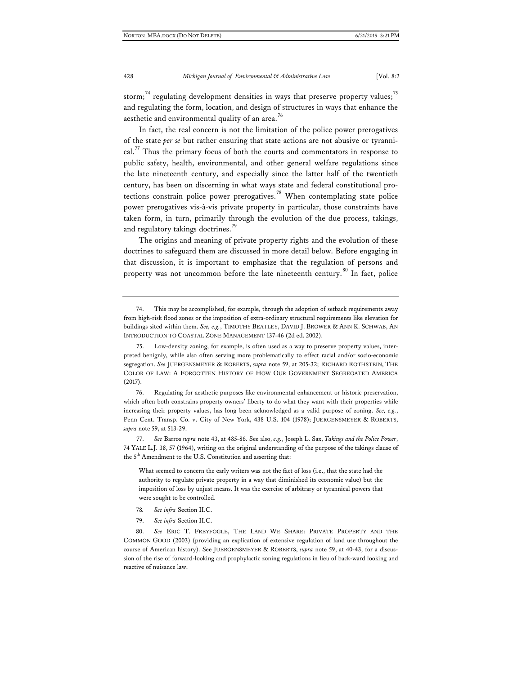storm;<sup>[74](#page-20-0)</sup> regulating development densities in ways that preserve property values;<sup>[75](#page-20-1)</sup> and regulating the form, location, and design of structures in ways that enhance the aesthetic and environmental quality of an area.<sup>[76](#page-20-2)</sup>

In fact, the real concern is not the limitation of the police power prerogatives of the state *per se* but rather ensuring that state actions are not abusive or tyranni-cal.<sup>[77](#page-20-3)</sup> Thus the primary focus of both the courts and commentators in response to public safety, health, environmental, and other general welfare regulations since the late nineteenth century, and especially since the latter half of the twentieth century, has been on discerning in what ways state and federal constitutional pro-tections constrain police power prerogatives.<sup>[78](#page-20-4)</sup> When contemplating state police power prerogatives vis-à-vis private property in particular, those constraints have taken form, in turn, primarily through the evolution of the due process, takings, and regulatory takings doctrines.<sup>[79](#page-20-5)</sup>

The origins and meaning of private property rights and the evolution of these doctrines to safeguard them are discussed in more detail below. Before engaging in that discussion, it is important to emphasize that the regulation of persons and property was not uncommon before the late nineteenth century.<sup>[80](#page-20-6)</sup> In fact, police

<span id="page-20-2"></span>76. Regulating for aesthetic purposes like environmental enhancement or historic preservation, which often both constrains property owners' liberty to do what they want with their properties while increasing their property values, has long been acknowledged as a valid purpose of zoning. *See, e.g.*, Penn Cent. Transp. Co. v. City of New York, 438 U.S. 104 (1978); JUERGENSMEYER & ROBERTS, *supra* note 59, at 513-29.

<span id="page-20-3"></span>77. *See* Barros *supra* note 43, at 485-86. See also, *e.g.*, Joseph L. Sax, *Takings and the Police Power*, 74 YALE L.J. 38, 57 (1964), writing on the original understanding of the purpose of the takings clause of the 5<sup>th</sup> Amendment to the U.S. Constitution and asserting that:

What seemed to concern the early writers was not the fact of loss (i.e., that the state had the authority to regulate private property in a way that diminished its economic value) but the imposition of loss by unjust means. It was the exercise of arbitrary or tyrannical powers that were sought to be controlled.

- 78*. See infra* Section II.C.
- 79. *See infra* Section II.C.

<span id="page-20-6"></span><span id="page-20-5"></span><span id="page-20-4"></span>80. *See* ERIC T. FREYFOGLE, THE LAND WE SHARE: PRIVATE PROPERTY AND THE COMMON GOOD (2003) (providing an explication of extensive regulation of land use throughout the course of American history). See JUERGENSMEYER & ROBERTS, *supra* note 59, at 40-43, for a discussion of the rise of forward-looking and prophylactic zoning regulations in lieu of back-ward looking and reactive of nuisance law.

<span id="page-20-0"></span><sup>74.</sup> This may be accomplished, for example, through the adoption of setback requirements away from high-risk flood zones or the imposition of extra-ordinary structural requirements like elevation for buildings sited within them. *See, e.g.*, TIMOTHY BEATLEY, DAVID J. BROWER & ANN K. SCHWAB, AN INTRODUCTION TO COASTAL ZONE MANAGEMENT 137-46 (2d ed. 2002).

<span id="page-20-1"></span><sup>75.</sup> Low-density zoning, for example, is often used as a way to preserve property values, interpreted benignly, while also often serving more problematically to effect racial and/or socio-economic segregation. *See* JUERGENSMEYER & ROBERTS, *supra* note 59, at 205-32; RICHARD ROTHSTEIN, THE COLOR OF LAW: A FORGOTTEN HISTORY OF HOW OUR GOVERNMENT SEGREGATED AMERICA (2017).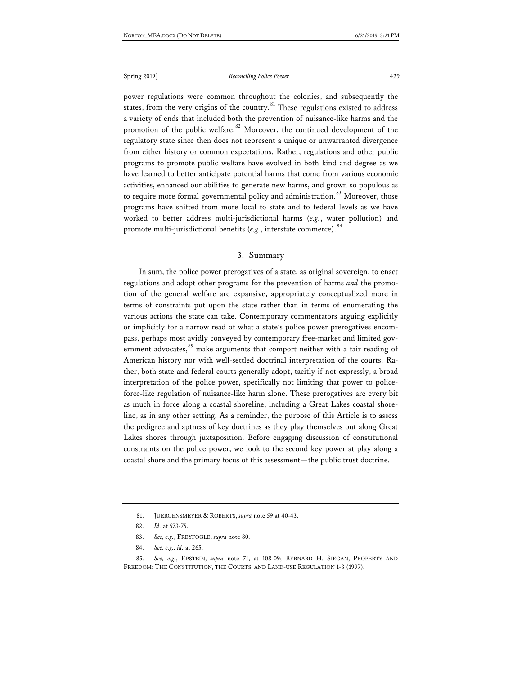power regulations were common throughout the colonies, and subsequently the states, from the very origins of the country. $81$  These regulations existed to address a variety of ends that included both the prevention of nuisance-like harms and the promotion of the public welfare.<sup>[82](#page-21-1)</sup> Moreover, the continued development of the regulatory state since then does not represent a unique or unwarranted divergence from either history or common expectations. Rather, regulations and other public programs to promote public welfare have evolved in both kind and degree as we have learned to better anticipate potential harms that come from various economic activities, enhanced our abilities to generate new harms, and grown so populous as to require more formal governmental policy and administration.<sup>[83](#page-21-2)</sup> Moreover, those programs have shifted from more local to state and to federal levels as we have worked to better address multi-jurisdictional harms (*e.g.*, water pollution) and promote multi-jurisdictional benefits (e.g., interstate commerce). <sup>[84](#page-21-3)</sup>

#### 3. Summary

In sum, the police power prerogatives of a state, as original sovereign, to enact regulations and adopt other programs for the prevention of harms *and* the promotion of the general welfare are expansive, appropriately conceptualized more in terms of constraints put upon the state rather than in terms of enumerating the various actions the state can take. Contemporary commentators arguing explicitly or implicitly for a narrow read of what a state's police power prerogatives encompass, perhaps most avidly conveyed by contemporary free-market and limited gov-ernment advocates,<sup>[85](#page-21-4)</sup> make arguments that comport neither with a fair reading of American history nor with well-settled doctrinal interpretation of the courts. Rather, both state and federal courts generally adopt, tacitly if not expressly, a broad interpretation of the police power, specifically not limiting that power to policeforce-like regulation of nuisance-like harm alone. These prerogatives are every bit as much in force along a coastal shoreline, including a Great Lakes coastal shoreline, as in any other setting. As a reminder, the purpose of this Article is to assess the pedigree and aptness of key doctrines as they play themselves out along Great Lakes shores through juxtaposition. Before engaging discussion of constitutional constraints on the police power, we look to the second key power at play along a coastal shore and the primary focus of this assessment—the public trust doctrine.

<span id="page-21-4"></span><span id="page-21-3"></span><span id="page-21-2"></span><span id="page-21-1"></span><span id="page-21-0"></span>85. *See, e.g.*, EPSTEIN, *supra* note 71, at 108-09; BERNARD H. SIEGAN, PROPERTY AND FREEDOM: THE CONSTITUTION, THE COURTS, AND LAND-USE REGULATION 1-3 (1997).

<sup>81.</sup> JUERGENSMEYER & ROBERTS, *supra* note 59 at 40-43.

<sup>82.</sup> *Id.* at 573-75.

<sup>83.</sup> *See, e.g.*, FREYFOGLE, *supra* note 80.

<sup>84.</sup> *See, e.g., id.* at 265.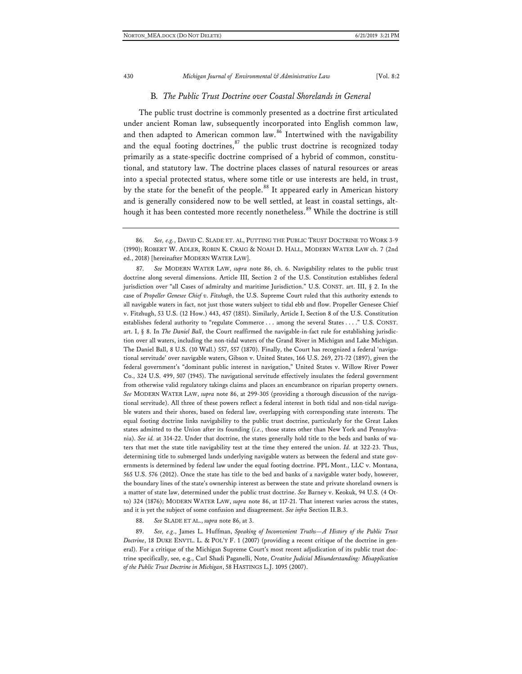#### B*. The Public Trust Doctrine over Coastal Shorelands in General*

The public trust doctrine is commonly presented as a doctrine first articulated under ancient Roman law, subsequently incorporated into English common law, and then adapted to American common law.<sup>[86](#page-22-0)</sup> Intertwined with the navigability and the equal footing doctrines,  $87$  the public trust doctrine is recognized today primarily as a state-specific doctrine comprised of a hybrid of common, constitutional, and statutory law. The doctrine places classes of natural resources or areas into a special protected status, where some title or use interests are held, in trust, by the state for the benefit of the people.<sup>[88](#page-22-2)</sup> It appeared early in American history and is generally considered now to be well settled, at least in coastal settings, alt-hough it has been contested more recently nonetheless.<sup>[89](#page-22-3)</sup> While the doctrine is still

<span id="page-22-1"></span>87. *See* MODERN WATER LAW, *supra* note 86, ch. 6. Navigability relates to the public trust doctrine along several dimensions. Article III, Section 2 of the U.S. Constitution establishes federal jurisdiction over "all Cases of admiralty and maritime Jurisdiction." U.S. CONST. art. III, § 2. In the case of *Propeller Genesee Chief v. Fitzhugh*, the U.S. Supreme Court ruled that this authority extends to all navigable waters in fact, not just those waters subject to tidal ebb and flow. Propeller Genesee Chief v. Fitzhugh, 53 U.S. (12 How.) 443, 457 (1851). Similarly, Article I, Section 8 of the U.S. Constitution establishes federal authority to "regulate Commerce . . . among the several States . . . ." U.S. CONST. art. I, § 8. In *The Daniel Ball*, the Court reaffirmed the navigable-in-fact rule for establishing jurisdiction over all waters, including the non-tidal waters of the Grand River in Michigan and Lake Michigan. The Daniel Ball, 8 U.S. (10 Wall.) 557, 557 (1870). Finally, the Court has recognized a federal 'navigational servitude' over navigable waters, Gibson v. United States, 166 U.S. 269, 271-72 (1897), given the federal government's "dominant public interest in navigation," United States v. Willow River Power Co., 324 U.S. 499, 507 (1945). The navigational servitude effectively insulates the federal government from otherwise valid regulatory takings claims and places an encumbrance on riparian property owners. *See* MODERN WATER LAW, *supra* note 86, at 299-305 (providing a thorough discussion of the navigational servitude). All three of these powers reflect a federal interest in both tidal and non-tidal navigable waters and their shores, based on federal law, overlapping with corresponding state interests. The equal footing doctrine links navigability to the public trust doctrine, particularly for the Great Lakes states admitted to the Union after its founding (*i.e.*, those states other than New York and Pennsylvania). *See id.* at 314-22. Under that doctrine, the states generally hold title to the beds and banks of waters that met the state title navigability test at the time they entered the union. *Id.* at 322-23. Thus, determining title to submerged lands underlying navigable waters as between the federal and state governments is determined by federal law under the equal footing doctrine. PPL Mont., LLC v. Montana, 565 U.S. 576 (2012). Once the state has title to the bed and banks of a navigable water body, however, the boundary lines of the state's ownership interest as between the state and private shoreland owners is a matter of state law, determined under the public trust doctrine. *See* Barney v. Keokuk, 94 U.S. (4 Otto) 324 (1876); MODERN WATER LAW, *supra* note 86, at 117-21. That interest varies across the states, and it is yet the subject of some confusion and disagreement. *See infra* Section II.B.3.

88. *See* SLADE ET AL., *supra* note 86, at 3.

<span id="page-22-3"></span><span id="page-22-2"></span>89. *See, e.g*., James L. Huffman, *Speaking of Inconvenient Truths—A History of the Public Trust Doctrine*, 18 DUKE ENVTL. L. & POL'Y F. 1 (2007) (providing a recent critique of the doctrine in general). For a critique of the Michigan Supreme Court's most recent adjudication of its public trust doctrine specifically, see, e.g., Carl Shadi Paganelli, Note, *Creative Judicial Misunderstanding: Misapplication of the Public Trust Doctrine in Michigan*, 58 HASTINGS L.J. 1095 (2007).

<span id="page-22-0"></span><sup>86.</sup> *See, e.g.*, DAVID C. SLADE ET. AL, PUTTING THE PUBLIC TRUST DOCTRINE TO WORK 3-9 (1990); ROBERT W. ADLER, ROBIN K. CRAIG & NOAH D. HALL, MODERN WATER LAW ch. 7 (2nd ed., 2018) [hereinafter MODERN WATER LAW].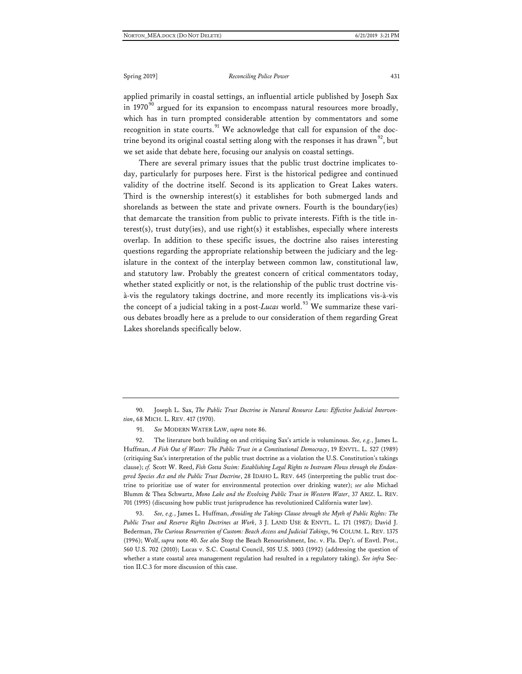applied primarily in coastal settings, an influential article published by Joseph Sax in 1970 $90$  argued for its expansion to encompass natural resources more broadly, which has in turn prompted considerable attention by commentators and some recognition in state courts.<sup>[91](#page-23-1)</sup> We acknowledge that call for expansion of the doc-trine beyond its original coastal setting along with the responses it has drawn<sup>[92](#page-23-2)</sup>, but we set aside that debate here, focusing our analysis on coastal settings.

There are several primary issues that the public trust doctrine implicates today, particularly for purposes here. First is the historical pedigree and continued validity of the doctrine itself. Second is its application to Great Lakes waters. Third is the ownership interest(s) it establishes for both submerged lands and shorelands as between the state and private owners. Fourth is the boundary(ies) that demarcate the transition from public to private interests. Fifth is the title interest(s), trust duty(ies), and use right(s) it establishes, especially where interests overlap. In addition to these specific issues, the doctrine also raises interesting questions regarding the appropriate relationship between the judiciary and the legislature in the context of the interplay between common law, constitutional law, and statutory law. Probably the greatest concern of critical commentators today, whether stated explicitly or not, is the relationship of the public trust doctrine visà-vis the regulatory takings doctrine, and more recently its implications vis-à-vis the concept of a judicial taking in a post-*Lucas* world.<sup>[93](#page-23-3)</sup> We summarize these various debates broadly here as a prelude to our consideration of them regarding Great Lakes shorelands specifically below.

<span id="page-23-0"></span>90. Joseph L. Sax, *The Public Trust Doctrine in Natural Resource Law: Effective Judicial Intervention*, 68 MICH. L. REV. 417 (1970).

91. *See* MODERN WATER LAW, *supra* note 86.

<span id="page-23-2"></span><span id="page-23-1"></span>92. The literature both building on and critiquing Sax's article is voluminous. *See, e.g.*, James L. Huffman, *A Fish Out of Water: The Public Trust in a Constitutional Democracy*, 19 ENVTL. L. 527 (1989) (critiquing Sax's interpretation of the public trust doctrine as a violation the U.S. Constitution's takings clause); *cf.* Scott W. Reed, *Fish Gotta Swim: Establishing Legal Rights to Instream Flows through the Endangered Species Act and the Public Trust Doctrine*, 28 IDAHO L. REV. 645 (interpreting the public trust doctrine to prioritize use of water for environmental protection over drinking water); *see also* Michael Blumm & Thea Schwartz, *Mono Lake and the Evolving Public Trust in Western Water*, 37 ARIZ. L. REV. 701 (1995) (discussing how public trust jurisprudence has revolutionized California water law).

<span id="page-23-3"></span>93. *See, e.g.*, James L. Huffman, *Avoiding the Takings Clause through the Myth of Public Rights: The Public Trust and Reserve Rights Doctrines at Work*, 3 J. LAND USE & ENVTL. L. 171 (1987); David J. Bederman, *The Curious Resurrection of Custom: Beach Access and Judicial Takings*, 96 COLUM. L. REV. 1375 (1996); Wolf, *supra* note 40. *See also* Stop the Beach Renourishment, Inc. v. Fla. Dep't. of Envtl. Prot., 560 U.S. 702 (2010); Lucas v. S.C. Coastal Council, 505 U.S. 1003 (1992) (addressing the question of whether a state coastal area management regulation had resulted in a regulatory taking). *See infra* Section II.C.3 for more discussion of this case.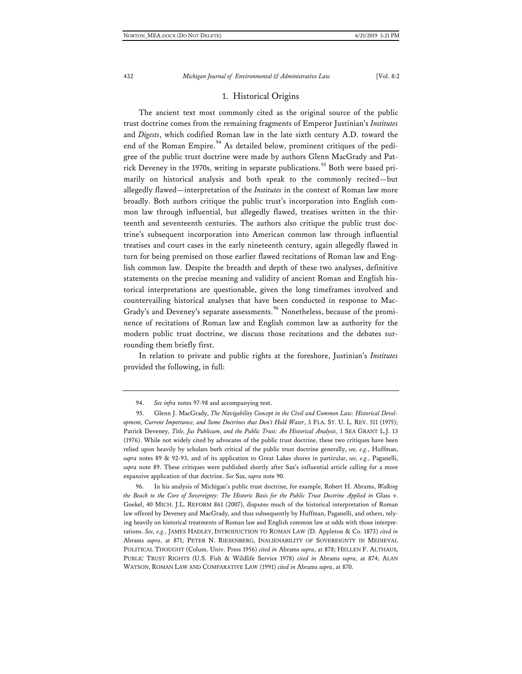### 1. Historical Origins

The ancient text most commonly cited as the original source of the public trust doctrine comes from the remaining fragments of Emperor Justinian's *Institutes* and *Digests*, which codified Roman law in the late sixth century A.D. toward the end of the Roman Empire.<sup>[94](#page-24-0)</sup> As detailed below, prominent critiques of the pedigree of the public trust doctrine were made by authors Glenn MacGrady and Pat-rick Deveney in the 1970s, writing in separate publications.<sup>[95](#page-24-1)</sup> Both were based primarily on historical analysis and both speak to the commonly recited—but allegedly flawed—interpretation of the *Institutes* in the context of Roman law more broadly. Both authors critique the public trust's incorporation into English common law through influential, but allegedly flawed, treatises written in the thirteenth and seventeenth centuries. The authors also critique the public trust doctrine's subsequent incorporation into American common law through influential treatises and court cases in the early nineteenth century, again allegedly flawed in turn for being premised on those earlier flawed recitations of Roman law and English common law. Despite the breadth and depth of these two analyses, definitive statements on the precise meaning and validity of ancient Roman and English historical interpretations are questionable, given the long timeframes involved and countervailing historical analyses that have been conducted in response to Mac-Grady's and Deveney's separate assessments.<sup>[96](#page-24-2)</sup> Nonetheless, because of the prominence of recitations of Roman law and English common law as authority for the modern public trust doctrine, we discuss those recitations and the debates surrounding them briefly first.

In relation to private and public rights at the foreshore, Justinian's *Institutes* provided the following, in full:

<span id="page-24-2"></span>96. In his analysis of Michigan's public trust doctrine, for example, Robert H. Abrams, *Walking the Beach to the Core of Sovereignty: The Historic Basis for the Public Trust Doctrine Applied in* Glass v. Goekel, 40 MICH. J.L. REFORM 861 (2007), disputes much of the historical interpretation of Roman law offered by Deveney and MacGrady, and thus subsequently by Huffman, Paganelli, and others, relying heavily on historical treatments of Roman law and English common law at odds with those interpretations. *See, e.g.*, JAMES HADLEY, INTRODUCTION TO ROMAN LAW (D. Appleton & Co. 1873) *cited in* Abrams *supra*, at 871; PETER N. RIESENBERG, INALIENABILITY OF SOVEREIGNTY IN MEDIEVAL POLITICAL THOUGHT (Colum. Univ. Press 1956) *cited in* Abrams *supra*, at 878; HELLEN F. ALTHAUS, PUBLIC TRUST RIGHTS (U.S. Fish & Wildlife Service 1978) *cited in* Abrams *supra*, at 874; ALAN WATSON, ROMAN LAW AND COMPARATIVE LAW (1991) *cited in* Abrams *supra*, at 870.

<sup>94.</sup> *See infra* notes 97-98 and accompanying text.

<span id="page-24-1"></span><span id="page-24-0"></span><sup>95.</sup> Glenn J. MacGrady, *The Navigability Concept in the Civil and Common Law: Historical Development, Current Importance, and Some Doctrines that Don't Hold Water*, 3 FLA. ST. U. L. REV. 511 (1975); Patrick Deveney, *Title, Jus Publicum, and the Public Trust: An Historical Analysis*, 1 SEA GRANT L.J. 13 (1976). While not widely cited by advocates of the public trust doctrine, these two critiques have been relied upon heavily by scholars both critical of the public trust doctrine generally, *see, e.g.*, Huffman, *supra* notes 89 & 92-93, and of its application to Great Lakes shores in particular, *see, e.g.,* Paganelli, *supra* note 89. These critiques were published shortly after Sax's influential article calling for a more expansive application of that doctrine. *See* Sax, *supra* note 90.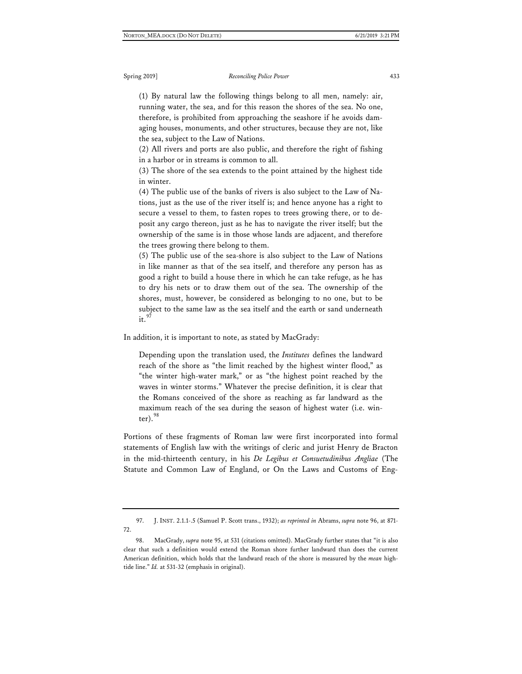(1) By natural law the following things belong to all men, namely: air, running water, the sea, and for this reason the shores of the sea. No one, therefore, is prohibited from approaching the seashore if he avoids damaging houses, monuments, and other structures, because they are not, like the sea, subject to the Law of Nations.

(2) All rivers and ports are also public, and therefore the right of fishing in a harbor or in streams is common to all.

(3) The shore of the sea extends to the point attained by the highest tide in winter.

(4) The public use of the banks of rivers is also subject to the Law of Nations, just as the use of the river itself is; and hence anyone has a right to secure a vessel to them, to fasten ropes to trees growing there, or to deposit any cargo thereon, just as he has to navigate the river itself; but the ownership of the same is in those whose lands are adjacent, and therefore the trees growing there belong to them.

(5) The public use of the sea-shore is also subject to the Law of Nations in like manner as that of the sea itself, and therefore any person has as good a right to build a house there in which he can take refuge, as he has to dry his nets or to draw them out of the sea. The ownership of the shores, must, however, be considered as belonging to no one, but to be subject to the same law as the sea itself and the earth or sand underneath it. $97$ 

In addition, it is important to note, as stated by MacGrady:

Depending upon the translation used, the *Institutes* defines the landward reach of the shore as "the limit reached by the highest winter flood," as "the winter high-water mark," or as "the highest point reached by the waves in winter storms." Whatever the precise definition, it is clear that the Romans conceived of the shore as reaching as far landward as the maximum reach of the sea during the season of highest water (i.e. winter).  $98$ 

Portions of these fragments of Roman law were first incorporated into formal statements of English law with the writings of cleric and jurist Henry de Bracton in the mid-thirteenth century, in his *De Legibus et Consuetudinibus Angliae* (The Statute and Common Law of England, or On the Laws and Customs of Eng-

<span id="page-25-0"></span><sup>97.</sup> J. INST. 2.1.1-.5 (Samuel P. Scott trans., 1932); *as reprinted in* Abrams, *supra* note 96, at 871- 72.

<span id="page-25-1"></span><sup>98.</sup> MacGrady, *supra* note 95, at 531 (citations omitted). MacGrady further states that "it is also clear that such a definition would extend the Roman shore further landward than does the current American definition, which holds that the landward reach of the shore is measured by the *mean* hightide line." *Id.* at 531-32 (emphasis in original).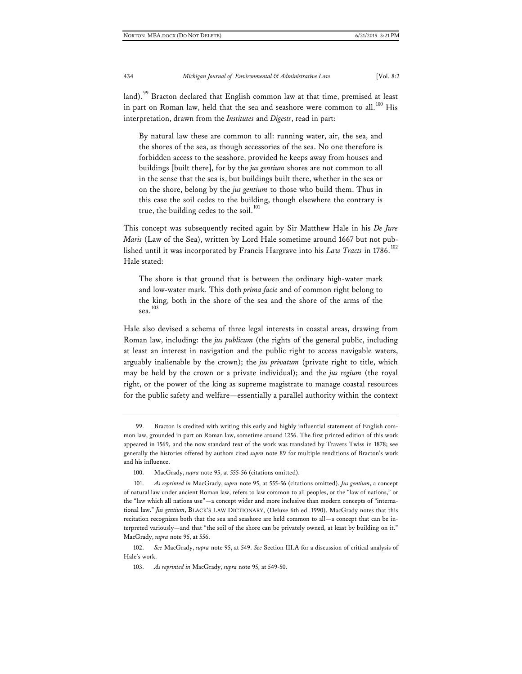land).<sup>[99](#page-26-0)</sup> Bracton declared that English common law at that time, premised at least in part on Roman law, held that the sea and seashore were common to all.<sup>[100](#page-26-1)</sup> His interpretation, drawn from the *Institutes* and *Digests*, read in part:

By natural law these are common to all: running water, air, the sea, and the shores of the sea, as though accessories of the sea. No one therefore is forbidden access to the seashore, provided he keeps away from houses and buildings [built there], for by the *jus gentium* shores are not common to all in the sense that the sea is, but buildings built there, whether in the sea or on the shore, belong by the *jus gentium* to those who build them. Thus in this case the soil cedes to the building, though elsewhere the contrary is true, the building cedes to the soil. $^{101}$  $^{101}$  $^{101}$ 

This concept was subsequently recited again by Sir Matthew Hale in his *De Jure Maris* (Law of the Sea), written by Lord Hale sometime around 1667 but not published until it was incorporated by Francis Hargrave into his *Law Tracts* in 1786.<sup>[102](#page-26-3)</sup> Hale stated:

The shore is that ground that is between the ordinary high-water mark and low-water mark. This doth *prima facie* and of common right belong to the king, both in the shore of the sea and the shore of the arms of the sea. $^\mathrm{103}$  $^\mathrm{103}$  $^\mathrm{103}$ 

Hale also devised a schema of three legal interests in coastal areas, drawing from Roman law, including: the *jus publicum* (the rights of the general public, including at least an interest in navigation and the public right to access navigable waters, arguably inalienable by the crown); the *jus privatum* (private right to title, which may be held by the crown or a private individual); and the *jus regium* (the royal right, or the power of the king as supreme magistrate to manage coastal resources for the public safety and welfare—essentially a parallel authority within the context

<span id="page-26-0"></span><sup>99.</sup> Bracton is credited with writing this early and highly influential statement of English common law, grounded in part on Roman law, sometime around 1256. The first printed edition of this work appeared in 1569, and the now standard text of the work was translated by Travers Twiss in 1878; see generally the histories offered by authors cited *supra* note 89 for multiple renditions of Bracton's work and his influence.

<sup>100.</sup> MacGrady, *supra* note 95, at 555-56 (citations omitted).

<span id="page-26-2"></span><span id="page-26-1"></span><sup>101.</sup> *As reprinted in* MacGrady, *supra* note 95, at 555-56 (citations omitted). *Jus gentium*, a concept of natural law under ancient Roman law, refers to law common to all peoples, or the "law of nations," or the "law which all nations use"—a concept wider and more inclusive than modern concepts of "international law." *Jus gentium*, BLACK'S LAW DICTIONARY, (Deluxe 6th ed. 1990). MacGrady notes that this recitation recognizes both that the sea and seashore are held common to all—a concept that can be interpreted variously—and that "the soil of the shore can be privately owned, at least by building on it." MacGrady, *supra* note 95, at 556.

<span id="page-26-4"></span><span id="page-26-3"></span><sup>102.</sup> *See* MacGrady, *supra* note 95, at 549. *See* Section III.A for a discussion of critical analysis of Hale's work.

<sup>103.</sup> *As reprinted in* MacGrady, *supra* note 95, at 549-50.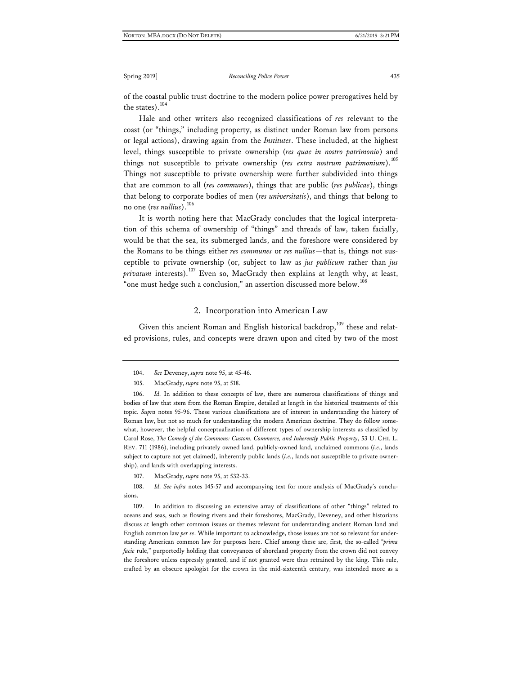of the coastal public trust doctrine to the modern police power prerogatives held by the states).<sup>[104](#page-27-0)</sup>

Hale and other writers also recognized classifications of *res* relevant to the coast (or "things," including property, as distinct under Roman law from persons or legal actions), drawing again from the *Institutes*. These included, at the highest level, things susceptible to private ownership (*res quae in nostro patrimonio*) and things not susceptible to private ownership (res extra nostrum patrimonium).<sup>[105](#page-27-1)</sup> Things not susceptible to private ownership were further subdivided into things that are common to all (*res communes*), things that are public (*res publicae*), things that belong to corporate bodies of men (*res universitatis*), and things that belong to no one (*res nullius*).[106](#page-27-2)

It is worth noting here that MacGrady concludes that the logical interpretation of this schema of ownership of "things" and threads of law, taken facially, would be that the sea, its submerged lands, and the foreshore were considered by the Romans to be things either *res communes* or *res nullius*—that is, things not susceptible to private ownership (or, subject to law as *jus publicum* rather than *jus privatum* interests).<sup>[107](#page-27-3)</sup> Even so, MacGrady then explains at length why, at least, "one must hedge such a conclusion," an assertion discussed more below.<sup>[108](#page-27-4)</sup>

#### 2. Incorporation into American Law

Given this ancient Roman and English historical backdrop,<sup>[109](#page-27-5)</sup> these and related provisions, rules, and concepts were drawn upon and cited by two of the most

107. MacGrady, *supra* note 95, at 532-33.

<span id="page-27-4"></span><span id="page-27-3"></span>108. *Id. See infra* notes 145-57 and accompanying text for more analysis of MacGrady's conclusions.

<span id="page-27-5"></span>109. In addition to discussing an extensive array of classifications of other "things" related to oceans and seas, such as flowing rivers and their foreshores, MacGrady, Deveney, and other historians discuss at length other common issues or themes relevant for understanding ancient Roman land and English common law *per se*. While important to acknowledge, those issues are not so relevant for understanding American common law for purposes here. Chief among these are, first, the so-called "*prima facie* rule," purportedly holding that conveyances of shoreland property from the crown did not convey the foreshore unless expressly granted, and if not granted were thus retrained by the king. This rule, crafted by an obscure apologist for the crown in the mid-sixteenth century, was intended more as a

<sup>104.</sup> *See* Deveney, *supra* note 95, at 45-46.

<sup>105.</sup> MacGrady, *supra* note 95, at 518.

<span id="page-27-2"></span><span id="page-27-1"></span><span id="page-27-0"></span><sup>106.</sup> *Id.* In addition to these concepts of law, there are numerous classifications of things and bodies of law that stem from the Roman Empire, detailed at length in the historical treatments of this topic. *Supra* notes 95-96. These various classifications are of interest in understanding the history of Roman law, but not so much for understanding the modern American doctrine. They do follow somewhat, however, the helpful conceptualization of different types of ownership interests as classified by Carol Rose, *The Comedy of the Commons: Custom, Commerce, and Inherently Public Property*, 53 U. CHI. L. REV. 711 (1986), including privately owned land, publicly-owned land, unclaimed commons (*i.e.*, lands subject to capture not yet claimed), inherently public lands (*i.e.*, lands not susceptible to private ownership), and lands with overlapping interests.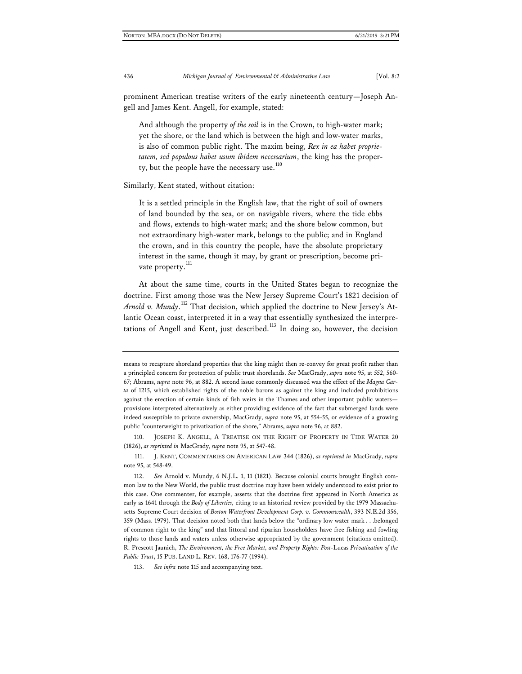prominent American treatise writers of the early nineteenth century—Joseph Angell and James Kent. Angell, for example, stated:

And although the property *of the soil* is in the Crown, to high-water mark; yet the shore, or the land which is between the high and low-water marks, is also of common public right. The maxim being, *Rex in ea habet proprietatem, sed populous habet usum ibidem necessarium*, the king has the proper-ty, but the people have the necessary use.<sup>[110](#page-28-0)</sup>

Similarly, Kent stated, without citation:

It is a settled principle in the English law, that the right of soil of owners of land bounded by the sea, or on navigable rivers, where the tide ebbs and flows, extends to high-water mark; and the shore below common, but not extraordinary high-water mark, belongs to the public; and in England the crown, and in this country the people, have the absolute proprietary interest in the same, though it may, by grant or prescription, become pri-vate property.<sup>[111](#page-28-1)</sup>

At about the same time, courts in the United States began to recognize the doctrine. First among those was the New Jersey Supreme Court's 1821 decision of *Arnold v. Mundy*. [112](#page-28-2) That decision, which applied the doctrine to New Jersey's Atlantic Ocean coast, interpreted it in a way that essentially synthesized the interpre-tations of Angell and Kent, just described.<sup>[113](#page-28-3)</sup> In doing so, however, the decision

means to recapture shoreland properties that the king might then re-convey for great profit rather than a principled concern for protection of public trust shorelands. *See* MacGrady, *supra* note 95, at 552, 560- 67; Abrams, *supra* note 96, at 882. A second issue commonly discussed was the effect of the *Magna Carta* of 1215, which established rights of the noble barons as against the king and included prohibitions against the erection of certain kinds of fish weirs in the Thames and other important public waters provisions interpreted alternatively as either providing evidence of the fact that submerged lands were indeed susceptible to private ownership, MacGrady, *supra* note 95, at 554-55, or evidence of a growing public "counterweight to privatization of the shore," Abrams, *supra* note 96, at 882.

<span id="page-28-0"></span><sup>110.</sup> JOSEPH K. ANGELL, A TREATISE ON THE RIGHT OF PROPERTY IN TIDE WATER 20 (1826), *as reprinted in* MacGrady, *supra* note 95, at 547-48.

<span id="page-28-1"></span><sup>111.</sup> J. KENT, COMMENTARIES ON AMERICAN LAW 344 (1826), *as reprinted in* MacGrady, *supra* note 95, at 548-49.

<span id="page-28-2"></span><sup>112.</sup> *See* Arnold v. Mundy, 6 N.J.L. 1, 11 (1821). Because colonial courts brought English common law to the New World, the public trust doctrine may have been widely understood to exist prior to this case. One commenter, for example, asserts that the doctrine first appeared in North America as early as 1641 through the *Body of Liberties,* citing to an historical review provided by the 1979 Massachusetts Supreme Court decision of *Boston Waterfront Development Corp. v. Commonwealth*, 393 N.E.2d 356, 359 (Mass. 1979). That decision noted both that lands below the "ordinary low water mark . . .belonged of common right to the king" and that littoral and riparian householders have free fishing and fowling rights to those lands and waters unless otherwise appropriated by the government (citations omitted). R. Prescott Jaunich, *The Environment, the Free Market, and Property Rights: Post-*Lucas *Privatization of the Public Trust*, 15 PUB. LAND L. REV. 168, 176-77 (1994).

<span id="page-28-3"></span><sup>113.</sup> *See infra* note 115 and accompanying text.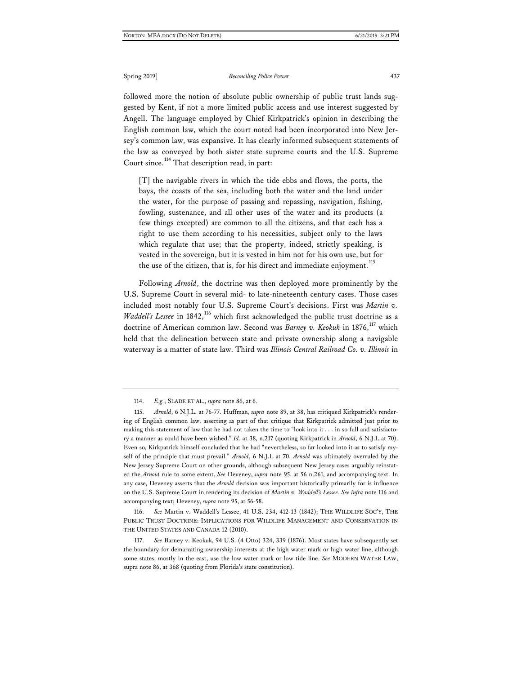followed more the notion of absolute public ownership of public trust lands suggested by Kent, if not a more limited public access and use interest suggested by Angell. The language employed by Chief Kirkpatrick's opinion in describing the English common law, which the court noted had been incorporated into New Jersey's common law, was expansive. It has clearly informed subsequent statements of the law as conveyed by both sister state supreme courts and the U.S. Supreme Court since.<sup>[114](#page-29-0)</sup> That description read, in part:

[T] the navigable rivers in which the tide ebbs and flows, the ports, the bays, the coasts of the sea, including both the water and the land under the water, for the purpose of passing and repassing, navigation, fishing, fowling, sustenance, and all other uses of the water and its products (a few things excepted) are common to all the citizens, and that each has a right to use them according to his necessities, subject only to the laws which regulate that use; that the property, indeed, strictly speaking, is vested in the sovereign, but it is vested in him not for his own use, but for the use of the citizen, that is, for his direct and immediate enjoyment.<sup>[115](#page-29-1)</sup>

Following *Arnold*, the doctrine was then deployed more prominently by the U.S. Supreme Court in several mid- to late-nineteenth century cases. Those cases included most notably four U.S. Supreme Court's decisions. First was *Martin v. Waddell's Lessee* in 1842,<sup>[116](#page-29-2)</sup> which first acknowledged the public trust doctrine as a doctrine of American common law. Second was *Barney v. Keokuk* in 1876,<sup>[117](#page-29-3)</sup> which held that the delineation between state and private ownership along a navigable waterway is a matter of state law. Third was *Illinois Central Railroad Co. v. Illinois* in

<span id="page-29-2"></span>116. *See* Martin v. Waddell's Lessee, 41 U.S. 234, 412-13 (1842); THE WILDLIFE SOC'Y, THE PUBLIC TRUST DOCTRINE: IMPLICATIONS FOR WILDLIFE MANAGEMENT AND CONSERVATION IN THE UNITED STATES AND CANADA 12 (2010).

<span id="page-29-3"></span>117. *See* Barney v. Keokuk, 94 U.S. (4 Otto) 324, 339 (1876). Most states have subsequently set the boundary for demarcating ownership interests at the high water mark or high water line, although some states, mostly in the east, use the low water mark or low tide line. *See* MODERN WATER LAW, supra note 86, at 368 (quoting from Florida's state constitution).

<sup>114.</sup> *E.g.*, SLADE ET AL., *supra* note 86, at 6.

<span id="page-29-1"></span><span id="page-29-0"></span><sup>115.</sup> *Arnold*, 6 N.J.L. at 76-77. Huffman, *supra* note 89, at 38, has critiqued Kirkpatrick's rendering of English common law, asserting as part of that critique that Kirkpatrick admitted just prior to making this statement of law that he had not taken the time to "look into it . . . in so full and satisfactory a manner as could have been wished." *Id.* at 38, n.217 (quoting Kirkpatrick in *Arnold*, 6 N.J.L at 70). Even so, Kirkpatrick himself concluded that he had "nevertheless, so far looked into it as to satisfy myself of the principle that must prevail." *Arnold*, 6 N.J.L at 70. *Arnold* was ultimately overruled by the New Jersey Supreme Court on other grounds, although subsequent New Jersey cases arguably reinstated the *Arnold* rule to some extent. *See* Deveney, *supra* note 95, at 56 n.261, and accompanying text. In any case, Deveney asserts that the *Arnold* decision was important historically primarily for is influence on the U.S. Supreme Court in rendering its decision of *Martin v. Waddell's Lessee*. *See infra* note 116 and accompanying text; Deveney, *supra* note 95, at 56-58.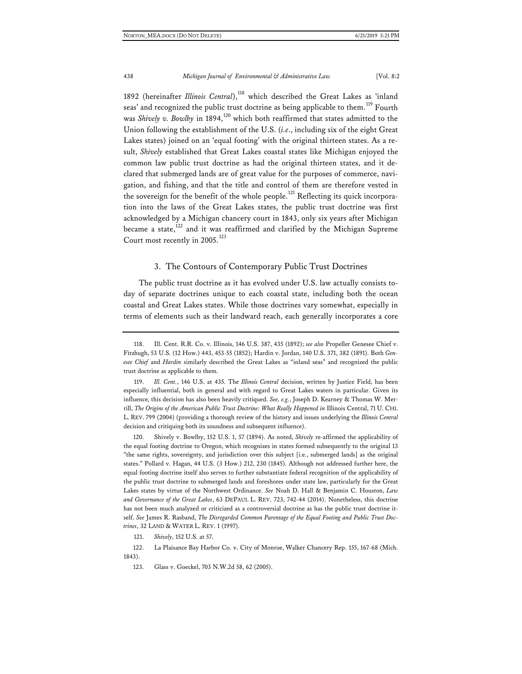1892 (hereinafter *Illinois Central*),<sup>[118](#page-30-0)</sup> which described the Great Lakes as 'inland seas' and recognized the public trust doctrine as being applicable to them.<sup>[119](#page-30-1)</sup> Fourth was *Shively v. Bowlby* in 1894,<sup>[120](#page-30-2)</sup> which both reaffirmed that states admitted to the Union following the establishment of the U.S. (*i.e*., including six of the eight Great Lakes states) joined on an 'equal footing' with the original thirteen states. As a result, *Shively* established that Great Lakes coastal states like Michigan enjoyed the common law public trust doctrine as had the original thirteen states, and it declared that submerged lands are of great value for the purposes of commerce, navigation, and fishing, and that the title and control of them are therefore vested in the sovereign for the benefit of the whole people.<sup>[121](#page-30-3)</sup> Reflecting its quick incorporation into the laws of the Great Lakes states, the public trust doctrine was first acknowledged by a Michigan chancery court in 1843, only six years after Michigan became a state, $122$  and it was reaffirmed and clarified by the Michigan Supreme Court most recently in 2005.<sup>[123](#page-30-5)</sup>

#### 3. The Contours of Contemporary Public Trust Doctrines

The public trust doctrine as it has evolved under U.S. law actually consists today of separate doctrines unique to each coastal state, including both the ocean coastal and Great Lakes states. While those doctrines vary somewhat, especially in terms of elements such as their landward reach, each generally incorporates a core

<span id="page-30-2"></span>120. Shively v. Bowlby, 152 U.S. 1, 57 (1894). As noted, *Shively* re-affirmed the applicability of the equal footing doctrine to Oregon, which recognizes in states formed subsequently to the original 13 "the same rights, sovereignty, and jurisdiction over this subject [i.e., submerged lands] as the original states." Pollard v. Hagan, 44 U.S. (3 How.) 212, 230 (1845). Although not addressed further here, the equal footing doctrine itself also serves to further substantiate federal recognition of the applicability of the public trust doctrine to submerged lands and foreshores under state law, particularly for the Great Lakes states by virtue of the Northwest Ordinance. *See* Noah D. Hall & Benjamin C. Houston, *Law and Governance of the Great Lakes*, 63 DEPAUL L. REV. 723, 742-44 (2014). Nonetheless, this doctrine has not been much analyzed or criticized as a controversial doctrine as has the public trust doctrine itself. *See* James R. Rasband, *The Disregarded Common Parentage of the Equal Footing and Public Trust Doctrines*, 32 LAND & WATER L. REV. 1 (1997).

121. *Shively*, 152 U.S. at 57.

<span id="page-30-5"></span><span id="page-30-4"></span><span id="page-30-3"></span>122. La Plaisance Bay Harbor Co. v. City of Monroe, Walker Chancery Rep. 155, 167-68 (Mich. 1843).

123. Glass v. Goeckel, 703 N.W.2d 58, 62 (2005).

<span id="page-30-0"></span><sup>118.</sup> Ill. Cent. R.R. Co. v. Illinois, 146 U.S. 387, 435 (1892); *see also* Propeller Genesee Chief v. Fitzhugh, 53 U.S. (12 How.) 443, 453-55 (1852); Hardin v. Jordan, 140 U.S. 371, 382 (1891). Both *Genesee Chief* and *Hardin* similarly described the Great Lakes as "inland seas" and recognized the public trust doctrine as applicable to them.

<span id="page-30-1"></span><sup>119.</sup> *Ill. Cent.*, 146 U.S. at 435. The *Illinois Central* decision, written by Justice Field, has been especially influential, both in general and with regard to Great Lakes waters in particular. Given its influence, this decision has also been heavily critiqued. *See, e.g.*, Joseph D. Kearney & Thomas W. Merrill, *The Origins of the American Public Trust Doctrine: What Really Happened in* Illinois Central, 71 U. CHI. L. REV. 799 (2004) (providing a thorough review of the history and issues underlying the *Illinois Central* decision and critiquing both its soundness and subsequent influence).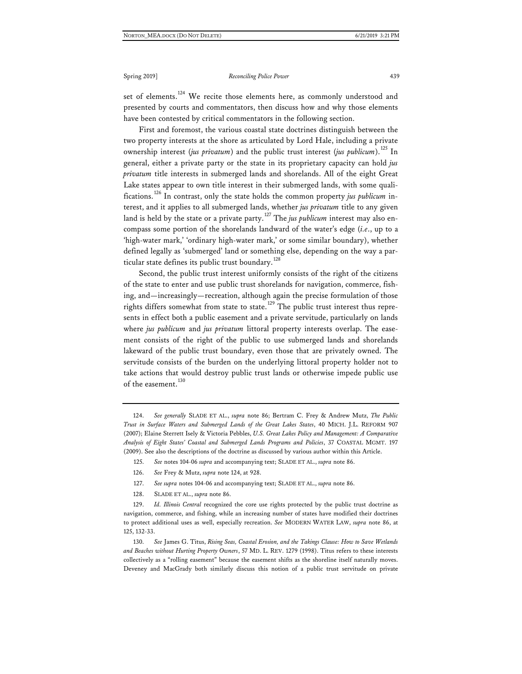set of elements.<sup>[124](#page-31-0)</sup> We recite those elements here, as commonly understood and presented by courts and commentators, then discuss how and why those elements have been contested by critical commentators in the following section.

First and foremost, the various coastal state doctrines distinguish between the two property interests at the shore as articulated by Lord Hale, including a private ownership interest (*jus privatum*) and the public trust interest (*jus publicum*).<sup>[125](#page-31-1)</sup> In general, either a private party or the state in its proprietary capacity can hold *jus privatum* title interests in submerged lands and shorelands. All of the eight Great Lake states appear to own title interest in their submerged lands, with some qualifications.[126](#page-31-2) In contrast, only the state holds the common property *jus publicum* interest, and it applies to all submerged lands, whether *jus privatum* title to any given land is held by the state or a private party.<sup>[127](#page-31-3)</sup> The *jus publicum* interest may also encompass some portion of the shorelands landward of the water's edge (*i.e*., up to a 'high-water mark,' 'ordinary high-water mark,' or some similar boundary), whether defined legally as 'submerged' land or something else, depending on the way a par-ticular state defines its public trust boundary.<sup>[128](#page-31-4)</sup>

Second, the public trust interest uniformly consists of the right of the citizens of the state to enter and use public trust shorelands for navigation, commerce, fishing, and—increasingly—recreation, although again the precise formulation of those rights differs somewhat from state to state.<sup>[129](#page-31-5)</sup> The public trust interest thus represents in effect both a public easement and a private servitude, particularly on lands where *jus publicum* and *jus privatum* littoral property interests overlap. The easement consists of the right of the public to use submerged lands and shorelands lakeward of the public trust boundary, even those that are privately owned. The servitude consists of the burden on the underlying littoral property holder not to take actions that would destroy public trust lands or otherwise impede public use of the easement.<sup>[130](#page-31-6)</sup>

128. SLADE ET AL., *supra* note 86.

<span id="page-31-5"></span><span id="page-31-4"></span><span id="page-31-3"></span><span id="page-31-2"></span>129. *Id. Illinois Central* recognized the core use rights protected by the public trust doctrine as navigation, commerce, and fishing, while an increasing number of states have modified their doctrines to protect additional uses as well, especially recreation. *See* MODERN WATER LAW, *supra* note 86, at 125, 132-33.

<span id="page-31-6"></span>130. *See* James G. Titus, *Rising Seas, Coastal Erosion, and the Takings Clause: How to Save Wetlands and Beaches without Hurting Property Owners*, 57 MD. L. REV. 1279 (1998). Titus refers to these interests collectively as a "rolling easement" because the easement shifts as the shoreline itself naturally moves. Deveney and MacGrady both similarly discuss this notion of a public trust servitude on private

<span id="page-31-1"></span><span id="page-31-0"></span><sup>124.</sup> *See generally* SLADE ET AL., *supra* note 86; Bertram C. Frey & Andrew Mutz, *The Public Trust in Surface Waters and Submerged Lands of the Great Lakes States*, 40 MICH. J.L. REFORM 907 (2007); Elaine Sterrett Isely & Victoria Pebbles, *U.S. Great Lakes Policy and Management: A Comparative Analysis of Eight States' Coastal and Submerged Lands Programs and Policies*, 37 COASTAL MGMT. 197 (2009). See also the descriptions of the doctrine as discussed by various author within this Article.

<sup>125.</sup> *See* notes 104-06 *supra* and accompanying text; SLADE ET AL., *supra* note 86.

<sup>126.</sup> *See* Frey & Mutz, *supra* note 124, at 928.

<sup>127.</sup> *See supra* notes 104-06 and accompanying text; SLADE ET AL., *supra* note 86.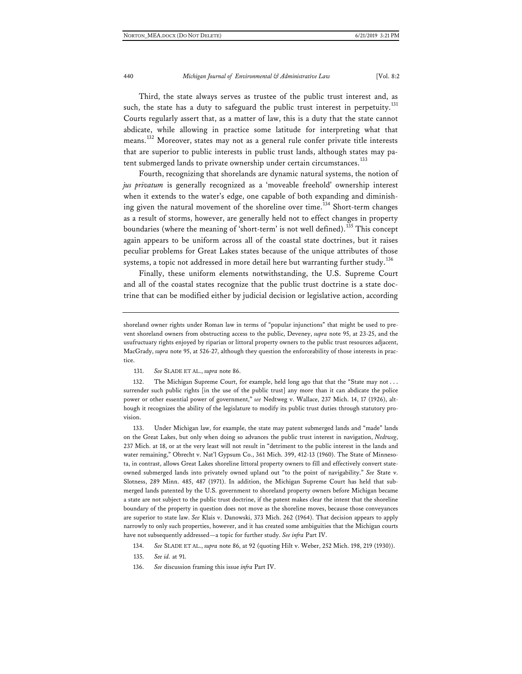Third, the state always serves as trustee of the public trust interest and, as such, the state has a duty to safeguard the public trust interest in perpetuity.<sup>[131](#page-32-0)</sup> Courts regularly assert that, as a matter of law, this is a duty that the state cannot abdicate, while allowing in practice some latitude for interpreting what that means.[132](#page-32-1) Moreover, states may not as a general rule confer private title interests that are superior to public interests in public trust lands, although states may pa-tent submerged lands to private ownership under certain circumstances.<sup>[133](#page-32-2)</sup>

Fourth, recognizing that shorelands are dynamic natural systems, the notion of *jus privatum* is generally recognized as a 'moveable freehold' ownership interest when it extends to the water's edge, one capable of both expanding and diminish-ing given the natural movement of the shoreline over time.<sup>[134](#page-32-3)</sup> Short-term changes as a result of storms, however, are generally held not to effect changes in property boundaries (where the meaning of 'short-term' is not well defined).<sup>[135](#page-32-4)</sup> This concept again appears to be uniform across all of the coastal state doctrines, but it raises peculiar problems for Great Lakes states because of the unique attributes of those systems, a topic not addressed in more detail here but warranting further study.<sup>[136](#page-32-5)</sup>

Finally, these uniform elements notwithstanding, the U.S. Supreme Court and all of the coastal states recognize that the public trust doctrine is a state doctrine that can be modified either by judicial decision or legislative action, according

<span id="page-32-1"></span><span id="page-32-0"></span>132. The Michigan Supreme Court, for example, held long ago that that the "State may not . . . surrender such public rights [in the use of the public trust] any more than it can abdicate the police power or other essential power of government," *see* Nedtweg v. Wallace, 237 Mich. 14, 17 (1926), although it recognizes the ability of the legislature to modify its public trust duties through statutory provision.

<span id="page-32-2"></span>133. Under Michigan law, for example, the state may patent submerged lands and "made" lands on the Great Lakes, but only when doing so advances the public trust interest in navigation, *Nedtweg*, 237 Mich. at 18, or at the very least will not result in "detriment to the public interest in the lands and water remaining," Obrecht v. Nat'l Gypsum Co., 361 Mich. 399, 412-13 (1960). The State of Minnesota, in contrast, allows Great Lakes shoreline littoral property owners to fill and effectively convert stateowned submerged lands into privately owned upland out "to the point of navigability." *See* State v. Slotness, 289 Minn. 485, 487 (1971). In addition, the Michigan Supreme Court has held that submerged lands patented by the U.S. government to shoreland property owners before Michigan became a state are not subject to the public trust doctrine, if the patent makes clear the intent that the shoreline boundary of the property in question does not move as the shoreline moves, because those conveyances are superior to state law. *See* Klais v. Danowski, 373 Mich. 262 (1964). That decision appears to apply narrowly to only such properties, however, and it has created some ambiguities that the Michigan courts have not subsequently addressed—a topic for further study. *See infra* Part IV.

<span id="page-32-3"></span>134. *See* SLADE ET AL., *supra* note 86, at 92 (quoting Hilt v. Weber, 252 Mich. 198, 219 (1930)).

<span id="page-32-4"></span>135. *See id.* at 91.

<span id="page-32-5"></span>136. *See* discussion framing this issue *infra* Part IV.

shoreland owner rights under Roman law in terms of "popular injunctions" that might be used to prevent shoreland owners from obstructing access to the public, Deveney, *supra* note 95, at 23-25, and the usufructuary rights enjoyed by riparian or littoral property owners to the public trust resources adjacent, MacGrady, *supra* note 95, at 526-27, although they question the enforceability of those interests in practice.

<sup>131.</sup> *See* SLADE ET AL., *supra* note 86.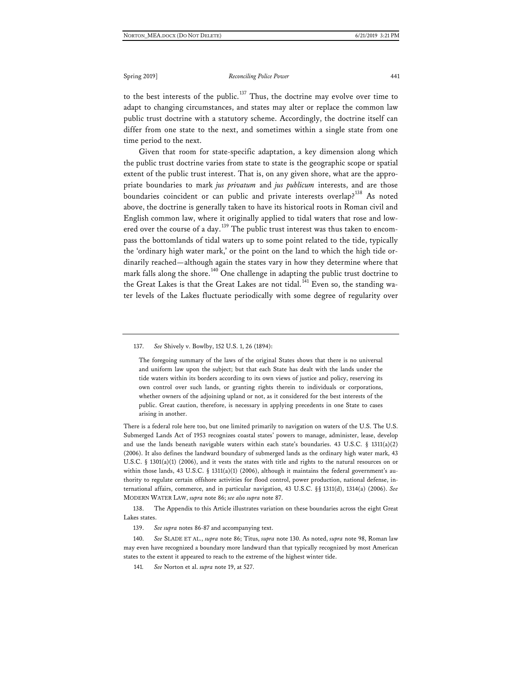to the best interests of the public.<sup>[137](#page-33-0)</sup> Thus, the doctrine may evolve over time to adapt to changing circumstances, and states may alter or replace the common law public trust doctrine with a statutory scheme. Accordingly, the doctrine itself can differ from one state to the next, and sometimes within a single state from one time period to the next.

Given that room for state-specific adaptation, a key dimension along which the public trust doctrine varies from state to state is the geographic scope or spatial extent of the public trust interest. That is, on any given shore, what are the appropriate boundaries to mark *jus privatum* and *jus publicum* interests, and are those boundaries coincident or can public and private interests overlap?<sup>[138](#page-33-1)</sup> As noted above, the doctrine is generally taken to have its historical roots in Roman civil and English common law, where it originally applied to tidal waters that rose and low-ered over the course of a day.<sup>[139](#page-33-2)</sup> The public trust interest was thus taken to encompass the bottomlands of tidal waters up to some point related to the tide, typically the 'ordinary high water mark,' or the point on the land to which the high tide ordinarily reached—although again the states vary in how they determine where that mark falls along the shore.<sup>[140](#page-33-3)</sup> One challenge in adapting the public trust doctrine to the Great Lakes is that the Great Lakes are not tidal.<sup>[141](#page-33-4)</sup> Even so, the standing water levels of the Lakes fluctuate periodically with some degree of regularity over

<span id="page-33-0"></span>137. *See* Shively v. Bowlby, 152 U.S. 1, 26 (1894):

The foregoing summary of the laws of the original States shows that there is no universal and uniform law upon the subject; but that each State has dealt with the lands under the tide waters within its borders according to its own views of justice and policy, reserving its own control over such lands, or granting rights therein to individuals or corporations, whether owners of the adjoining upland or not, as it considered for the best interests of the public. Great caution, therefore, is necessary in applying precedents in one State to cases arising in another.

There is a federal role here too, but one limited primarily to navigation on waters of the U.S. The U.S. Submerged Lands Act of 1953 recognizes coastal states' powers to manage, administer, lease, develop and use the lands beneath navigable waters within each state's boundaries. 43 U.S.C. § 1311(a)(2) (2006). It also defines the landward boundary of submerged lands as the ordinary high water mark, 43 U.S.C. § 1301(a)(1) (2006), and it vests the states with title and rights to the natural resources on or within those lands, 43 U.S.C. § 1311(a)(1) (2006), although it maintains the federal government's authority to regulate certain offshore activities for flood control, power production, national defense, international affairs, commerce, and in particular navigation, 43 U.S.C. §§ 1311(d), 1314(a) (2006). *See* MODERN WATER LAW, *supra* note 86; *see also supra* note 87.

<span id="page-33-1"></span>138. The Appendix to this Article illustrates variation on these boundaries across the eight Great Lakes states.

139. *See supra* notes 86-87 and accompanying text.

<span id="page-33-4"></span><span id="page-33-3"></span><span id="page-33-2"></span>140. *See* SLADE ET AL., *supra* note 86; Titus, *supra* note 130. As noted, *supra* note 98, Roman law may even have recognized a boundary more landward than that typically recognized by most American states to the extent it appeared to reach to the extreme of the highest winter tide.

141*. See* Norton et al. *supra* note 19, at 527.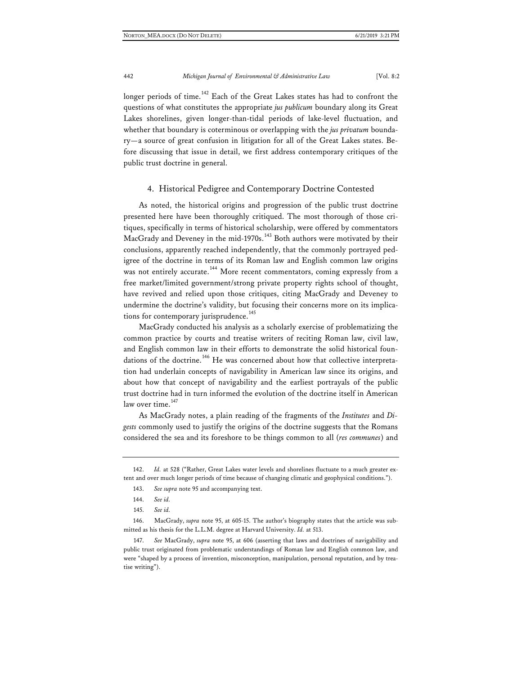longer periods of time.<sup>[142](#page-34-0)</sup> Each of the Great Lakes states has had to confront the questions of what constitutes the appropriate *jus publicum* boundary along its Great Lakes shorelines, given longer-than-tidal periods of lake-level fluctuation, and whether that boundary is coterminous or overlapping with the *jus privatum* boundary—a source of great confusion in litigation for all of the Great Lakes states. Before discussing that issue in detail, we first address contemporary critiques of the public trust doctrine in general.

#### 4. Historical Pedigree and Contemporary Doctrine Contested

As noted, the historical origins and progression of the public trust doctrine presented here have been thoroughly critiqued. The most thorough of those critiques, specifically in terms of historical scholarship, were offered by commentators MacGrady and Deveney in the mid-1970s.<sup>[143](#page-34-1)</sup> Both authors were motivated by their conclusions, apparently reached independently, that the commonly portrayed pedigree of the doctrine in terms of its Roman law and English common law origins was not entirely accurate.<sup>[144](#page-34-2)</sup> More recent commentators, coming expressly from a free market/limited government/strong private property rights school of thought, have revived and relied upon those critiques, citing MacGrady and Deveney to undermine the doctrine's validity, but focusing their concerns more on its implica-tions for contemporary jurisprudence.<sup>[145](#page-34-3)</sup>

MacGrady conducted his analysis as a scholarly exercise of problematizing the common practice by courts and treatise writers of reciting Roman law, civil law, and English common law in their efforts to demonstrate the solid historical foun-dations of the doctrine.<sup>[146](#page-34-4)</sup> He was concerned about how that collective interpretation had underlain concepts of navigability in American law since its origins, and about how that concept of navigability and the earliest portrayals of the public trust doctrine had in turn informed the evolution of the doctrine itself in American law over time. $147$ 

As MacGrady notes, a plain reading of the fragments of the *Institutes* and *Digests* commonly used to justify the origins of the doctrine suggests that the Romans considered the sea and its foreshore to be things common to all (*res communes*) and

<span id="page-34-1"></span><span id="page-34-0"></span><sup>142.</sup> *Id.* at 528 ("Rather, Great Lakes water levels and shorelines fluctuate to a much greater extent and over much longer periods of time because of changing climatic and geophysical conditions.").

<sup>143.</sup> *See supra* note 95 and accompanying text.

<sup>144.</sup> *See id.*

<sup>145.</sup> *See id.*

<span id="page-34-4"></span><span id="page-34-3"></span><span id="page-34-2"></span><sup>146.</sup> MacGrady, *supra* note 95, at 605-15. The author's biography states that the article was submitted as his thesis for the L.L.M. degree at Harvard University. *Id.* at 513.

<span id="page-34-5"></span><sup>147.</sup> *See* MacGrady, *supra* note 95, at 606 (asserting that laws and doctrines of navigability and public trust originated from problematic understandings of Roman law and English common law, and were "shaped by a process of invention, misconception, manipulation, personal reputation, and by treatise writing").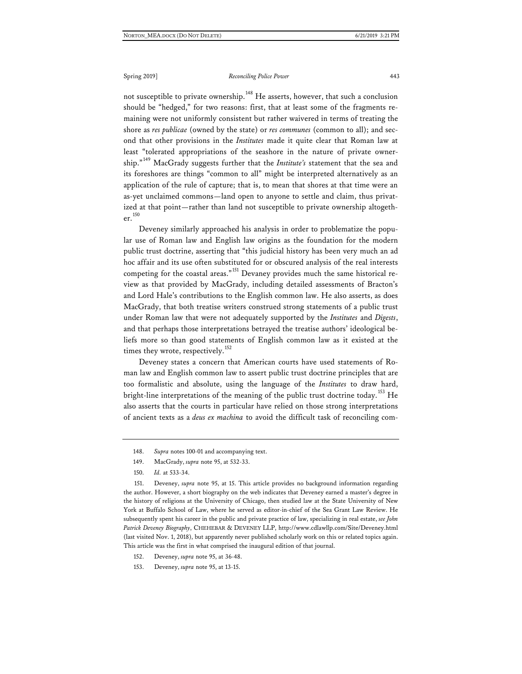not susceptible to private ownership.<sup>[148](#page-35-0)</sup> He asserts, however, that such a conclusion should be "hedged," for two reasons: first, that at least some of the fragments remaining were not uniformly consistent but rather waivered in terms of treating the shore as *res publicae* (owned by the state) or *res communes* (common to all); and second that other provisions in the *Institutes* made it quite clear that Roman law at least "tolerated appropriations of the seashore in the nature of private ownership." [149](#page-35-1) MacGrady suggests further that the *Institute's* statement that the sea and its foreshores are things "common to all" might be interpreted alternatively as an application of the rule of capture; that is, to mean that shores at that time were an as-yet unclaimed commons—land open to anyone to settle and claim, thus privatized at that point—rather than land not susceptible to private ownership altogether.[150](#page-35-2)

Deveney similarly approached his analysis in order to problematize the popular use of Roman law and English law origins as the foundation for the modern public trust doctrine, asserting that "this judicial history has been very much an ad hoc affair and its use often substituted for or obscured analysis of the real interests competing for the coastal areas."<sup>[151](#page-35-3)</sup> Devaney provides much the same historical review as that provided by MacGrady, including detailed assessments of Bracton's and Lord Hale's contributions to the English common law. He also asserts, as does MacGrady, that both treatise writers construed strong statements of a public trust under Roman law that were not adequately supported by the *Institutes* and *Digests*, and that perhaps those interpretations betrayed the treatise authors' ideological beliefs more so than good statements of English common law as it existed at the times they wrote, respectively.<sup>[152](#page-35-4)</sup>

Deveney states a concern that American courts have used statements of Roman law and English common law to assert public trust doctrine principles that are too formalistic and absolute, using the language of the *Institutes* to draw hard, bright-line interpretations of the meaning of the public trust doctrine today.<sup>[153](#page-35-5)</sup> He also asserts that the courts in particular have relied on those strong interpretations of ancient texts as a *deus ex machina* to avoid the difficult task of reconciling com-

<span id="page-35-3"></span><span id="page-35-2"></span><span id="page-35-1"></span><span id="page-35-0"></span>151. Deveney, *supra* note 95, at 15. This article provides no background information regarding the author. However, a short biography on the web indicates that Deveney earned a master's degree in the history of religions at the University of Chicago, then studied law at the State University of New York at Buffalo School of Law, where he served as editor-in-chief of the Sea Grant Law Review. He subsequently spent his career in the public and private practice of law, specializing in real estate, *see John Patrick Deveney Biography*, CHEHEBAR & DEVENEY LLP,<http://www.cdlawllp.com/Site/Deveney.html> (last visited Nov. 1, 2018), but apparently never published scholarly work on this or related topics again. This article was the first in what comprised the inaugural edition of that journal.

<sup>148.</sup> *Supra* notes 100-01 and accompanying text.

<sup>149.</sup> MacGrady, *supra* note 95, at 532-33.

<sup>150.</sup> *Id.* at 533-34.

<span id="page-35-4"></span><sup>152.</sup> Deveney, *supra* note 95, at 36-48.

<span id="page-35-5"></span><sup>153.</sup> Deveney, *supra* note 95, at 13-15.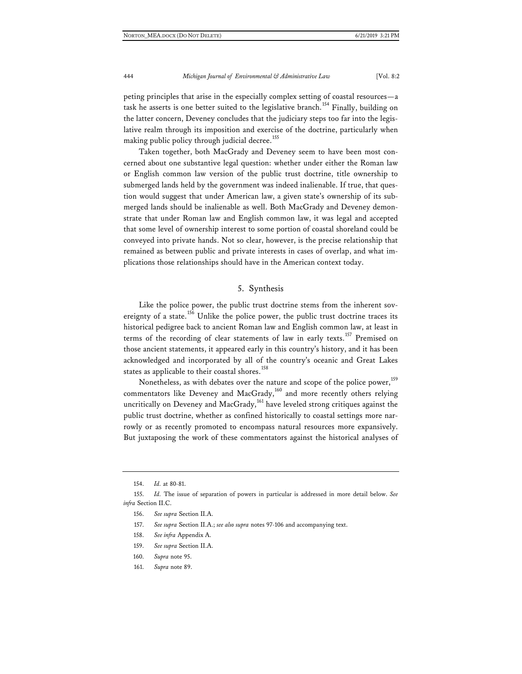peting principles that arise in the especially complex setting of coastal resources—a task he asserts is one better suited to the legislative branch.<sup>[154](#page-36-0)</sup> Finally, building on the latter concern, Deveney concludes that the judiciary steps too far into the legislative realm through its imposition and exercise of the doctrine, particularly when making public policy through judicial decree.<sup>[155](#page-36-1)</sup>

Taken together, both MacGrady and Deveney seem to have been most concerned about one substantive legal question: whether under either the Roman law or English common law version of the public trust doctrine, title ownership to submerged lands held by the government was indeed inalienable. If true, that question would suggest that under American law, a given state's ownership of its submerged lands should be inalienable as well. Both MacGrady and Deveney demonstrate that under Roman law and English common law, it was legal and accepted that some level of ownership interest to some portion of coastal shoreland could be conveyed into private hands. Not so clear, however, is the precise relationship that remained as between public and private interests in cases of overlap, and what implications those relationships should have in the American context today.

#### 5. Synthesis

Like the police power, the public trust doctrine stems from the inherent sov-ereignty of a state.<sup>[156](#page-36-2)</sup> Unlike the police power, the public trust doctrine traces its historical pedigree back to ancient Roman law and English common law, at least in terms of the recording of clear statements of law in early texts.<sup>[157](#page-36-3)</sup> Premised on those ancient statements, it appeared early in this country's history, and it has been acknowledged and incorporated by all of the country's oceanic and Great Lakes states as applicable to their coastal shores.<sup>[158](#page-36-4)</sup>

Nonetheless, as with debates over the nature and scope of the police power,<sup>[159](#page-36-5)</sup> commentators like Deveney and MacGrady,<sup>[160](#page-36-6)</sup> and more recently others relying uncritically on Deveney and MacGrady, $161$  have leveled strong critiques against the public trust doctrine, whether as confined historically to coastal settings more narrowly or as recently promoted to encompass natural resources more expansively. But juxtaposing the work of these commentators against the historical analyses of

- 158. *See infra* Appendix A.
- 159. *See supra* Section II.A.
- <span id="page-36-7"></span><span id="page-36-6"></span>160. *Supra* note 95.
- 161. *Supra* note 89.

<sup>154.</sup> *Id.* at 80-81.

<span id="page-36-5"></span><span id="page-36-4"></span><span id="page-36-3"></span><span id="page-36-2"></span><span id="page-36-1"></span><span id="page-36-0"></span><sup>155.</sup> *Id.* The issue of separation of powers in particular is addressed in more detail below. *See infra* Section II.C.

<sup>156.</sup> *See supra* Section II.A.

<sup>157.</sup> *See supra* Section II.A.; *see also supra* notes 97-106 and accompanying text.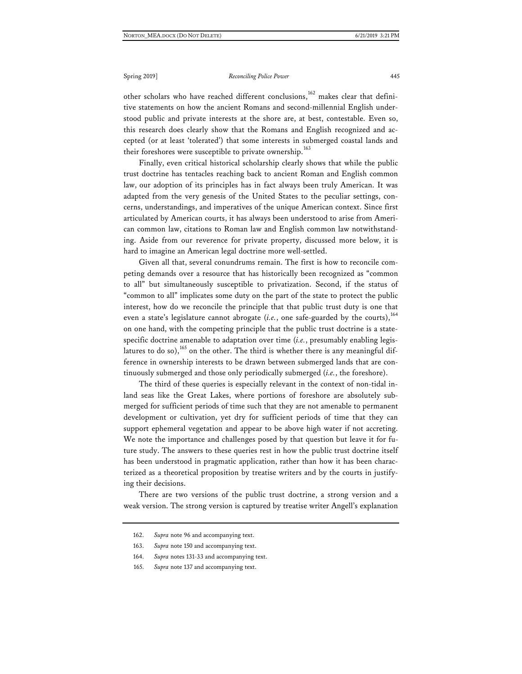other scholars who have reached different conclusions, $^{162}$  $^{162}$  $^{162}$  makes clear that definitive statements on how the ancient Romans and second-millennial English understood public and private interests at the shore are, at best, contestable. Even so, this research does clearly show that the Romans and English recognized and accepted (or at least 'tolerated') that some interests in submerged coastal lands and their foreshores were susceptible to private ownership.<sup>[163](#page-37-1)</sup>

Finally, even critical historical scholarship clearly shows that while the public trust doctrine has tentacles reaching back to ancient Roman and English common law, our adoption of its principles has in fact always been truly American. It was adapted from the very genesis of the United States to the peculiar settings, concerns, understandings, and imperatives of the unique American context. Since first articulated by American courts, it has always been understood to arise from American common law, citations to Roman law and English common law notwithstanding. Aside from our reverence for private property, discussed more below, it is hard to imagine an American legal doctrine more well-settled.

Given all that, several conundrums remain. The first is how to reconcile competing demands over a resource that has historically been recognized as "common to all" but simultaneously susceptible to privatization. Second, if the status of "common to all" implicates some duty on the part of the state to protect the public interest, how do we reconcile the principle that that public trust duty is one that even a state's legislature cannot abrogate  $(i.e.,$  one safe-guarded by the courts),<sup>[164](#page-37-2)</sup> on one hand, with the competing principle that the public trust doctrine is a statespecific doctrine amenable to adaptation over time (*i.e.*, presumably enabling legislatures to do so),  $^{165}$  $^{165}$  $^{165}$  on the other. The third is whether there is any meaningful difference in ownership interests to be drawn between submerged lands that are continuously submerged and those only periodically submerged (*i.e.*, the foreshore).

The third of these queries is especially relevant in the context of non-tidal inland seas like the Great Lakes, where portions of foreshore are absolutely submerged for sufficient periods of time such that they are not amenable to permanent development or cultivation, yet dry for sufficient periods of time that they can support ephemeral vegetation and appear to be above high water if not accreting. We note the importance and challenges posed by that question but leave it for future study. The answers to these queries rest in how the public trust doctrine itself has been understood in pragmatic application, rather than how it has been characterized as a theoretical proposition by treatise writers and by the courts in justifying their decisions.

<span id="page-37-1"></span><span id="page-37-0"></span>There are two versions of the public trust doctrine, a strong version and a weak version. The strong version is captured by treatise writer Angell's explanation

<span id="page-37-3"></span>165. *Supra* note 137 and accompanying text.

<sup>162.</sup> *Supra* note 96 and accompanying text.

<sup>163.</sup> *Supra* note 150 and accompanying text.

<span id="page-37-2"></span><sup>164.</sup> *Supra* notes 131-33 and accompanying text.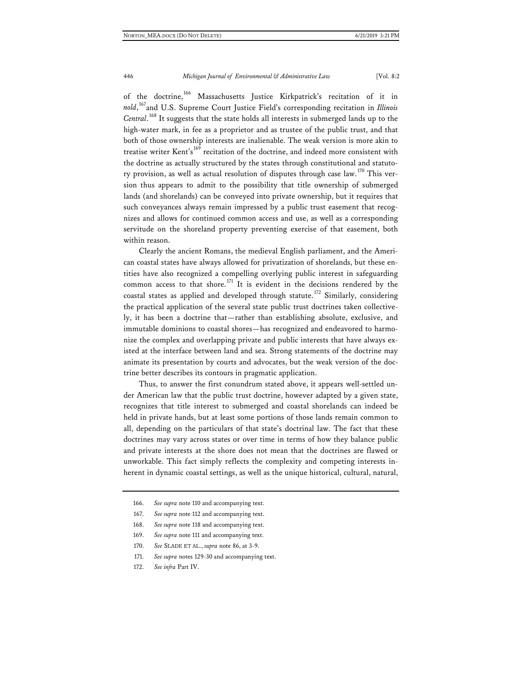of the doctrine,<sup>[166](#page-38-0)</sup> Massachusetts Justice Kirkpatrick's recitation of it in *nold*, [167](#page-38-1)and U.S. Supreme Court Justice Field's corresponding recitation in *Illinois Central*. [168](#page-38-2) It suggests that the state holds all interests in submerged lands up to the high-water mark, in fee as a proprietor and as trustee of the public trust, and that both of those ownership interests are inalienable. The weak version is more akin to treatise writer Kent's [169](#page-38-3) recitation of the doctrine, and indeed more consistent with the doctrine as actually structured by the states through constitutional and statuto-ry provision, as well as actual resolution of disputes through case law.<sup>[170](#page-38-4)</sup> This version thus appears to admit to the possibility that title ownership of submerged lands (and shorelands) can be conveyed into private ownership, but it requires that such conveyances always remain impressed by a public trust easement that recognizes and allows for continued common access and use, as well as a corresponding servitude on the shoreland property preventing exercise of that easement, both within reason.

Clearly the ancient Romans, the medieval English parliament, and the American coastal states have always allowed for privatization of shorelands, but these entities have also recognized a compelling overlying public interest in safeguarding common access to that shore.<sup>[171](#page-38-5)</sup> It is evident in the decisions rendered by the coastal states as applied and developed through statute.[172](#page-38-6) Similarly, considering the practical application of the several state public trust doctrines taken collectively, it has been a doctrine that—rather than establishing absolute, exclusive, and immutable dominions to coastal shores—has recognized and endeavored to harmonize the complex and overlapping private and public interests that have always existed at the interface between land and sea. Strong statements of the doctrine may animate its presentation by courts and advocates, but the weak version of the doctrine better describes its contours in pragmatic application.

Thus, to answer the first conundrum stated above, it appears well-settled under American law that the public trust doctrine, however adapted by a given state, recognizes that title interest to submerged and coastal shorelands can indeed be held in private hands, but at least some portions of those lands remain common to all, depending on the particulars of that state's doctrinal law. The fact that these doctrines may vary across states or over time in terms of how they balance public and private interests at the shore does not mean that the doctrines are flawed or unworkable. This fact simply reflects the complexity and competing interests inherent in dynamic coastal settings, as well as the unique historical, cultural, natural,

- <span id="page-38-3"></span>169. *See supra* note 111 and accompanying text.
- <span id="page-38-5"></span><span id="page-38-4"></span>170. *See* SLADE ET AL., *supra* note 86, at 3-9.
- 171. *See supra* notes 129-30 and accompanying text.
- <span id="page-38-6"></span>172. *See infra* Part IV.

<span id="page-38-0"></span><sup>166.</sup> *See supra* note 110 and accompanying text.

<span id="page-38-1"></span><sup>167.</sup> *See supra* note 112 and accompanying text.

<span id="page-38-2"></span><sup>168.</sup> *See supra* note 118 and accompanying text.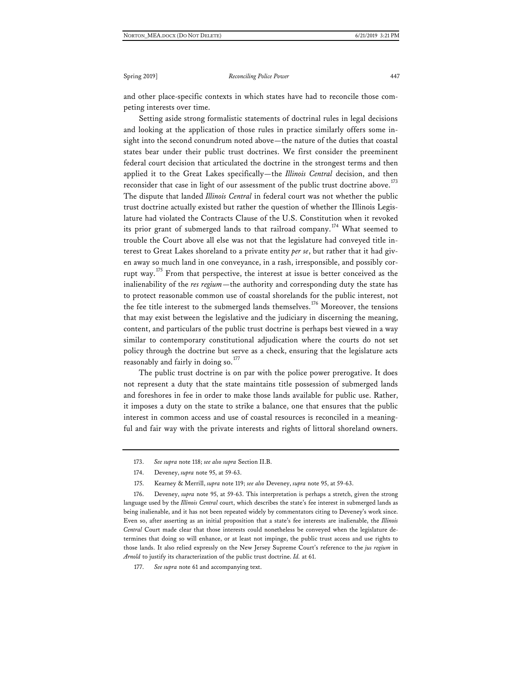and other place-specific contexts in which states have had to reconcile those competing interests over time.

Setting aside strong formalistic statements of doctrinal rules in legal decisions and looking at the application of those rules in practice similarly offers some insight into the second conundrum noted above—the nature of the duties that coastal states bear under their public trust doctrines. We first consider the preeminent federal court decision that articulated the doctrine in the strongest terms and then applied it to the Great Lakes specifically—the *Illinois Central* decision, and then reconsider that case in light of our assessment of the public trust doctrine above.<sup>[173](#page-39-0)</sup> The dispute that landed *Illinois Central* in federal court was not whether the public trust doctrine actually existed but rather the question of whether the Illinois Legislature had violated the Contracts Clause of the U.S. Constitution when it revoked its prior grant of submerged lands to that railroad company.<sup>[174](#page-39-1)</sup> What seemed to trouble the Court above all else was not that the legislature had conveyed title interest to Great Lakes shoreland to a private entity *per se*, but rather that it had given away so much land in one conveyance, in a rash, irresponsible, and possibly cor-rupt way.<sup>[175](#page-39-2)</sup> From that perspective, the interest at issue is better conceived as the inalienability of the *res regium*—the authority and corresponding duty the state has to protect reasonable common use of coastal shorelands for the public interest, not the fee title interest to the submerged lands themselves.<sup>[176](#page-39-3)</sup> Moreover, the tensions that may exist between the legislative and the judiciary in discerning the meaning, content, and particulars of the public trust doctrine is perhaps best viewed in a way similar to contemporary constitutional adjudication where the courts do not set policy through the doctrine but serve as a check, ensuring that the legislature acts reasonably and fairly in doing so.<sup>[177](#page-39-4)</sup>

The public trust doctrine is on par with the police power prerogative. It does not represent a duty that the state maintains title possession of submerged lands and foreshores in fee in order to make those lands available for public use. Rather, it imposes a duty on the state to strike a balance, one that ensures that the public interest in common access and use of coastal resources is reconciled in a meaningful and fair way with the private interests and rights of littoral shoreland owners.

<span id="page-39-3"></span><span id="page-39-2"></span><span id="page-39-1"></span><span id="page-39-0"></span>176. Deveney, *supra* note 95, at 59-63. This interpretation is perhaps a stretch, given the strong language used by the *Illinois Central* court, which describes the state's fee interest in submerged lands as being inalienable, and it has not been repeated widely by commentators citing to Deveney's work since. Even so, after asserting as an initial proposition that a state's fee interests are inalienable, the *Illinois Central* Court made clear that those interests could nonetheless be conveyed when the legislature determines that doing so will enhance, or at least not impinge, the public trust access and use rights to those lands. It also relied expressly on the New Jersey Supreme Court's reference to the *jus regium* in *Arnold* to justify its characterization of the public trust doctrine. *Id.* at 61.

<sup>173.</sup> *See supra* note 118; *see also supra* Section II.B.

<sup>174.</sup> Deveney, *supra* note 95, at 59-63.

<sup>175.</sup> Kearney & Merrill, *supra* note 119; *see also* Deveney, *supra* note 95, at 59-63.

<span id="page-39-4"></span><sup>177.</sup> *See supra* note 61 and accompanying text.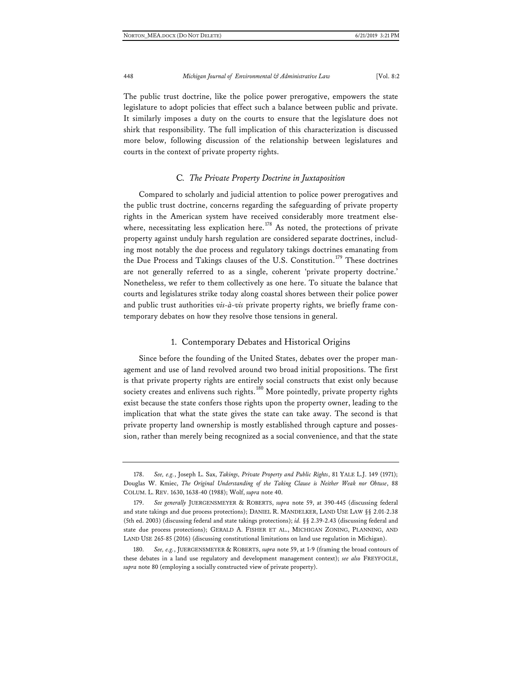The public trust doctrine, like the police power prerogative, empowers the state legislature to adopt policies that effect such a balance between public and private. It similarly imposes a duty on the courts to ensure that the legislature does not shirk that responsibility. The full implication of this characterization is discussed more below, following discussion of the relationship between legislatures and courts in the context of private property rights.

#### C*. The Private Property Doctrine in Juxtaposition*

Compared to scholarly and judicial attention to police power prerogatives and the public trust doctrine, concerns regarding the safeguarding of private property rights in the American system have received considerably more treatment else-where, necessitating less explication here.<sup>[178](#page-40-0)</sup> As noted, the protections of private property against unduly harsh regulation are considered separate doctrines, including most notably the due process and regulatory takings doctrines emanating from the Due Process and Takings clauses of the U.S. Constitution.<sup>[179](#page-40-1)</sup> These doctrines are not generally referred to as a single, coherent 'private property doctrine.' Nonetheless, we refer to them collectively as one here. To situate the balance that courts and legislatures strike today along coastal shores between their police power and public trust authorities *vis-à-vis* private property rights, we briefly frame contemporary debates on how they resolve those tensions in general.

#### 1. Contemporary Debates and Historical Origins

Since before the founding of the United States, debates over the proper management and use of land revolved around two broad initial propositions. The first is that private property rights are entirely social constructs that exist only because society creates and enlivens such rights.<sup>[180](#page-40-2)</sup> More pointedly, private property rights exist because the state confers those rights upon the property owner, leading to the implication that what the state gives the state can take away. The second is that private property land ownership is mostly established through capture and possession, rather than merely being recognized as a social convenience, and that the state

<span id="page-40-0"></span><sup>178.</sup> *See, e.g.*, Joseph L. Sax, *Takings, Private Property and Public Rights*, 81 YALE L.J. 149 (1971); Douglas W. Kmiec, *The Original Understanding of the Taking Clause is Neither Weak nor Obtuse*, 88 COLUM. L. REV. 1630, 1638-40 (1988); Wolf, *supra* note 40.

<span id="page-40-1"></span><sup>179.</sup> *See generally* JUERGENSMEYER & ROBERTS, *supra* note 59, at 390-445 (discussing federal and state takings and due process protections); DANIEL R. MANDELKER, LAND USE LAW §§ 2.01-2.38 (5th ed. 2003) (discussing federal and state takings protections); *id.* §§ 2.39-2.43 (discussing federal and state due process protections); GERALD A. FISHER ET AL., MICHIGAN ZONING, PLANNING, AND LAND USE 265-85 (2016) (discussing constitutional limitations on land use regulation in Michigan).

<span id="page-40-2"></span><sup>180.</sup> *See, e.g.*, JUERGENSMEYER & ROBERTS, *supra* note 59, at 1-9 (framing the broad contours of these debates in a land use regulatory and development management context); *see also* FREYFOGLE, *supra* note 80 (employing a socially constructed view of private property).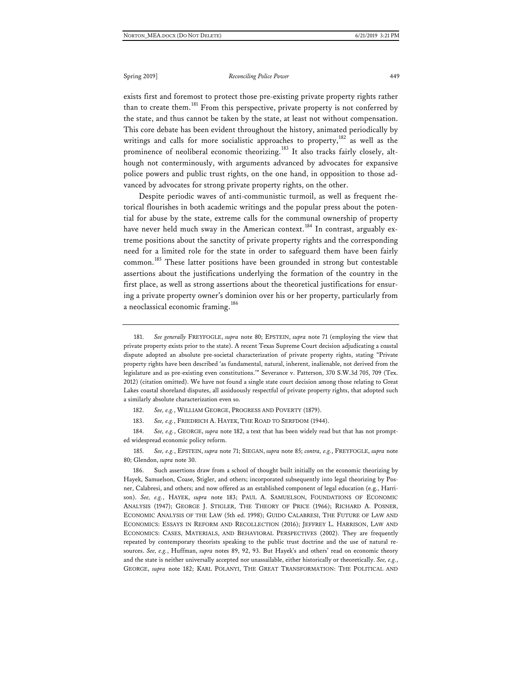exists first and foremost to protect those pre-existing private property rights rather than to create them.<sup>[181](#page-41-0)</sup> From this perspective, private property is not conferred by the state, and thus cannot be taken by the state, at least not without compensation. This core debate has been evident throughout the history, animated periodically by writings and calls for more socialistic approaches to property,  $182$  as well as the prominence of neoliberal economic theorizing.<sup>[183](#page-41-2)</sup> It also tracks fairly closely, although not conterminously, with arguments advanced by advocates for expansive police powers and public trust rights, on the one hand, in opposition to those advanced by advocates for strong private property rights, on the other.

Despite periodic waves of anti-communistic turmoil, as well as frequent rhetorical flourishes in both academic writings and the popular press about the potential for abuse by the state, extreme calls for the communal ownership of property have never held much sway in the American context.<sup>[184](#page-41-3)</sup> In contrast, arguably extreme positions about the sanctity of private property rights and the corresponding need for a limited role for the state in order to safeguard them have been fairly common.<sup>[185](#page-41-4)</sup> These latter positions have been grounded in strong but contestable assertions about the justifications underlying the formation of the country in the first place, as well as strong assertions about the theoretical justifications for ensuring a private property owner's dominion over his or her property, particularly from a neoclassical economic framing.<sup>[186](#page-41-5)</sup>

182. *See, e.g.*, WILLIAM GEORGE, PROGRESS AND POVERTY (1879).

183. *See, e.g.*, FRIEDRICH A. HAYEK, THE ROAD TO SERFDOM (1944).

<span id="page-41-3"></span><span id="page-41-2"></span><span id="page-41-1"></span>184. *See, e.g.*, GEORGE, *supra* note 182, a text that has been widely read but that has not prompted widespread economic policy reform.

<span id="page-41-4"></span>185. *See, e.g.*, EPSTEIN, *supra* note 71; SIEGAN, *supra* note 85; *contra, e.g.*, FREYFOGLE, *supra* note 80; Glendon, *supra* note 30.

<span id="page-41-5"></span>186. Such assertions draw from a school of thought built initially on the economic theorizing by Hayek, Samuelson, Coase, Stigler, and others; incorporated subsequently into legal theorizing by Posner, Calabresi, and others; and now offered as an established component of legal education (e.g., Harrison). *See, e.g.*, HAYEK, *supra* note 183; PAUL A. SAMUELSON, FOUNDATIONS OF ECONOMIC ANALYSIS (1947); GEORGE J. STIGLER, THE THEORY OF PRICE (1966); RICHARD A. POSNER, ECONOMIC ANALYSIS OF THE LAW (5th ed. 1998); GUIDO CALABRESI, THE FUTURE OF LAW AND ECONOMICS: ESSAYS IN REFORM AND RECOLLECTION (2016); JEFFREY L. HARRISON, LAW AND ECONOMICS: CASES, MATERIALS, AND BEHAVIORAL PERSPECTIVES (2002). They are frequently repeated by contemporary theorists speaking to the public trust doctrine and the use of natural resources. *See, e.g.*, Huffman, *supra* notes 89, 92, 93. But Hayek's and others' read on economic theory and the state is neither universally accepted nor unassailable, either historically or theoretically. *See, e.g.*, GEORGE, *supra* note 182; KARL POLANYI, THE GREAT TRANSFORMATION: THE POLITICAL AND

<span id="page-41-0"></span><sup>181.</sup> *See generally* FREYFOGLE, *supra* note 80; EPSTEIN, *supra* note 71 (employing the view that private property exists prior to the state). A recent Texas Supreme Court decision adjudicating a coastal dispute adopted an absolute pre-societal characterization of private property rights, stating "Private property rights have been described 'as fundamental, natural, inherent, inalienable, not derived from the legislature and as pre-existing even constitutions.'" Severance v. Patterson, 370 S.W.3d 705, 709 (Tex. 2012) (citation omitted). We have not found a single state court decision among those relating to Great Lakes coastal shoreland disputes, all assiduously respectful of private property rights, that adopted such a similarly absolute characterization even so.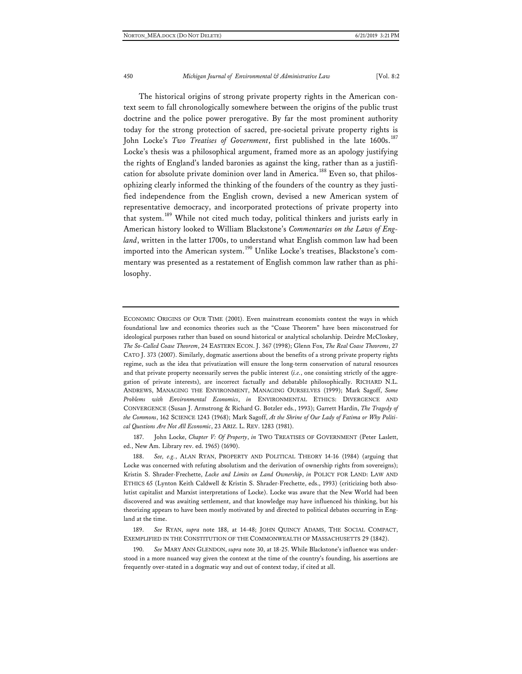The historical origins of strong private property rights in the American context seem to fall chronologically somewhere between the origins of the public trust doctrine and the police power prerogative. By far the most prominent authority today for the strong protection of sacred, pre-societal private property rights is John Locke's *Two Treatises of Government*, first published in the late 1600s.<sup>[187](#page-42-0)</sup> Locke's thesis was a philosophical argument, framed more as an apology justifying the rights of England's landed baronies as against the king, rather than as a justifi-cation for absolute private dominion over land in America.<sup>[188](#page-42-1)</sup> Even so, that philosophizing clearly informed the thinking of the founders of the country as they justified independence from the English crown, devised a new American system of representative democracy, and incorporated protections of private property into that system.<sup>[189](#page-42-2)</sup> While not cited much today, political thinkers and jurists early in American history looked to William Blackstone's *Commentaries on the Laws of England*, written in the latter 1700s, to understand what English common law had been imported into the American system.<sup>[190](#page-42-3)</sup> Unlike Locke's treatises, Blackstone's commentary was presented as a restatement of English common law rather than as philosophy.

<span id="page-42-0"></span>187. John Locke, *Chapter V: Of Property*, *in* TWO TREATISES OF GOVERNMENT (Peter Laslett, ed., New Am. Library rev. ed. 1965) (1690).

<span id="page-42-1"></span>188. *See, e.g.*, ALAN RYAN, PROPERTY AND POLITICAL THEORY 14-16 (1984) (arguing that Locke was concerned with refuting absolutism and the derivation of ownership rights from sovereigns); Kristin S. Shrader-Frechette, *Locke and Limits on Land Ownership*, *in* POLICY FOR LAND: LAW AND ETHICS 65 (Lynton Keith Caldwell & Kristin S. Shrader-Frechette, eds., 1993) (criticizing both absolutist capitalist and Marxist interpretations of Locke). Locke was aware that the New World had been discovered and was awaiting settlement, and that knowledge may have influenced his thinking, but his theorizing appears to have been mostly motivated by and directed to political debates occurring in England at the time.

<span id="page-42-2"></span>189. *See* RYAN, *supra* note 188, at 14-48; JOHN QUINCY ADAMS, THE SOCIAL COMPACT, EXEMPLIFIED IN THE CONSTITUTION OF THE COMMONWEALTH OF MASSACHUSETTS 29 (1842).

<span id="page-42-3"></span>190. *See* MARY ANN GLENDON, *supra* note 30, at 18-25. While Blackstone's influence was understood in a more nuanced way given the context at the time of the country's founding, his assertions are frequently over-stated in a dogmatic way and out of context today, if cited at all.

ECONOMIC ORIGINS OF OUR TIME (2001). Even mainstream economists contest the ways in which foundational law and economics theories such as the "Coase Theorem" have been misconstrued for ideological purposes rather than based on sound historical or analytical scholarship. Deirdre McCloskey, *The So-Called Coase Theorem*, 24 EASTERN ECON. J. 367 (1998); Glenn Fox, *The Real Coase Theorems*, 27 CATO J. 373 (2007). Similarly, dogmatic assertions about the benefits of a strong private property rights regime, such as the idea that privatization will ensure the long-term conservation of natural resources and that private property necessarily serves the public interest (*i.e.*, one consisting strictly of the aggregation of private interests), are incorrect factually and debatable philosophically. RICHARD N.L. ANDREWS, MANAGING THE ENVIRONMENT, MANAGING OURSELVES (1999); Mark Sagoff, *Some Problems with Environmental Economics*, *in* ENVIRONMENTAL ETHICS: DIVERGENCE AND CONVERGENCE (Susan J. Armstrong & Richard G. Botzler eds., 1993); Garrett Hardin, *The Tragedy of the Commons*, 162 SCIENCE 1243 (1968); Mark Sagoff, *At the Shrine of Our Lady of Fatima or Why Political Questions Are Not All Economic*, 23 ARIZ. L. REV. 1283 (1981).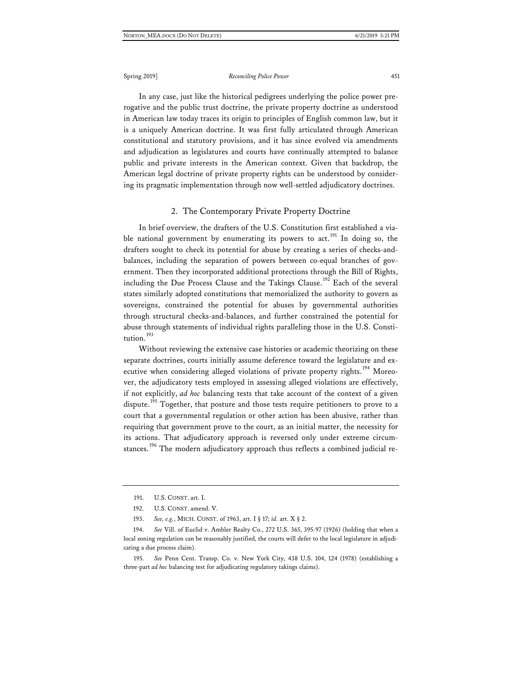In any case, just like the historical pedigrees underlying the police power prerogative and the public trust doctrine, the private property doctrine as understood in American law today traces its origin to principles of English common law, but it is a uniquely American doctrine. It was first fully articulated through American constitutional and statutory provisions, and it has since evolved via amendments and adjudication as legislatures and courts have continually attempted to balance public and private interests in the American context. Given that backdrop, the American legal doctrine of private property rights can be understood by considering its pragmatic implementation through now well-settled adjudicatory doctrines.

#### 2. The Contemporary Private Property Doctrine

In brief overview, the drafters of the U.S. Constitution first established a via-ble national government by enumerating its powers to act.<sup>[191](#page-43-0)</sup> In doing so, the drafters sought to check its potential for abuse by creating a series of checks-andbalances, including the separation of powers between co-equal branches of government. Then they incorporated additional protections through the Bill of Rights, including the Due Process Clause and the Takings Clause.<sup>[192](#page-43-1)</sup> Each of the several states similarly adopted constitutions that memorialized the authority to govern as sovereigns, constrained the potential for abuses by governmental authorities through structural checks-and-balances, and further constrained the potential for abuse through statements of individual rights paralleling those in the U.S. Consti-tution.<sup>[193](#page-43-2)</sup>

Without reviewing the extensive case histories or academic theorizing on these separate doctrines, courts initially assume deference toward the legislature and ex-ecutive when considering alleged violations of private property rights.<sup>[194](#page-43-3)</sup> Moreover, the adjudicatory tests employed in assessing alleged violations are effectively, if not explicitly, *ad hoc* balancing tests that take account of the context of a given dispute.<sup>[195](#page-43-4)</sup> Together, that posture and those tests require petitioners to prove to a court that a governmental regulation or other action has been abusive, rather than requiring that government prove to the court, as an initial matter, the necessity for its actions. That adjudicatory approach is reversed only under extreme circum-stances.<sup>[196](#page-43-5)</sup> The modern adjudicatory approach thus reflects a combined judicial re-

<span id="page-43-4"></span>195. *See* Penn Cent. Transp. Co. v. New York City, 438 U.S. 104, 124 (1978) (establishing a three-part *ad hoc* balancing test for adjudicating regulatory takings claims).

<span id="page-43-5"></span><sup>191.</sup> U.S. CONST. art. I.

<sup>192.</sup> U.S. CONST. amend. V.

<sup>193.</sup> *See, e.g.*, MICH. CONST. of 1963, art. I § 17; *id.* art. X § 2.

<span id="page-43-3"></span><span id="page-43-2"></span><span id="page-43-1"></span><span id="page-43-0"></span><sup>194.</sup> *See* Vill. of Euclid v. Ambler Realty Co., 272 U.S. 365, 395-97 (1926) (holding that when a local zoning regulation can be reasonably justified, the courts will defer to the local legislature in adjudicating a due process claim).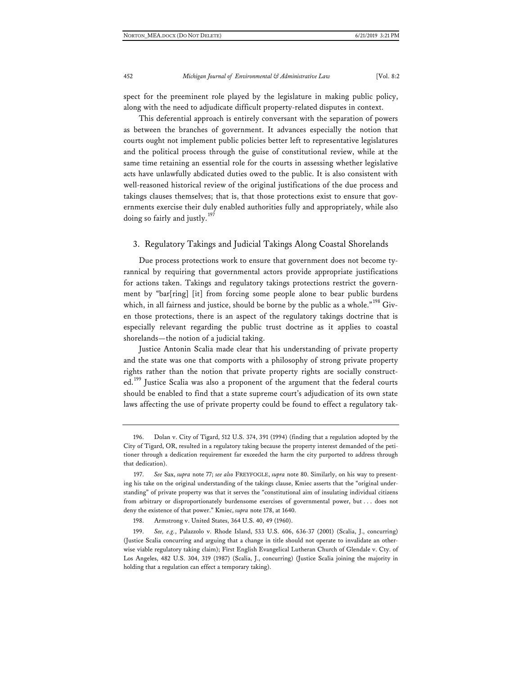spect for the preeminent role played by the legislature in making public policy, along with the need to adjudicate difficult property-related disputes in context.

This deferential approach is entirely conversant with the separation of powers as between the branches of government. It advances especially the notion that courts ought not implement public policies better left to representative legislatures and the political process through the guise of constitutional review, while at the same time retaining an essential role for the courts in assessing whether legislative acts have unlawfully abdicated duties owed to the public. It is also consistent with well-reasoned historical review of the original justifications of the due process and takings clauses themselves; that is, that those protections exist to ensure that governments exercise their duly enabled authorities fully and appropriately, while also doing so fairly and justly.<sup>[197](#page-44-0)</sup>

#### 3. Regulatory Takings and Judicial Takings Along Coastal Shorelands

Due process protections work to ensure that government does not become tyrannical by requiring that governmental actors provide appropriate justifications for actions taken. Takings and regulatory takings protections restrict the government by "bar[ring] [it] from forcing some people alone to bear public burdens which, in all fairness and justice, should be borne by the public as a whole." $^{198}$  $^{198}$  $^{198}$  Given those protections, there is an aspect of the regulatory takings doctrine that is especially relevant regarding the public trust doctrine as it applies to coastal shorelands—the notion of a judicial taking.

Justice Antonin Scalia made clear that his understanding of private property and the state was one that comports with a philosophy of strong private property rights rather than the notion that private property rights are socially construct-ed.<sup>[199](#page-44-2)</sup> Justice Scalia was also a proponent of the argument that the federal courts should be enabled to find that a state supreme court's adjudication of its own state laws affecting the use of private property could be found to effect a regulatory tak-

<sup>196.</sup> Dolan v. City of Tigard, 512 U.S. 374, 391 (1994) (finding that a regulation adopted by the City of Tigard, OR, resulted in a regulatory taking because the property interest demanded of the petitioner through a dedication requirement far exceeded the harm the city purported to address through that dedication).

<span id="page-44-0"></span><sup>197.</sup> *See* Sax, *supra* note 77; *see also* FREYFOGLE, *supra* note 80. Similarly, on his way to presenting his take on the original understanding of the takings clause, Kmiec asserts that the "original understanding" of private property was that it serves the "constitutional aim of insulating individual citizens from arbitrary or disproportionately burdensome exercises of governmental power, but . . . does not deny the existence of that power." Kmiec, *supra* note 178, at 1640.

<sup>198.</sup> Armstrong v. United States, 364 U.S. 40, 49 (1960).

<span id="page-44-2"></span><span id="page-44-1"></span><sup>199.</sup> *See, e.g.*, Palazzolo v. Rhode Island, 533 U.S. 606, 636-37 (2001) (Scalia, J., concurring) (Justice Scalia concurring and arguing that a change in title should not operate to invalidate an otherwise viable regulatory taking claim); First English Evangelical Lutheran Church of Glendale v. Cty. of Los Angeles, 482 U.S. 304, 319 (1987) (Scalia, J., concurring) (Justice Scalia joining the majority in holding that a regulation can effect a temporary taking).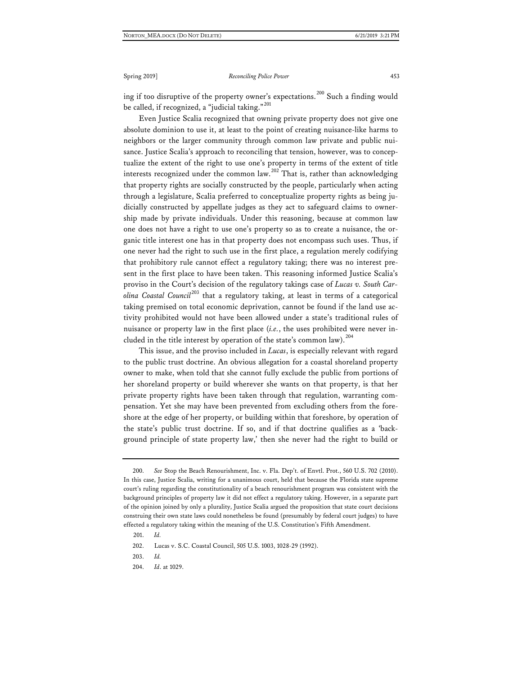ing if too disruptive of the property owner's expectations.<sup>[200](#page-45-0)</sup> Such a finding would be called, if recognized, a "judicial taking."<sup>[201](#page-45-1)</sup>

Even Justice Scalia recognized that owning private property does not give one absolute dominion to use it, at least to the point of creating nuisance-like harms to neighbors or the larger community through common law private and public nuisance. Justice Scalia's approach to reconciling that tension, however, was to conceptualize the extent of the right to use one's property in terms of the extent of title interests recognized under the common law.<sup>[202](#page-45-2)</sup> That is, rather than acknowledging that property rights are socially constructed by the people, particularly when acting through a legislature, Scalia preferred to conceptualize property rights as being judicially constructed by appellate judges as they act to safeguard claims to ownership made by private individuals. Under this reasoning, because at common law one does not have a right to use one's property so as to create a nuisance, the organic title interest one has in that property does not encompass such uses. Thus, if one never had the right to such use in the first place, a regulation merely codifying that prohibitory rule cannot effect a regulatory taking; there was no interest present in the first place to have been taken. This reasoning informed Justice Scalia's proviso in the Court's decision of the regulatory takings case of *Lucas v. South Carolina Coastal Council*[203](#page-45-3) that a regulatory taking, at least in terms of a categorical taking premised on total economic deprivation, cannot be found if the land use activity prohibited would not have been allowed under a state's traditional rules of nuisance or property law in the first place (*i.e.*, the uses prohibited were never in-cluded in the title interest by operation of the state's common law).<sup>[204](#page-45-4)</sup>

This issue, and the proviso included in *Lucas*, is especially relevant with regard to the public trust doctrine. An obvious allegation for a coastal shoreland property owner to make, when told that she cannot fully exclude the public from portions of her shoreland property or build wherever she wants on that property, is that her private property rights have been taken through that regulation, warranting compensation. Yet she may have been prevented from excluding others from the foreshore at the edge of her property, or building within that foreshore, by operation of the state's public trust doctrine. If so, and if that doctrine qualifies as a 'background principle of state property law,' then she never had the right to build or

<span id="page-45-0"></span><sup>200.</sup> *See* Stop the Beach Renourishment, Inc. v. Fla. Dep't. of Envtl. Prot., 560 U.S. 702 (2010). In this case, Justice Scalia, writing for a unanimous court, held that because the Florida state supreme court's ruling regarding the constitutionality of a beach renourishment program was consistent with the background principles of property law it did not effect a regulatory taking. However, in a separate part of the opinion joined by only a plurality, Justice Scalia argued the proposition that state court decisions construing their own state laws could nonetheless be found (presumably by federal court judges) to have effected a regulatory taking within the meaning of the U.S. Constitution's Fifth Amendment.

<sup>201.</sup> *Id.*

<span id="page-45-2"></span><span id="page-45-1"></span><sup>202.</sup> Lucas v. S.C. Coastal Council, 505 U.S. 1003, 1028-29 (1992).

<span id="page-45-3"></span><sup>203.</sup> *Id.*

<span id="page-45-4"></span><sup>204.</sup> *Id*. at 1029.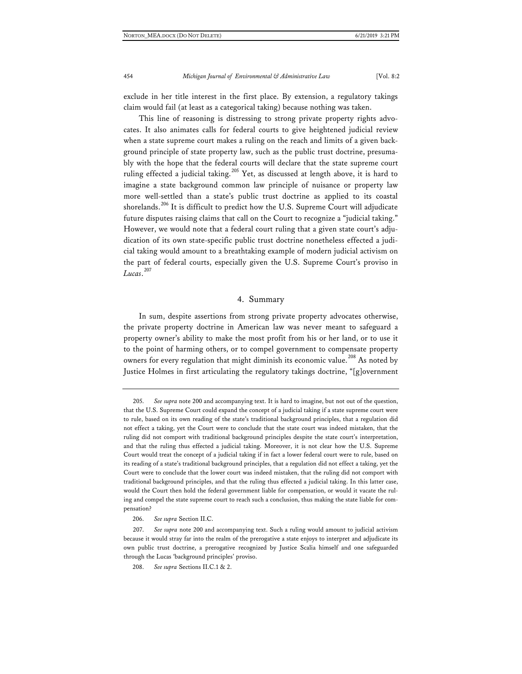exclude in her title interest in the first place. By extension, a regulatory takings claim would fail (at least as a categorical taking) because nothing was taken.

This line of reasoning is distressing to strong private property rights advocates. It also animates calls for federal courts to give heightened judicial review when a state supreme court makes a ruling on the reach and limits of a given background principle of state property law, such as the public trust doctrine, presumably with the hope that the federal courts will declare that the state supreme court ruling effected a judicial taking.<sup>[205](#page-46-0)</sup> Yet, as discussed at length above, it is hard to imagine a state background common law principle of nuisance or property law more well-settled than a state's public trust doctrine as applied to its coastal shorelands.<sup>[206](#page-46-1)</sup> It is difficult to predict how the U.S. Supreme Court will adjudicate future disputes raising claims that call on the Court to recognize a "judicial taking." However, we would note that a federal court ruling that a given state court's adjudication of its own state-specific public trust doctrine nonetheless effected a judicial taking would amount to a breathtaking example of modern judicial activism on the part of federal courts, especially given the U.S. Supreme Court's proviso in *Lucas*. [207](#page-46-2)

#### 4. Summary

In sum, despite assertions from strong private property advocates otherwise, the private property doctrine in American law was never meant to safeguard a property owner's ability to make the most profit from his or her land, or to use it to the point of harming others, or to compel government to compensate property owners for every regulation that might diminish its economic value.<sup>[208](#page-46-3)</sup> As noted by Justice Holmes in first articulating the regulatory takings doctrine, "[g]overnment

<span id="page-46-0"></span><sup>205.</sup> *See supra* note 200 and accompanying text. It is hard to imagine, but not out of the question, that the U.S. Supreme Court could expand the concept of a judicial taking if a state supreme court were to rule, based on its own reading of the state's traditional background principles, that a regulation did not effect a taking, yet the Court were to conclude that the state court was indeed mistaken, that the ruling did not comport with traditional background principles despite the state court's interpretation, and that the ruling thus effected a judicial taking. Moreover, it is not clear how the U.S. Supreme Court would treat the concept of a judicial taking if in fact a lower federal court were to rule, based on its reading of a state's traditional background principles, that a regulation did not effect a taking, yet the Court were to conclude that the lower court was indeed mistaken, that the ruling did not comport with traditional background principles, and that the ruling thus effected a judicial taking. In this latter case, would the Court then hold the federal government liable for compensation, or would it vacate the ruling and compel the state supreme court to reach such a conclusion, thus making the state liable for compensation?

<sup>206.</sup> *See supra* Section II.C.

<span id="page-46-3"></span><span id="page-46-2"></span><span id="page-46-1"></span><sup>207.</sup> *See supra* note 200 and accompanying text. Such a ruling would amount to judicial activism because it would stray far into the realm of the prerogative a state enjoys to interpret and adjudicate its own public trust doctrine, a prerogative recognized by Justice Scalia himself and one safeguarded through the Lucas 'background principles' proviso.

<sup>208.</sup> *See supra* Sections II.C.1 & 2.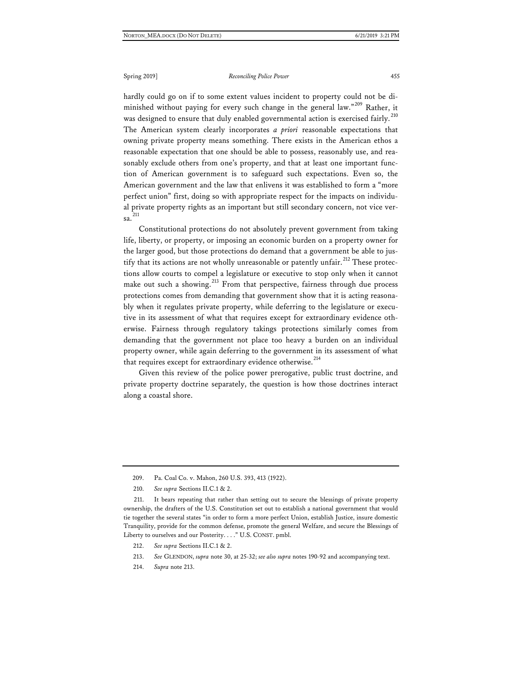hardly could go on if to some extent values incident to property could not be di-minished without paying for every such change in the general law."<sup>[209](#page-47-0)</sup> Rather, it was designed to ensure that duly enabled governmental action is exercised fairly.<sup>[210](#page-47-1)</sup> The American system clearly incorporates *a priori* reasonable expectations that owning private property means something. There exists in the American ethos a reasonable expectation that one should be able to possess, reasonably use, and reasonably exclude others from one's property, and that at least one important function of American government is to safeguard such expectations. Even so, the American government and the law that enlivens it was established to form a "more perfect union" first, doing so with appropriate respect for the impacts on individual private property rights as an important but still secondary concern, not vice ver-sa.<sup>[211](#page-47-2)</sup>

Constitutional protections do not absolutely prevent government from taking life, liberty, or property, or imposing an economic burden on a property owner for the larger good, but those protections do demand that a government be able to jus-tify that its actions are not wholly unreasonable or patently unfair.<sup>[212](#page-47-3)</sup> These protections allow courts to compel a legislature or executive to stop only when it cannot make out such a showing.<sup>[213](#page-47-4)</sup> From that perspective, fairness through due process protections comes from demanding that government show that it is acting reasonably when it regulates private property, while deferring to the legislature or executive in its assessment of what that requires except for extraordinary evidence otherwise. Fairness through regulatory takings protections similarly comes from demanding that the government not place too heavy a burden on an individual property owner, while again deferring to the government in its assessment of what that requires except for extraordinary evidence otherwise.<sup>[214](#page-47-5)</sup>

Given this review of the police power prerogative, public trust doctrine, and private property doctrine separately, the question is how those doctrines interact along a coastal shore.

210. *See supra* Sections II.C.1 & 2.

<span id="page-47-5"></span>214. *Supra* note 213.

<sup>209.</sup> Pa. Coal Co. v. Mahon, 260 U.S. 393, 413 (1922).

<span id="page-47-3"></span><span id="page-47-2"></span><span id="page-47-1"></span><span id="page-47-0"></span><sup>211.</sup> It bears repeating that rather than setting out to secure the blessings of private property ownership, the drafters of the U.S. Constitution set out to establish a national government that would tie together the several states "in order to form a more perfect Union, establish Justice, insure domestic Tranquility, provide for the common defense, promote the general Welfare, and secure the Blessings of Liberty to ourselves and our Posterity. . . ." U.S. CONST. pmbl.

<sup>212.</sup> *See supra* Sections II.C.1 & 2.

<span id="page-47-4"></span><sup>213.</sup> *See* GLENDON, *supra* note 30, at 25-32; *see also supra* notes 190-92 and accompanying text.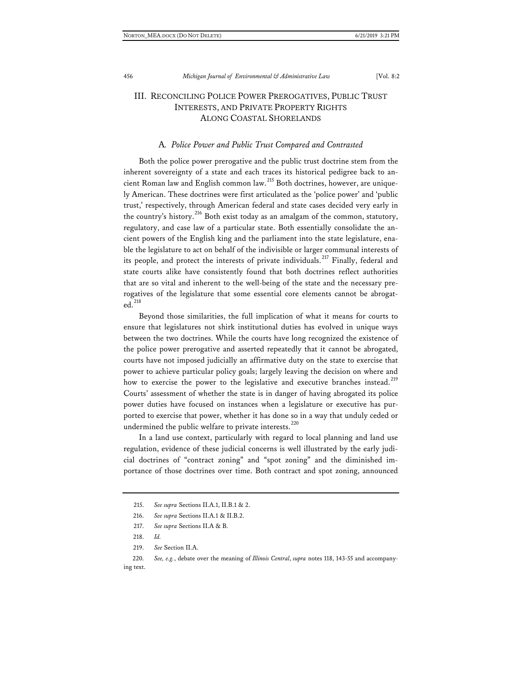## III. RECONCILING POLICE POWER PREROGATIVES, PUBLIC TRUST INTERESTS, AND PRIVATE PROPERTY RIGHTS ALONG COASTAL SHORELANDS

#### A*. Police Power and Public Trust Compared and Contrasted*

Both the police power prerogative and the public trust doctrine stem from the inherent sovereignty of a state and each traces its historical pedigree back to ancient Roman law and English common law.[215](#page-48-0) Both doctrines, however, are uniquely American. These doctrines were first articulated as the 'police power' and 'public trust,' respectively, through American federal and state cases decided very early in the country's history.<sup>[216](#page-48-1)</sup> Both exist today as an amalgam of the common, statutory, regulatory, and case law of a particular state. Both essentially consolidate the ancient powers of the English king and the parliament into the state legislature, enable the legislature to act on behalf of the indivisible or larger communal interests of its people, and protect the interests of private individuals.<sup>[217](#page-48-2)</sup> Finally, federal and state courts alike have consistently found that both doctrines reflect authorities that are so vital and inherent to the well-being of the state and the necessary prerogatives of the legislature that some essential core elements cannot be abrogat $ed.$ <sup>[218](#page-48-3)</sup>

Beyond those similarities, the full implication of what it means for courts to ensure that legislatures not shirk institutional duties has evolved in unique ways between the two doctrines. While the courts have long recognized the existence of the police power prerogative and asserted repeatedly that it cannot be abrogated, courts have not imposed judicially an affirmative duty on the state to exercise that power to achieve particular policy goals; largely leaving the decision on where and how to exercise the power to the legislative and executive branches instead.<sup>[219](#page-48-4)</sup> Courts' assessment of whether the state is in danger of having abrogated its police power duties have focused on instances when a legislature or executive has purported to exercise that power, whether it has done so in a way that unduly ceded or undermined the public welfare to private interests.<sup>[220](#page-48-5)</sup>

In a land use context, particularly with regard to local planning and land use regulation, evidence of these judicial concerns is well illustrated by the early judicial doctrines of "contract zoning" and "spot zoning" and the diminished importance of those doctrines over time. Both contract and spot zoning, announced

<sup>215.</sup> *See supra* Sections II.A.1, II.B.1 & 2.

<span id="page-48-0"></span><sup>216.</sup> *See supra* Sections II.A.1 & II.B.2.

<sup>217.</sup> *See supra* Sections II.A & B.

<sup>218.</sup> *Id.*

<sup>219.</sup> *See* Section II.A.

<span id="page-48-5"></span><span id="page-48-4"></span><span id="page-48-3"></span><span id="page-48-2"></span><span id="page-48-1"></span><sup>220.</sup> *See, e.g.*, debate over the meaning of *Illinois Central*, *supra* notes 118, 143-55 and accompanying text.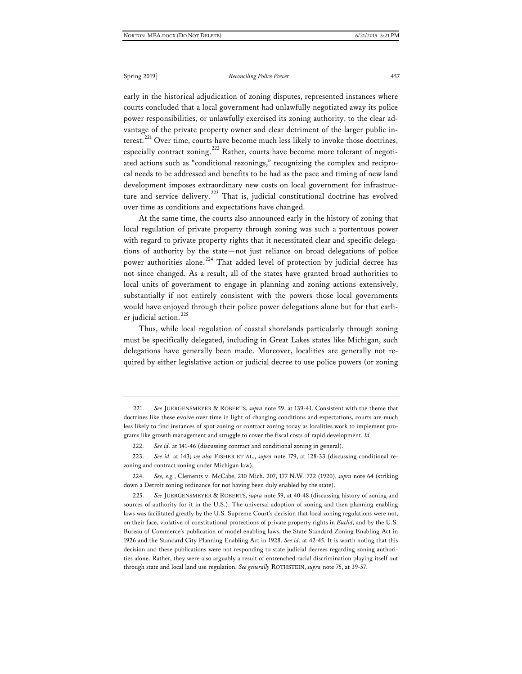early in the historical adjudication of zoning disputes, represented instances where courts concluded that a local government had unlawfully negotiated away its police power responsibilities, or unlawfully exercised its zoning authority, to the clear advantage of the private property owner and clear detriment of the larger public in-terest.<sup>[221](#page-49-0)</sup> Over time, courts have become much less likely to invoke those doctrines, especially contract zoning.<sup>[222](#page-49-1)</sup> Rather, courts have become more tolerant of negotiated actions such as "conditional rezonings," recognizing the complex and reciprocal needs to be addressed and benefits to be had as the pace and timing of new land development imposes extraordinary new costs on local government for infrastructure and service delivery.[223](#page-49-2) That is, judicial constitutional doctrine has evolved over time as conditions and expectations have changed.

At the same time, the courts also announced early in the history of zoning that local regulation of private property through zoning was such a portentous power with regard to private property rights that it necessitated clear and specific delegations of authority by the state—not just reliance on broad delegations of police power authorities alone.<sup>[224](#page-49-3)</sup> That added level of protection by judicial decree has not since changed. As a result, all of the states have granted broad authorities to local units of government to engage in planning and zoning actions extensively, substantially if not entirely consistent with the powers those local governments would have enjoyed through their police power delegations alone but for that earli-er judicial action.<sup>[225](#page-49-4)</sup>

Thus, while local regulation of coastal shorelands particularly through zoning must be specifically delegated, including in Great Lakes states like Michigan, such delegations have generally been made. Moreover, localities are generally not required by either legislative action or judicial decree to use police powers (or zoning

<span id="page-49-0"></span><sup>221.</sup> *See* JUERGENSMEYER & ROBERTS, *supra* note 59, at 139-41. Consistent with the theme that doctrines like these evolve over time in light of changing conditions and expectations, courts are much less likely to find instances of spot zoning or contract zoning today as localities work to implement programs like growth management and struggle to cover the fiscal costs of rapid development. *Id.*

<sup>222.</sup> *See id.* at 141-46 (discussing contract and conditional zoning in general).

<span id="page-49-2"></span><span id="page-49-1"></span><sup>223.</sup> *See id.* at 143; *see also* FISHER ET AL., *supra* note 179, at 128-33 (discussing conditional rezoning and contract zoning under Michigan law).

<span id="page-49-3"></span><sup>224.</sup> *See, e.g.*, Clements v. McCabe, 210 Mich. 207, 177 N.W. 722 (1920), *supra* note 64 (striking down a Detroit zoning ordinance for not having been duly enabled by the state).

<span id="page-49-4"></span><sup>225.</sup> *See* JUERGENSMEYER & ROBERTS, *supra* note 59, at 40-48 (discussing history of zoning and sources of authority for it in the U.S.). The universal adoption of zoning and then planning enabling laws was facilitated greatly by the U.S. Supreme Court's decision that local zoning regulations were not, on their face, violative of constitutional protections of private property rights in *Euclid*, and by the U.S. Bureau of Commerce's publication of model enabling laws, the State Standard Zoning Enabling Act in 1926 and the Standard City Planning Enabling Act in 1928. *See id.* at 42-45. It is worth noting that this decision and these publications were not responding to state judicial decrees regarding zoning authorities alone. Rather, they were also arguably a result of entrenched racial discrimination playing itself out through state and local land use regulation. *See generally* ROTHSTEIN, *supra* note 75, at 39-57.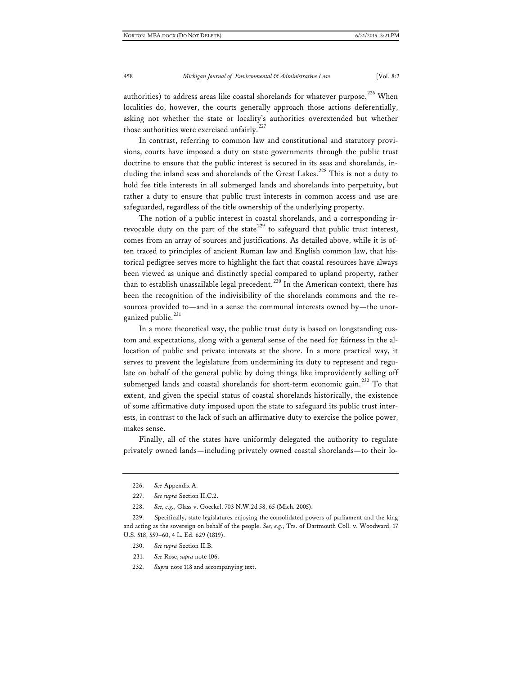authorities) to address areas like coastal shorelands for whatever purpose.<sup>[226](#page-50-0)</sup> When localities do, however, the courts generally approach those actions deferentially, asking not whether the state or locality's authorities overextended but whether those authorities were exercised unfairly.<sup>[227](#page-50-1)</sup>

In contrast, referring to common law and constitutional and statutory provisions, courts have imposed a duty on state governments through the public trust doctrine to ensure that the public interest is secured in its seas and shorelands, in-cluding the inland seas and shorelands of the Great Lakes.<sup>[228](#page-50-2)</sup> This is not a duty to hold fee title interests in all submerged lands and shorelands into perpetuity, but rather a duty to ensure that public trust interests in common access and use are safeguarded, regardless of the title ownership of the underlying property.

The notion of a public interest in coastal shorelands, and a corresponding ir-revocable duty on the part of the state<sup>[229](#page-50-3)</sup> to safeguard that public trust interest, comes from an array of sources and justifications. As detailed above, while it is often traced to principles of ancient Roman law and English common law, that historical pedigree serves more to highlight the fact that coastal resources have always been viewed as unique and distinctly special compared to upland property, rather than to establish unassailable legal precedent.<sup>[230](#page-50-4)</sup> In the American context, there has been the recognition of the indivisibility of the shorelands commons and the resources provided to—and in a sense the communal interests owned by—the unor-ganized public.<sup>[231](#page-50-5)</sup>

In a more theoretical way, the public trust duty is based on longstanding custom and expectations, along with a general sense of the need for fairness in the allocation of public and private interests at the shore. In a more practical way, it serves to prevent the legislature from undermining its duty to represent and regulate on behalf of the general public by doing things like improvidently selling off submerged lands and coastal shorelands for short-term economic gain.<sup>[232](#page-50-6)</sup> To that extent, and given the special status of coastal shorelands historically, the existence of some affirmative duty imposed upon the state to safeguard its public trust interests, in contrast to the lack of such an affirmative duty to exercise the police power, makes sense.

Finally, all of the states have uniformly delegated the authority to regulate privately owned lands—including privately owned coastal shorelands—to their lo-

- 230. *See supra* Section II.B.
- 231. *See* Rose, *supra* note 106.
- <span id="page-50-6"></span>232. *Supra* note 118 and accompanying text.

<sup>226.</sup> *See* Appendix A.

<sup>227.</sup> *See supra* Section II.C.2.

<sup>228.</sup> *See, e.g.*, Glass v. Goeckel, 703 N.W.2d 58, 65 (Mich. 2005).

<span id="page-50-5"></span><span id="page-50-4"></span><span id="page-50-3"></span><span id="page-50-2"></span><span id="page-50-1"></span><span id="page-50-0"></span><sup>229.</sup> Specifically, state legislatures enjoying the consolidated powers of parliament and the king and acting as the sovereign on behalf of the people. *See, e.g.*, Trs. of Dartmouth Coll. v. Woodward, 17 U.S. 518, 559–60, 4 L. Ed. 629 (1819).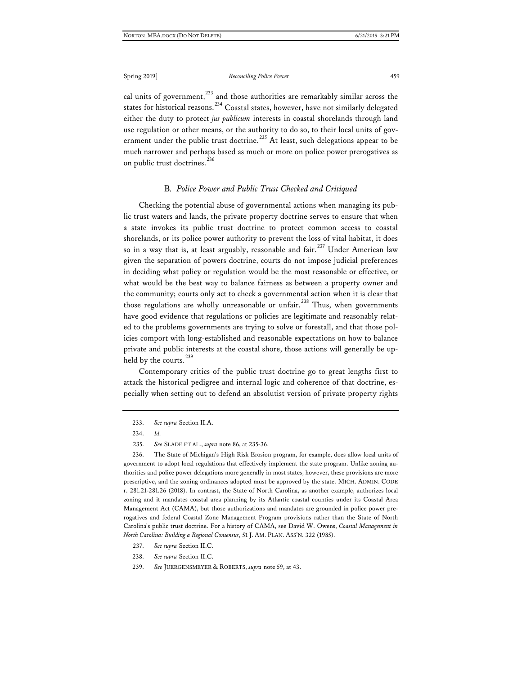cal units of government, $^{233}$  $^{233}$  $^{233}$  and those authorities are remarkably similar across the states for historical reasons.<sup>[234](#page-51-1)</sup> Coastal states, however, have not similarly delegated either the duty to protect *jus publicum* interests in coastal shorelands through land use regulation or other means, or the authority to do so, to their local units of gov-ernment under the public trust doctrine.<sup>[235](#page-51-2)</sup> At least, such delegations appear to be much narrower and perhaps based as much or more on police power prerogatives as on public trust doctrines.<sup>[236](#page-51-3)</sup>

#### B*. Police Power and Public Trust Checked and Critiqued*

Checking the potential abuse of governmental actions when managing its public trust waters and lands, the private property doctrine serves to ensure that when a state invokes its public trust doctrine to protect common access to coastal shorelands, or its police power authority to prevent the loss of vital habitat, it does so in a way that is, at least arguably, reasonable and fair.<sup>[237](#page-51-4)</sup> Under American law given the separation of powers doctrine, courts do not impose judicial preferences in deciding what policy or regulation would be the most reasonable or effective, or what would be the best way to balance fairness as between a property owner and the community; courts only act to check a governmental action when it is clear that those regulations are wholly unreasonable or unfair.<sup>[238](#page-51-5)</sup> Thus, when governments have good evidence that regulations or policies are legitimate and reasonably related to the problems governments are trying to solve or forestall, and that those policies comport with long-established and reasonable expectations on how to balance private and public interests at the coastal shore, those actions will generally be up-held by the courts.<sup>[239](#page-51-6)</sup>

Contemporary critics of the public trust doctrine go to great lengths first to attack the historical pedigree and internal logic and coherence of that doctrine, especially when setting out to defend an absolutist version of private property rights

233. *See supra* Section II.A.

235. *See* SLADE ET AL., *supra* note 86, at 235-36.

<span id="page-51-3"></span><span id="page-51-2"></span><span id="page-51-1"></span><span id="page-51-0"></span>236. The State of Michigan's High Risk Erosion program, for example, does allow local units of government to adopt local regulations that effectively implement the state program. Unlike zoning authorities and police power delegations more generally in most states, however, these provisions are more prescriptive, and the zoning ordinances adopted must be approved by the state. MICH. ADMIN. CODE r. 281.21-281.26 (2018). In contrast, the State of North Carolina, as another example, authorizes local zoning and it mandates coastal area planning by its Atlantic coastal counties under its Coastal Area Management Act (CAMA), but those authorizations and mandates are grounded in police power prerogatives and federal Coastal Zone Management Program provisions rather than the State of North Carolina's public trust doctrine. For a history of CAMA, see David W. Owens, *Coastal Management in North Carolina: Building a Regional Consensus*, 51 J. AM. PLAN. ASS'N. 322 (1985).

- 237. *See supra* Section II.C.
- <span id="page-51-5"></span><span id="page-51-4"></span>238. *See supra* Section II.C.

<sup>234.</sup> *Id.*

<span id="page-51-6"></span><sup>239.</sup> *See* JUERGENSMEYER & ROBERTS, *supra* note 59, at 43.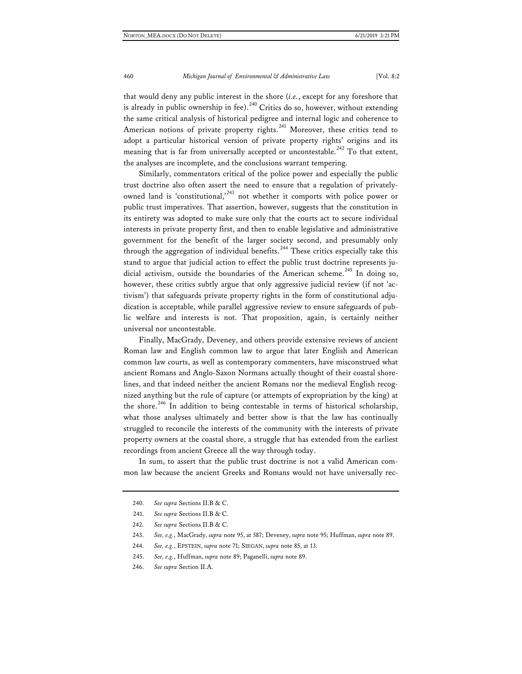that would deny any public interest in the shore (*i.e.*, except for any foreshore that is already in public ownership in fee).<sup>[240](#page-52-0)</sup> Critics do so, however, without extending the same critical analysis of historical pedigree and internal logic and coherence to American notions of private property rights.<sup>[241](#page-52-1)</sup> Moreover, these critics tend to adopt a particular historical version of private property rights' origins and its meaning that is far from universally accepted or uncontestable.<sup>[242](#page-52-2)</sup> To that extent, the analyses are incomplete, and the conclusions warrant tempering.

Similarly, commentators critical of the police power and especially the public trust doctrine also often assert the need to ensure that a regulation of privately-owned land is 'constitutional,<sup>[243](#page-52-3)</sup> not whether it comports with police power or public trust imperatives. That assertion, however, suggests that the constitution in its entirety was adopted to make sure only that the courts act to secure individual interests in private property first, and then to enable legislative and administrative government for the benefit of the larger society second, and presumably only through the aggregation of individual benefits.<sup>[244](#page-52-4)</sup> These critics especially take this stand to argue that judicial action to effect the public trust doctrine represents ju-dicial activism, outside the boundaries of the American scheme.<sup>[245](#page-52-5)</sup> In doing so, however, these critics subtly argue that only aggressive judicial review (if not 'activism') that safeguards private property rights in the form of constitutional adjudication is acceptable, while parallel aggressive review to ensure safeguards of public welfare and interests is not. That proposition, again, is certainly neither universal nor uncontestable.

Finally, MacGrady, Deveney, and others provide extensive reviews of ancient Roman law and English common law to argue that later English and American common law courts, as well as contemporary commenters, have misconstrued what ancient Romans and Anglo-Saxon Normans actually thought of their coastal shorelines, and that indeed neither the ancient Romans nor the medieval English recognized anything but the rule of capture (or attempts of expropriation by the king) at the shore.<sup>[246](#page-52-6)</sup> In addition to being contestable in terms of historical scholarship, what those analyses ultimately and better show is that the law has continually struggled to reconcile the interests of the community with the interests of private property owners at the coastal shore, a struggle that has extended from the earliest recordings from ancient Greece all the way through today.

<span id="page-52-0"></span>In sum, to assert that the public trust doctrine is not a valid American common law because the ancient Greeks and Romans would not have universally rec-

- <span id="page-52-2"></span><span id="page-52-1"></span>242*. See supra* Sections II.B & C.
- <span id="page-52-3"></span>243. *See, e.g.*, MacGrady, *supra* note 95, at 587; Deveney, *supra* note 95; Huffman, *supra* note 89.
- <span id="page-52-5"></span><span id="page-52-4"></span>244. *See, e.g.*, EPSTEIN, *supra* note 71; SIEGAN, *supra* note 85, at 13.
- 245. *See, e.g.*, Huffman, *supra* note 89; Paganelli, *supra* note 89.
- <span id="page-52-6"></span>246. *See supra* Section II.A.

<sup>240.</sup> *See supra* Sections II.B & C.

<sup>241.</sup> *See supra* Sections II.B & C.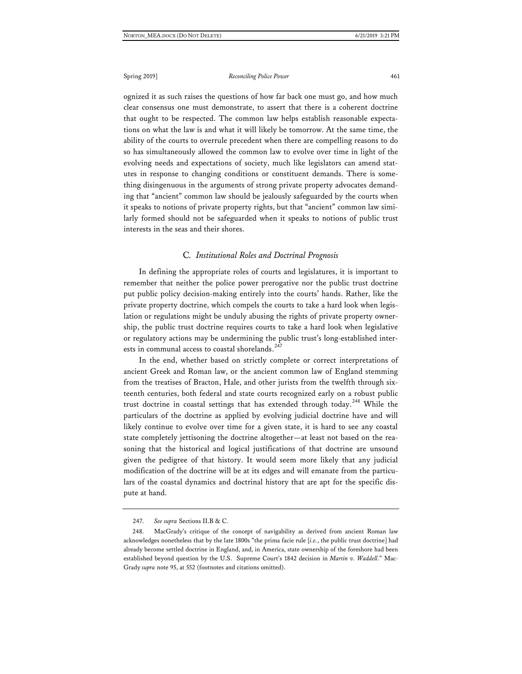ognized it as such raises the questions of how far back one must go, and how much clear consensus one must demonstrate, to assert that there is a coherent doctrine that ought to be respected. The common law helps establish reasonable expectations on what the law is and what it will likely be tomorrow. At the same time, the ability of the courts to overrule precedent when there are compelling reasons to do so has simultaneously allowed the common law to evolve over time in light of the evolving needs and expectations of society, much like legislators can amend statutes in response to changing conditions or constituent demands. There is something disingenuous in the arguments of strong private property advocates demanding that "ancient" common law should be jealously safeguarded by the courts when it speaks to notions of private property rights, but that "ancient" common law similarly formed should not be safeguarded when it speaks to notions of public trust interests in the seas and their shores.

#### C*. Institutional Roles and Doctrinal Prognosis*

In defining the appropriate roles of courts and legislatures, it is important to remember that neither the police power prerogative nor the public trust doctrine put public policy decision-making entirely into the courts' hands. Rather, like the private property doctrine, which compels the courts to take a hard look when legislation or regulations might be unduly abusing the rights of private property ownership, the public trust doctrine requires courts to take a hard look when legislative or regulatory actions may be undermining the public trust's long-established interests in communal access to coastal shorelands.<sup>24</sup>

In the end, whether based on strictly complete or correct interpretations of ancient Greek and Roman law, or the ancient common law of England stemming from the treatises of Bracton, Hale, and other jurists from the twelfth through sixteenth centuries, both federal and state courts recognized early on a robust public trust doctrine in coastal settings that has extended through today.<sup>[248](#page-53-1)</sup> While the particulars of the doctrine as applied by evolving judicial doctrine have and will likely continue to evolve over time for a given state, it is hard to see any coastal state completely jettisoning the doctrine altogether—at least not based on the reasoning that the historical and logical justifications of that doctrine are unsound given the pedigree of that history. It would seem more likely that any judicial modification of the doctrine will be at its edges and will emanate from the particulars of the coastal dynamics and doctrinal history that are apt for the specific dispute at hand.

<sup>247.</sup> *See supra* Sections II.B & C.

<span id="page-53-1"></span><span id="page-53-0"></span><sup>248.</sup> MacGrady's critique of the concept of navigability as derived from ancient Roman law acknowledges nonetheless that by the late 1800s "the prima facie rule [*i.e.*, the public trust doctrine] had already become settled doctrine in England, and, in America, state ownership of the foreshore had been established beyond question by the U.S. Supreme Court's 1842 decision in *Martin v. Waddell*." Mac-Grady *supra* note 95, at 552 (footnotes and citations omitted).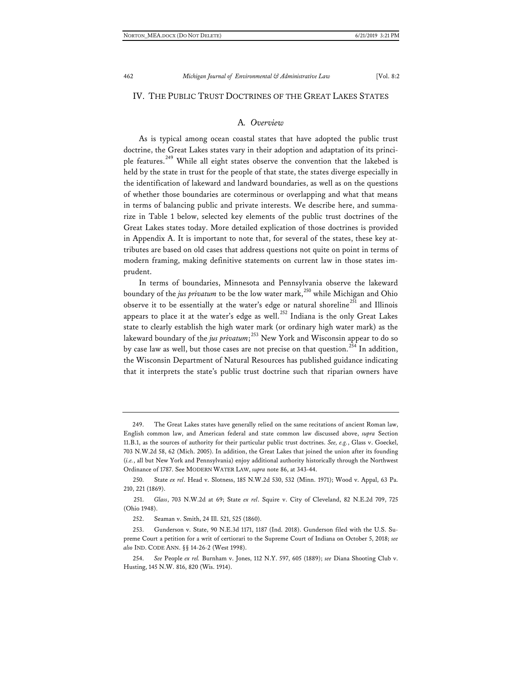#### IV. THE PUBLIC TRUST DOCTRINES OF THE GREAT LAKES STATES

### A*. Overview*

As is typical among ocean coastal states that have adopted the public trust doctrine, the Great Lakes states vary in their adoption and adaptation of its princi-ple features.<sup>[249](#page-54-0)</sup> While all eight states observe the convention that the lakebed is held by the state in trust for the people of that state, the states diverge especially in the identification of lakeward and landward boundaries, as well as on the questions of whether those boundaries are coterminous or overlapping and what that means in terms of balancing public and private interests. We describe here, and summarize in Table 1 below, selected key elements of the public trust doctrines of the Great Lakes states today. More detailed explication of those doctrines is provided in Appendix A. It is important to note that, for several of the states, these key attributes are based on old cases that address questions not quite on point in terms of modern framing, making definitive statements on current law in those states imprudent.

In terms of boundaries, Minnesota and Pennsylvania observe the lakeward boundary of the *jus privatum* to be the low water mark,<sup>[250](#page-54-1)</sup> while Michigan and Ohio observe it to be essentially at the water's edge or natural shoreline<sup>[251](#page-54-2)</sup> and Illinois appears to place it at the water's edge as well.<sup>[252](#page-54-3)</sup> Indiana is the only Great Lakes state to clearly establish the high water mark (or ordinary high water mark) as the lakeward boundary of the *jus privatum*; [253](#page-54-4) New York and Wisconsin appear to do so by case law as well, but those cases are not precise on that question.<sup>[254](#page-54-5)</sup> In addition, the Wisconsin Department of Natural Resources has published guidance indicating that it interprets the state's public trust doctrine such that riparian owners have

<span id="page-54-0"></span><sup>249.</sup> The Great Lakes states have generally relied on the same recitations of ancient Roman law, English common law, and American federal and state common law discussed above, *supra* Section 11.B.1, as the sources of authority for their particular public trust doctrines. *See, e.g.*, Glass v. Goeckel, 703 N.W.2d 58, 62 (Mich. 2005). In addition, the Great Lakes that joined the union after its founding (*i.e.*, all but New York and Pennsylvania) enjoy additional authority historically through the Northwest Ordinance of 1787. See MODERN WATER LAW, *supra* note 86, at 343-44.

<span id="page-54-1"></span><sup>250.</sup> State *ex rel*. Head v. Slotness, 185 N.W.2d 530, 532 (Minn. 1971); Wood v. Appal, 63 Pa. 210, 221 (1869).

<span id="page-54-2"></span><sup>251.</sup> *Glass*, 703 N.W.2d at 69; State *ex rel*. Squire v. City of Cleveland, 82 N.E.2d 709, 725 (Ohio 1948).

<sup>252.</sup> Seaman v. Smith, 24 Ill. 521, 525 (1860).

<span id="page-54-4"></span><span id="page-54-3"></span><sup>253.</sup> Gunderson v. State, 90 N.E.3d 1171, 1187 (Ind. 2018). Gunderson filed with the U.S. Supreme Court a petition for a writ of certiorari to the Supreme Court of Indiana on October 5, 2018; *see also* IND. CODE ANN. §§ 14-26-2 (West 1998).

<span id="page-54-5"></span><sup>254.</sup> *See* People *ex rel.* Burnham v. Jones, 112 N.Y. 597, 605 (1889); *see* Diana Shooting Club v. Husting, 145 N.W. 816, 820 (Wis. 1914).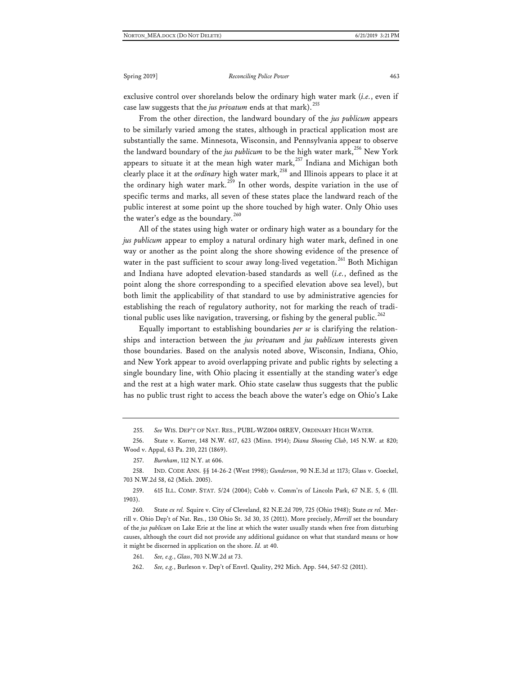exclusive control over shorelands below the ordinary high water mark (*i.e.*, even if case law suggests that the *jus privatum* ends at that mark).<sup>[255](#page-55-0)</sup>

From the other direction, the landward boundary of the *jus publicum* appears to be similarly varied among the states, although in practical application most are substantially the same. Minnesota, Wisconsin, and Pennsylvania appear to observe the landward boundary of the *jus publicum* to be the high water mark,<sup>[256](#page-55-1)</sup> New York appears to situate it at the mean high water mark,<sup>[257](#page-55-2)</sup> Indiana and Michigan both clearly place it at the *ordinary* high water mark,<sup>[258](#page-55-3)</sup> and Illinois appears to place it at the ordinary high water mark.<sup>[259](#page-55-4)</sup> In other words, despite variation in the use of specific terms and marks, all seven of these states place the landward reach of the public interest at some point up the shore touched by high water. Only Ohio uses the water's edge as the boundary.<sup>[260](#page-55-5)</sup>

All of the states using high water or ordinary high water as a boundary for the *jus publicum* appear to employ a natural ordinary high water mark, defined in one way or another as the point along the shore showing evidence of the presence of water in the past sufficient to scour away long-lived vegetation.<sup>[261](#page-55-6)</sup> Both Michigan and Indiana have adopted elevation-based standards as well (*i.e.*, defined as the point along the shore corresponding to a specified elevation above sea level), but both limit the applicability of that standard to use by administrative agencies for establishing the reach of regulatory authority, not for marking the reach of tradi-tional public uses like navigation, traversing, or fishing by the general public.<sup>[262](#page-55-7)</sup>

Equally important to establishing boundaries *per se* is clarifying the relationships and interaction between the *jus privatum* and *jus publicum* interests given those boundaries. Based on the analysis noted above, Wisconsin, Indiana, Ohio, and New York appear to avoid overlapping private and public rights by selecting a single boundary line, with Ohio placing it essentially at the standing water's edge and the rest at a high water mark. Ohio state caselaw thus suggests that the public has no public trust right to access the beach above the water's edge on Ohio's Lake

<span id="page-55-3"></span><span id="page-55-2"></span>258. IND. CODE ANN. §§ 14-26-2 (West 1998); *Gunderson*, 90 N.E.3d at 1173; Glass v. Goeckel, 703 N.W.2d 58, 62 (Mich. 2005).

<span id="page-55-4"></span>259. 615 ILL. COMP. STAT. 5/24 (2004); Cobb v. Comm'rs of Lincoln Park, 67 N.E. 5, 6 (Ill. 1903).

<span id="page-55-6"></span><span id="page-55-5"></span>260. State *ex rel.* Squire v. City of Cleveland, 82 N.E.2d 709, 725 (Ohio 1948); State *ex rel.* Merrill v. Ohio Dep't of Nat. Res., 130 Ohio St. 3d 30, 35 (2011). More precisely, *Merrill* set the boundary of the *jus publicum* on Lake Erie at the line at which the water usually stands when free from disturbing causes, although the court did not provide any additional guidance on what that standard means or how it might be discerned in application on the shore. *Id.* at 40.

261. *See, e.g.*, *Glass*, 703 N.W.2d at 73.

<span id="page-55-7"></span>262. *See, e.g.*, Burleson v. Dep't of Envtl. Quality, 292 Mich. App. 544, 547-52 (2011).

<sup>255.</sup> *See* WIS. DEP'T OF NAT. RES., PUBL-WZ004 08REV, ORDINARY HIGH WATER.

<span id="page-55-1"></span><span id="page-55-0"></span><sup>256.</sup> State v. Korrer, 148 N.W. 617, 623 (Minn. 1914); *Diana Shooting Club*, 145 N.W. at 820; Wood v. Appal, 63 Pa. 210, 221 (1869).

<sup>257.</sup> *Burnham*, 112 N.Y. at 606.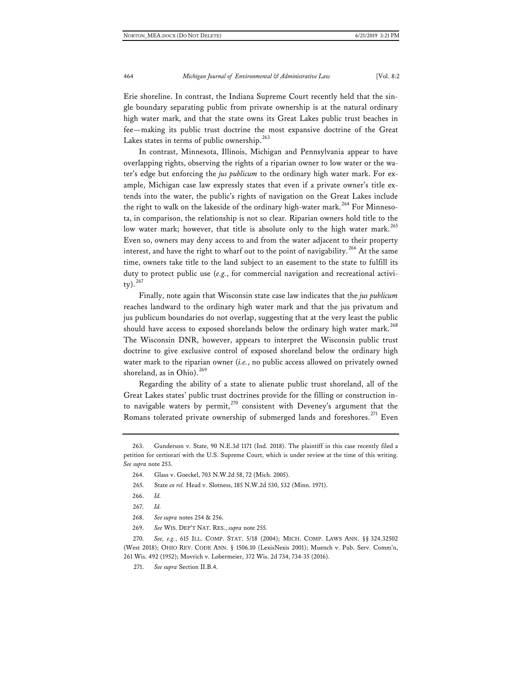Erie shoreline. In contrast, the Indiana Supreme Court recently held that the single boundary separating public from private ownership is at the natural ordinary high water mark, and that the state owns its Great Lakes public trust beaches in fee—making its public trust doctrine the most expansive doctrine of the Great Lakes states in terms of public ownership.<sup>[263](#page-56-0)</sup>

In contrast, Minnesota, Illinois, Michigan and Pennsylvania appear to have overlapping rights, observing the rights of a riparian owner to low water or the water's edge but enforcing the *jus publicum* to the ordinary high water mark. For example, Michigan case law expressly states that even if a private owner's title extends into the water, the public's rights of navigation on the Great Lakes include the right to walk on the lakeside of the ordinary high-water mark.<sup>[264](#page-56-1)</sup> For Minnesota, in comparison, the relationship is not so clear. Riparian owners hold title to the low water mark; however, that title is absolute only to the high water mark.<sup>[265](#page-56-2)</sup> Even so, owners may deny access to and from the water adjacent to their property interest, and have the right to wharf out to the point of navigability.<sup>[266](#page-56-3)</sup> At the same time, owners take title to the land subject to an easement to the state to fulfill its duty to protect public use (*e.g.*, for commercial navigation and recreational activity).[267](#page-56-4)

Finally, note again that Wisconsin state case law indicates that the *jus publicum* reaches landward to the ordinary high water mark and that the jus privatum and jus publicum boundaries do not overlap, suggesting that at the very least the public should have access to exposed shorelands below the ordinary high water mark.<sup>[268](#page-56-5)</sup> The Wisconsin DNR, however, appears to interpret the Wisconsin public trust doctrine to give exclusive control of exposed shoreland below the ordinary high water mark to the riparian owner (*i.e.*, no public access allowed on privately owned shoreland, as in Ohio).<sup>[269](#page-56-6)</sup>

Regarding the ability of a state to alienate public trust shoreland, all of the Great Lakes states' public trust doctrines provide for the filling or construction in-to navigable waters by permit,<sup>[270](#page-56-7)</sup> consistent with Deveney's argument that the Romans tolerated private ownership of submerged lands and foreshores.<sup>[271](#page-56-8)</sup> Even

271. *See supra* Section II.B.4.

<span id="page-56-2"></span><span id="page-56-1"></span><span id="page-56-0"></span><sup>263.</sup> Gunderson v. State, 90 N.E.3d 1171 (Ind. 2018). The plaintiff in this case recently filed a petition for certiorari with the U.S. Supreme Court, which is under review at the time of this writing. *See supra* note 253.

<sup>264.</sup> Glass v. Goeckel, 703 N.W.2d 58, 72 (Mich. 2005).

<sup>265.</sup> State *ex rel.* Head v. Slotness, 185 N.W.2d 530, 532 (Minn. 1971).

<sup>266.</sup> *Id.*

<sup>267.</sup> *Id.*

<sup>268.</sup> *See supra* notes 254 & 256.

<sup>269.</sup> *See* WIS. DEP'T NAT. RES., *supra* note 255.

<span id="page-56-8"></span><span id="page-56-7"></span><span id="page-56-6"></span><span id="page-56-5"></span><span id="page-56-4"></span><span id="page-56-3"></span><sup>270.</sup> *See, e.g.*, 615 ILL. COMP. STAT. 5/18 (2004); MICH. COMP. LAWS ANN. §§ 324.32502 (West 2018); OHIO REV. CODE ANN. § 1506.10 (LexisNexis 2001); Muench v. Pub. Serv. Comm'n, 261 Wis. 492 (1952); Movrich v. Lobermeier, 372 Wis. 2d 734, 734-35 (2016).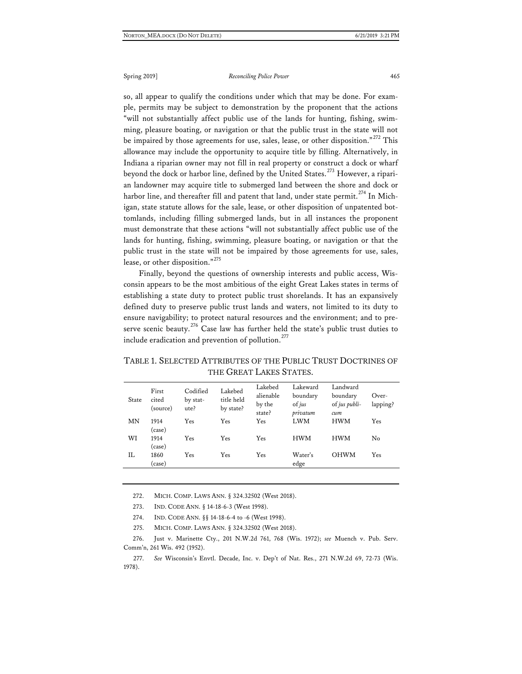so, all appear to qualify the conditions under which that may be done. For example, permits may be subject to demonstration by the proponent that the actions "will not substantially affect public use of the lands for hunting, fishing, swimming, pleasure boating, or navigation or that the public trust in the state will not be impaired by those agreements for use, sales, lease, or other disposition."<sup>[272](#page-57-0)</sup> This allowance may include the opportunity to acquire title by filling. Alternatively, in Indiana a riparian owner may not fill in real property or construct a dock or wharf beyond the dock or harbor line, defined by the United States.<sup>[273](#page-57-1)</sup> However, a riparian landowner may acquire title to submerged land between the shore and dock or harbor line, and thereafter fill and patent that land, under state permit.<sup>[274](#page-57-2)</sup> In Michigan, state statute allows for the sale, lease, or other disposition of unpatented bottomlands, including filling submerged lands, but in all instances the proponent must demonstrate that these actions "will not substantially affect public use of the lands for hunting, fishing, swimming, pleasure boating, or navigation or that the public trust in the state will not be impaired by those agreements for use, sales, lease, or other disposition."<sup>[275](#page-57-3)</sup>

Finally, beyond the questions of ownership interests and public access, Wisconsin appears to be the most ambitious of the eight Great Lakes states in terms of establishing a state duty to protect public trust shorelands. It has an expansively defined duty to preserve public trust lands and waters, not limited to its duty to ensure navigability; to protect natural resources and the environment; and to pre-serve scenic beauty.<sup>[276](#page-57-4)</sup> Case law has further held the state's public trust duties to include eradication and prevention of pollution.<sup>[277](#page-57-5)</sup>

| THE GREAT LAKES STATES. |                            |                              |                                    |                                          |                                              |                                              |                   |
|-------------------------|----------------------------|------------------------------|------------------------------------|------------------------------------------|----------------------------------------------|----------------------------------------------|-------------------|
| State                   | First<br>cited<br>(source) | Codified<br>by stat-<br>ute? | Lakebed<br>title held<br>by state? | Lakebed<br>alienable<br>by the<br>state? | Lakeward<br>boundary<br>$of ius$<br>privatum | Landward<br>boundary<br>of jus publi-<br>cum | Over-<br>lapping? |
| MΝ                      | 1914<br>(case)             | Yes                          | Yes                                | Yes                                      | <b>LWM</b>                                   | <b>HWM</b>                                   | Yes               |
| WI                      | 1914<br>(case)             | Yes                          | Yes                                | Yes                                      | <b>HWM</b>                                   | HWM                                          | No                |
| H.                      | 1860                       | Yes                          | Yes                                | Yes                                      | Water's                                      | OHWM                                         | Yes               |

edge

TABLE 1. SELECTED ATTRIBUTES OF THE PUBLIC TRUST DOCTRINES OF THE GREAT LAKES STATES.

272. MICH. COMP. LAWS ANN. § 324.32502 (West 2018).

273. IND. CODE ANN. § 14-18-6-3 (West 1998).

(case)

274. IND. CODE ANN. §§ 14-18-6-4 to -6 (West 1998).

275. MICH. COMP. LAWS ANN. § 324.32502 (West 2018).

<span id="page-57-4"></span><span id="page-57-3"></span><span id="page-57-2"></span><span id="page-57-1"></span><span id="page-57-0"></span>276. Just v. Marinette Cty., 201 N.W.2d 761, 768 (Wis. 1972); *see* Muench v. Pub. Serv. Comm'n, 261 Wis. 492 (1952).

<span id="page-57-5"></span>277. *See* Wisconsin's Envtl. Decade, Inc. v. Dep't of Nat. Res., 271 N.W.2d 69, 72-73 (Wis. 1978).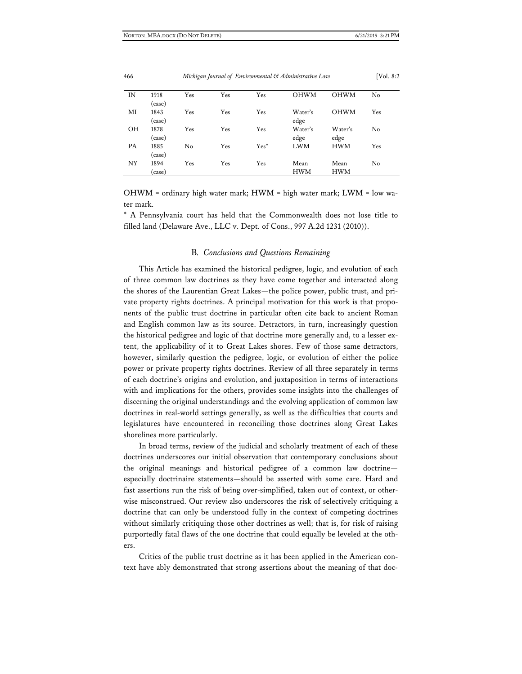| IN | 1918   | Yes | Yes | Yes    | <b>OHWM</b> | OHWM        | No  |
|----|--------|-----|-----|--------|-------------|-------------|-----|
|    | (case) |     |     |        |             |             |     |
| MI | 1843   | Yes | Yes | Yes    | Water's     | <b>OHWM</b> | Yes |
|    | (case) |     |     |        | edge        |             |     |
| OН | 1878   | Yes | Yes | Yes    | Water's     | Water's     | No  |
|    | (case) |     |     |        | edge        | edge        |     |
| PA | 1885   | No  | Yes | $Yes*$ | <b>LWM</b>  | <b>HWM</b>  | Yes |
|    | (case) |     |     |        |             |             |     |
| NY | 1894   | Yes | Yes | Yes    | Mean        | Mean        | No  |
|    | case)  |     |     |        | <b>HWM</b>  | <b>HWM</b>  |     |

OHWM = ordinary high water mark; HWM = high water mark; LWM = low water mark.

\* A Pennsylvania court has held that the Commonwealth does not lose title to filled land (Delaware Ave., LLC v. Dept. of Cons., 997 A.2d 1231 (2010)).

#### B*. Conclusions and Questions Remaining*

This Article has examined the historical pedigree, logic, and evolution of each of three common law doctrines as they have come together and interacted along the shores of the Laurentian Great Lakes—the police power, public trust, and private property rights doctrines. A principal motivation for this work is that proponents of the public trust doctrine in particular often cite back to ancient Roman and English common law as its source. Detractors, in turn, increasingly question the historical pedigree and logic of that doctrine more generally and, to a lesser extent, the applicability of it to Great Lakes shores. Few of those same detractors, however, similarly question the pedigree, logic, or evolution of either the police power or private property rights doctrines. Review of all three separately in terms of each doctrine's origins and evolution, and juxtaposition in terms of interactions with and implications for the others, provides some insights into the challenges of discerning the original understandings and the evolving application of common law doctrines in real-world settings generally, as well as the difficulties that courts and legislatures have encountered in reconciling those doctrines along Great Lakes shorelines more particularly.

In broad terms, review of the judicial and scholarly treatment of each of these doctrines underscores our initial observation that contemporary conclusions about the original meanings and historical pedigree of a common law doctrine especially doctrinaire statements—should be asserted with some care. Hard and fast assertions run the risk of being over-simplified, taken out of context, or otherwise misconstrued. Our review also underscores the risk of selectively critiquing a doctrine that can only be understood fully in the context of competing doctrines without similarly critiquing those other doctrines as well; that is, for risk of raising purportedly fatal flaws of the one doctrine that could equally be leveled at the others.

Critics of the public trust doctrine as it has been applied in the American context have ably demonstrated that strong assertions about the meaning of that doc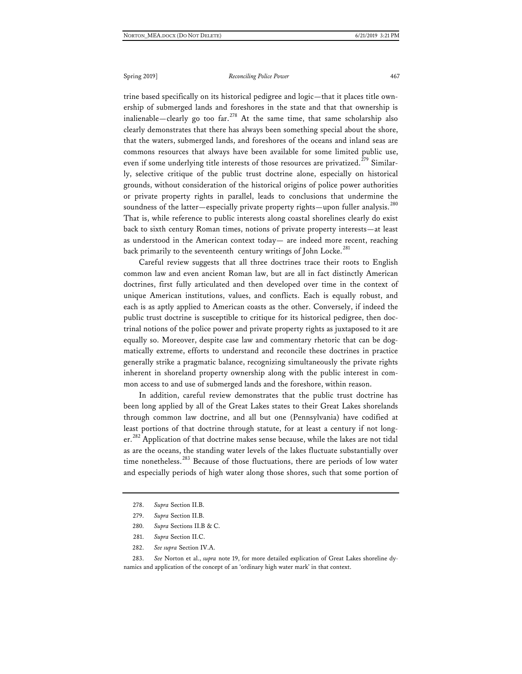trine based specifically on its historical pedigree and logic—that it places title ownership of submerged lands and foreshores in the state and that that ownership is inalienable—clearly go too far.<sup>[278](#page-59-0)</sup> At the same time, that same scholarship also clearly demonstrates that there has always been something special about the shore, that the waters, submerged lands, and foreshores of the oceans and inland seas are commons resources that always have been available for some limited public use, even if some underlying title interests of those resources are privatized.<sup>[279](#page-59-1)</sup> Similarly, selective critique of the public trust doctrine alone, especially on historical grounds, without consideration of the historical origins of police power authorities or private property rights in parallel, leads to conclusions that undermine the soundness of the latter—especially private property rights—upon fuller analysis.<sup>[280](#page-59-2)</sup> That is, while reference to public interests along coastal shorelines clearly do exist back to sixth century Roman times, notions of private property interests—at least as understood in the American context today— are indeed more recent, reaching back primarily to the seventeenth century writings of John Locke.<sup>[281](#page-59-3)</sup>

Careful review suggests that all three doctrines trace their roots to English common law and even ancient Roman law, but are all in fact distinctly American doctrines, first fully articulated and then developed over time in the context of unique American institutions, values, and conflicts. Each is equally robust, and each is as aptly applied to American coasts as the other. Conversely, if indeed the public trust doctrine is susceptible to critique for its historical pedigree, then doctrinal notions of the police power and private property rights as juxtaposed to it are equally so. Moreover, despite case law and commentary rhetoric that can be dogmatically extreme, efforts to understand and reconcile these doctrines in practice generally strike a pragmatic balance, recognizing simultaneously the private rights inherent in shoreland property ownership along with the public interest in common access to and use of submerged lands and the foreshore, within reason.

In addition, careful review demonstrates that the public trust doctrine has been long applied by all of the Great Lakes states to their Great Lakes shorelands through common law doctrine, and all but one (Pennsylvania) have codified at least portions of that doctrine through statute, for at least a century if not long-er.<sup>[282](#page-59-4)</sup> Application of that doctrine makes sense because, while the lakes are not tidal as are the oceans, the standing water levels of the lakes fluctuate substantially over time nonetheless.<sup>[283](#page-59-5)</sup> Because of those fluctuations, there are periods of low water and especially periods of high water along those shores, such that some portion of

- 280. *Supra* Sections II.B & C.
- 281. *Supra* Section II.C.
- 282. *See supra* Section IV.A.

<span id="page-59-5"></span><span id="page-59-4"></span><span id="page-59-3"></span><span id="page-59-2"></span><span id="page-59-1"></span>283. *See* Norton et al., *supra* note 19, for more detailed explication of Great Lakes shoreline dynamics and application of the concept of an 'ordinary high water mark' in that context.

<span id="page-59-0"></span><sup>278.</sup> *Supra* Section II.B.

<sup>279.</sup> *Supra* Section II.B.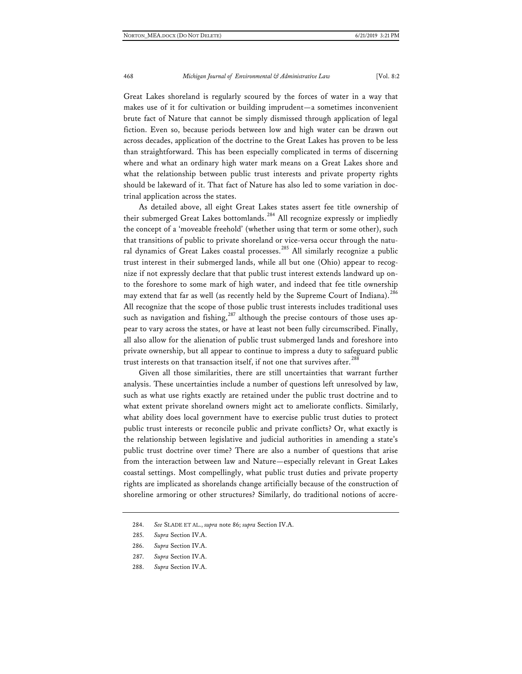Great Lakes shoreland is regularly scoured by the forces of water in a way that makes use of it for cultivation or building imprudent—a sometimes inconvenient brute fact of Nature that cannot be simply dismissed through application of legal fiction. Even so, because periods between low and high water can be drawn out across decades, application of the doctrine to the Great Lakes has proven to be less than straightforward. This has been especially complicated in terms of discerning where and what an ordinary high water mark means on a Great Lakes shore and what the relationship between public trust interests and private property rights should be lakeward of it. That fact of Nature has also led to some variation in doctrinal application across the states.

As detailed above, all eight Great Lakes states assert fee title ownership of their submerged Great Lakes bottomlands.<sup>[284](#page-60-0)</sup> All recognize expressly or impliedly the concept of a 'moveable freehold' (whether using that term or some other), such that transitions of public to private shoreland or vice-versa occur through the natu-ral dynamics of Great Lakes coastal processes.<sup>[285](#page-60-1)</sup> All similarly recognize a public trust interest in their submerged lands, while all but one (Ohio) appear to recognize if not expressly declare that that public trust interest extends landward up onto the foreshore to some mark of high water, and indeed that fee title ownership may extend that far as well (as recently held by the Supreme Court of Indiana).<sup>[286](#page-60-2)</sup> All recognize that the scope of those public trust interests includes traditional uses such as navigation and fishing,  $287$  although the precise contours of those uses appear to vary across the states, or have at least not been fully circumscribed. Finally, all also allow for the alienation of public trust submerged lands and foreshore into private ownership, but all appear to continue to impress a duty to safeguard public trust interests on that transaction itself, if not one that survives after.<sup>[288](#page-60-4)</sup>

Given all those similarities, there are still uncertainties that warrant further analysis. These uncertainties include a number of questions left unresolved by law, such as what use rights exactly are retained under the public trust doctrine and to what extent private shoreland owners might act to ameliorate conflicts. Similarly, what ability does local government have to exercise public trust duties to protect public trust interests or reconcile public and private conflicts? Or, what exactly is the relationship between legislative and judicial authorities in amending a state's public trust doctrine over time? There are also a number of questions that arise from the interaction between law and Nature—especially relevant in Great Lakes coastal settings. Most compellingly, what public trust duties and private property rights are implicated as shorelands change artificially because of the construction of shoreline armoring or other structures? Similarly, do traditional notions of accre-

<span id="page-60-4"></span>288. *Supra* Section IV.A.

<span id="page-60-1"></span><span id="page-60-0"></span><sup>284.</sup> *See* SLADE ET AL., *supra* note 86; *supra* Section IV.A.

<sup>285.</sup> *Supra* Section IV.A.

<span id="page-60-3"></span><span id="page-60-2"></span><sup>286.</sup> *Supra* Section IV.A.

<sup>287.</sup> *Supra* Section IV.A.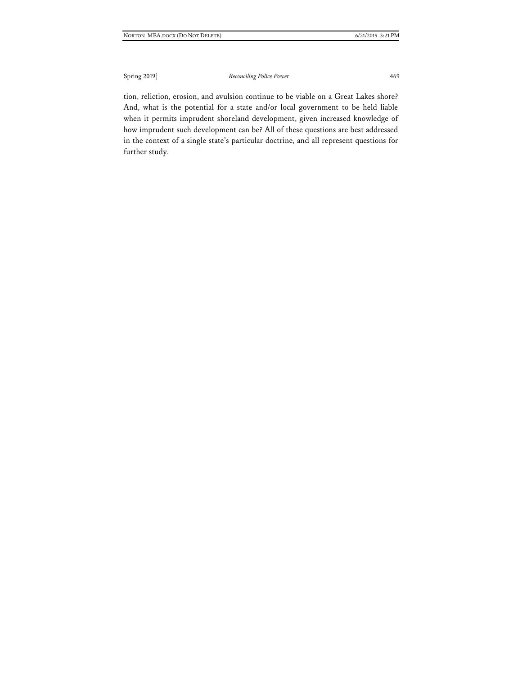tion, reliction, erosion, and avulsion continue to be viable on a Great Lakes shore? And, what is the potential for a state and/or local government to be held liable when it permits imprudent shoreland development, given increased knowledge of how imprudent such development can be? All of these questions are best addressed in the context of a single state's particular doctrine, and all represent questions for further study.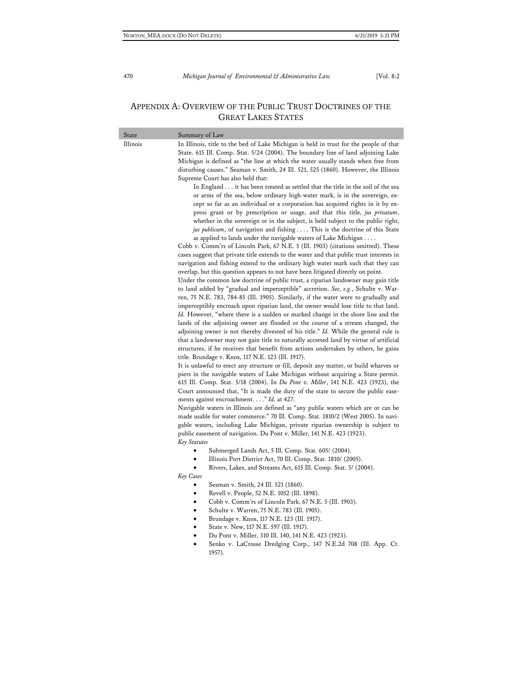## APPENDIX A: OVERVIEW OF THE PUBLIC TRUST DOCTRINES OF THE GREAT LAKES STATES

| State    | Summary of Law                                                                                                                                                                                                                                                                                                                                                                                                                                                                                                                                                                                                                                                                                                                                                                                                                                                                                                                                                                                                                                                                                                                                                                                                                                                                                                                                                                                                                                                                                                                                                                                                                                                                                                                                                                                                                                                                                                                                                                                                                                                                                                                                                                                                                                                                                                                                                                                                                                                                                                                                                                                                                                                                                                                                                                                                                                                                                                                                                                                                                                                                                                                                                                                                                                                                                                                                                                                                                                                                                                                                                                                                                                           |
|----------|----------------------------------------------------------------------------------------------------------------------------------------------------------------------------------------------------------------------------------------------------------------------------------------------------------------------------------------------------------------------------------------------------------------------------------------------------------------------------------------------------------------------------------------------------------------------------------------------------------------------------------------------------------------------------------------------------------------------------------------------------------------------------------------------------------------------------------------------------------------------------------------------------------------------------------------------------------------------------------------------------------------------------------------------------------------------------------------------------------------------------------------------------------------------------------------------------------------------------------------------------------------------------------------------------------------------------------------------------------------------------------------------------------------------------------------------------------------------------------------------------------------------------------------------------------------------------------------------------------------------------------------------------------------------------------------------------------------------------------------------------------------------------------------------------------------------------------------------------------------------------------------------------------------------------------------------------------------------------------------------------------------------------------------------------------------------------------------------------------------------------------------------------------------------------------------------------------------------------------------------------------------------------------------------------------------------------------------------------------------------------------------------------------------------------------------------------------------------------------------------------------------------------------------------------------------------------------------------------------------------------------------------------------------------------------------------------------------------------------------------------------------------------------------------------------------------------------------------------------------------------------------------------------------------------------------------------------------------------------------------------------------------------------------------------------------------------------------------------------------------------------------------------------------------------------------------------------------------------------------------------------------------------------------------------------------------------------------------------------------------------------------------------------------------------------------------------------------------------------------------------------------------------------------------------------------------------------------------------------------------------------------------------------|
| Illinois | In Illinois, title to the bed of Lake Michigan is held in trust for the people of that<br>State. 615 Ill. Comp. Stat. 5/24 (2004). The boundary line of land adjoining Lake<br>Michigan is defined as "the line at which the water usually stands when free from<br>disturbing causes." Seaman v. Smith, 24 Ill. 521, 525 (1860). However, the Illinois<br>Supreme Court has also held that:<br>In England it has been treated as settled that the title in the soil of the sea<br>or arms of the sea, below ordinary high-water mark, is in the sovereign, ex-<br>cept so far as an individual or a corporation has acquired rights in it by ex-<br>press grant or by prescription or usage, and that this title, jus privatum,<br>whether in the sovereign or in the subject, is held subject to the public right,<br>jus publicum, of navigation and fishing  This is the doctrine of this State<br>as applied to lands under the navigable waters of Lake Michigan<br>Cobb v. Comm'rs of Lincoln Park, 67 N.E. 5 (Ill. 1903) (citations omitted). These<br>cases suggest that private title extends to the water and that public trust interests in<br>navigation and fishing extend to the ordinary high water mark such that they can<br>overlap, but this question appears to not have been litigated directly on point.<br>Under the common law doctrine of public trust, a riparian landowner may gain title<br>to land added by "gradual and imperceptible" accretion. See, e.g., Schulte v. War-<br>ren, 75 N.E. 783, 784-85 (Ill. 1905). Similarly, if the water were to gradually and<br>imperceptibly encroach upon riparian land, the owner would lose title to that land.<br>Id. However, "where there is a sudden or marked change in the shore line and the<br>lands of the adjoining owner are flooded or the course of a stream changed, the<br>adjoining owner is not thereby divested of his title." Id. While the general rule is<br>that a landowner may not gain title to naturally accreted land by virtue of artificial<br>structures, if he receives that benefit from actions undertaken by others, he gains<br>title. Brundage v. Knox, 117 N.E. 123 (Ill. 1917).<br>It is unlawful to erect any structure or fill, deposit any matter, or build wharves or<br>piers in the navigable waters of Lake Michigan without acquiring a State permit.<br>615 Ill. Comp. Stat. 5/18 (2004). In Du Pont v. Miller, 141 N.E. 423 (1923), the<br>Court announced that, "It is made the duty of the state to secure the public ease-<br>ments against encroachment." Id. at 427.<br>Navigable waters in Illinois are defined as "any public waters which are or can be<br>made usable for water commerce." 70 Ill. Comp. Stat. 1810/2 (West 2005). In navi-<br>gable waters, including Lake Michigan, private riparian ownership is subject to<br>public easement of navigation. Du Pont v. Miller, 141 N.E. 423 (1923).<br><b>Key Statutes</b><br>Submerged Lands Act, 5 Ill. Comp. Stat. 605/ (2004).<br>$\bullet$<br>Illinois Port District Act, 70 Ill. Comp. Stat. 1810/ (2005).<br>٠<br>Rivers, Lakes, and Streams Act, 615 Ill. Comp. Stat. 5/ (2004).<br>$\bullet$<br>Key Cases<br>Seaman v. Smith, 24 Ill. 521 (1860).<br>Revell v. People, 52 N.E. 1052 (Ill. 1898).<br>٠<br>Cobb v. Comm'rs of Lincoln Park, 67 N.E. 5 (Ill. 1903).<br>٠<br>Schulte v. Warren, 75 N.E. 783 (Ill. 1905).<br>$\bullet$<br>Brundage v. Knox, 117 N.E. 123 (Ill. 1917).<br>State v. New, 117 N.E. 597 (Ill. 1917).<br>Du Pont v. Miller, 310 Ill. 140, 141 N.E. 423 (1923).<br>Senko v. LaCrosse Dredging Corp., 147 N.E.2d 708 (Ill. App. Ct. |
|          | 1957).                                                                                                                                                                                                                                                                                                                                                                                                                                                                                                                                                                                                                                                                                                                                                                                                                                                                                                                                                                                                                                                                                                                                                                                                                                                                                                                                                                                                                                                                                                                                                                                                                                                                                                                                                                                                                                                                                                                                                                                                                                                                                                                                                                                                                                                                                                                                                                                                                                                                                                                                                                                                                                                                                                                                                                                                                                                                                                                                                                                                                                                                                                                                                                                                                                                                                                                                                                                                                                                                                                                                                                                                                                                   |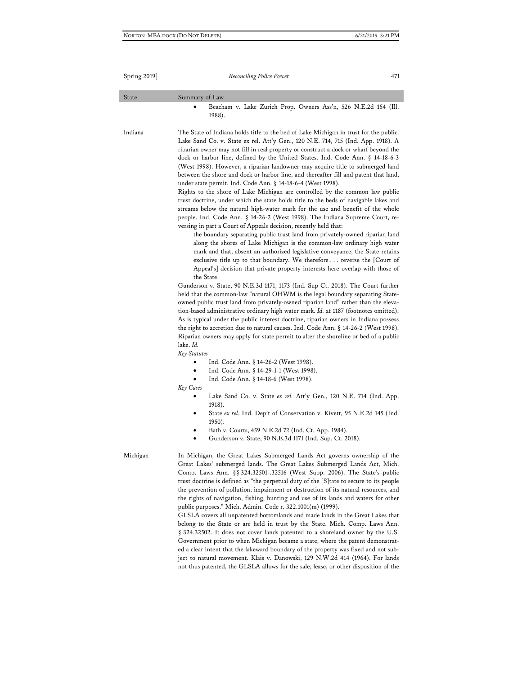| State    | Summary of Law                                                                                                                                                                                                                                                                                                                                                                                                                                                                                                                                                                                                                                                                                                                                                                                                                                                                                                                                                                                                                                                                                                                                                                                                                                                                                                                                                                                                                                                                                                                                                                                                                                                                                                                                                                                                                                                                                                                                                                                                                                                                                                                   |
|----------|----------------------------------------------------------------------------------------------------------------------------------------------------------------------------------------------------------------------------------------------------------------------------------------------------------------------------------------------------------------------------------------------------------------------------------------------------------------------------------------------------------------------------------------------------------------------------------------------------------------------------------------------------------------------------------------------------------------------------------------------------------------------------------------------------------------------------------------------------------------------------------------------------------------------------------------------------------------------------------------------------------------------------------------------------------------------------------------------------------------------------------------------------------------------------------------------------------------------------------------------------------------------------------------------------------------------------------------------------------------------------------------------------------------------------------------------------------------------------------------------------------------------------------------------------------------------------------------------------------------------------------------------------------------------------------------------------------------------------------------------------------------------------------------------------------------------------------------------------------------------------------------------------------------------------------------------------------------------------------------------------------------------------------------------------------------------------------------------------------------------------------|
|          | Beacham v. Lake Zurich Prop. Owners Ass'n, 526 N.E.2d 154 (Ill.<br>1988).                                                                                                                                                                                                                                                                                                                                                                                                                                                                                                                                                                                                                                                                                                                                                                                                                                                                                                                                                                                                                                                                                                                                                                                                                                                                                                                                                                                                                                                                                                                                                                                                                                                                                                                                                                                                                                                                                                                                                                                                                                                        |
| Indiana  | The State of Indiana holds title to the bed of Lake Michigan in trust for the public.<br>Lake Sand Co. v. State ex rel. Att'y Gen., 120 N.E. 714, 715 (Ind. App. 1918). A<br>riparian owner may not fill in real property or construct a dock or wharf beyond the<br>dock or harbor line, defined by the United States. Ind. Code Ann. § 14-18-6-3<br>(West 1998). However, a riparian landowner may acquire title to submerged land<br>between the shore and dock or harbor line, and thereafter fill and patent that land,<br>under state permit. Ind. Code Ann. § 14-18-6-4 (West 1998).<br>Rights to the shore of Lake Michigan are controlled by the common law public<br>trust doctrine, under which the state holds title to the beds of navigable lakes and<br>streams below the natural high-water mark for the use and benefit of the whole<br>people. Ind. Code Ann. § 14-26-2 (West 1998). The Indiana Supreme Court, re-<br>versing in part a Court of Appeals decision, recently held that:<br>the boundary separating public trust land from privately-owned riparian land<br>along the shores of Lake Michigan is the common-law ordinary high water<br>mark and that, absent an authorized legislative conveyance, the State retains<br>exclusive title up to that boundary. We therefore  reverse the [Court of<br>Appeal's] decision that private property interests here overlap with those of<br>the State.<br>Gunderson v. State, 90 N.E.3d 1171, 1173 (Ind. Sup Ct. 2018). The Court further<br>held that the common-law "natural OHWM is the legal boundary separating State-<br>owned public trust land from privately-owned riparian land" rather than the eleva-<br>tion-based administrative ordinary high water mark. Id. at 1187 (footnotes omitted).<br>As is typical under the public interest doctrine, riparian owners in Indiana possess<br>the right to accretion due to natural causes. Ind. Code Ann. § 14-26-2 (West 1998).<br>Riparian owners may apply for state permit to alter the shoreline or bed of a public<br>lake. Id.<br>Key Statutes<br>Ind. Code Ann. § 14-26-2 (West 1998). |
|          | Ind. Code Ann. § 14-29-1-1 (West 1998).<br>Ind. Code Ann. § 14-18-6 (West 1998).<br>Key Cases<br>Lake Sand Co. v. State ex rel. Att'y Gen., 120 N.E. 714 (Ind. App.<br>٠                                                                                                                                                                                                                                                                                                                                                                                                                                                                                                                                                                                                                                                                                                                                                                                                                                                                                                                                                                                                                                                                                                                                                                                                                                                                                                                                                                                                                                                                                                                                                                                                                                                                                                                                                                                                                                                                                                                                                         |
|          | 1918).<br>State ex rel. Ind. Dep't of Conservation v. Kivett, 95 N.E.2d 145 (Ind.<br>1950).                                                                                                                                                                                                                                                                                                                                                                                                                                                                                                                                                                                                                                                                                                                                                                                                                                                                                                                                                                                                                                                                                                                                                                                                                                                                                                                                                                                                                                                                                                                                                                                                                                                                                                                                                                                                                                                                                                                                                                                                                                      |
|          | Bath v. Courts, 459 N.E.2d 72 (Ind. Ct. App. 1984).<br>Gunderson v. State, 90 N.E.3d 1171 (Ind. Sup. Ct. 2018).                                                                                                                                                                                                                                                                                                                                                                                                                                                                                                                                                                                                                                                                                                                                                                                                                                                                                                                                                                                                                                                                                                                                                                                                                                                                                                                                                                                                                                                                                                                                                                                                                                                                                                                                                                                                                                                                                                                                                                                                                  |
| Michigan | In Michigan, the Great Lakes Submerged Lands Act governs ownership of the<br>Great Lakes' submerged lands. The Great Lakes Submerged Lands Act, Mich.<br>Comp. Laws Ann. §§ 324.32501-.32516 (West Supp. 2006). The State's public<br>trust doctrine is defined as "the perpetual duty of the [S] tate to secure to its people<br>the prevention of pollution, impairment or destruction of its natural resources, and<br>the rights of navigation, fishing, hunting and use of its lands and waters for other<br>public purposes." Mich. Admin. Code r. 322.1001(m) (1999).<br>GLSLA covers all unpatented bottomlands and made lands in the Great Lakes that<br>belong to the State or are held in trust by the State. Mich. Comp. Laws Ann.<br>§ 324.32502. It does not cover lands patented to a shoreland owner by the U.S.<br>Government prior to when Michigan became a state, where the patent demonstrat-<br>ed a clear intent that the lakeward boundary of the property was fixed and not sub-<br>ject to natural movement. Klais v. Danowski, 129 N.W.2d 414 (1964). For lands<br>not thus patented, the GLSLA allows for the sale, lease, or other disposition of the                                                                                                                                                                                                                                                                                                                                                                                                                                                                                                                                                                                                                                                                                                                                                                                                                                                                                                                                               |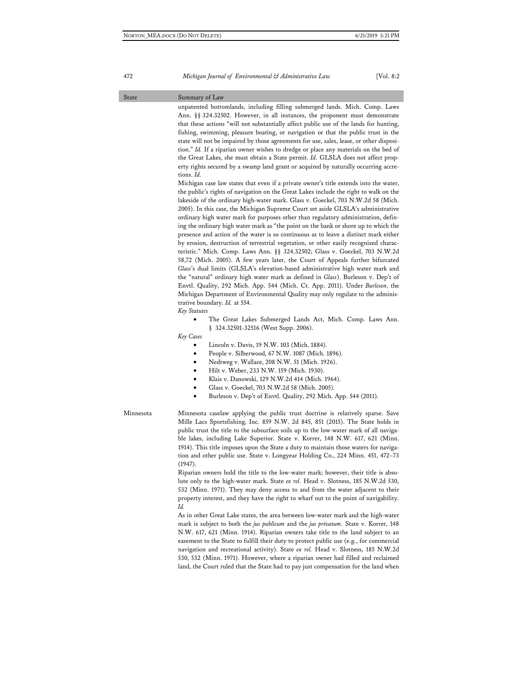#### State Summary of Law

unpatented bottomlands, including filling submerged lands. Mich. Comp. Laws Ann. §§ 324.32502. However, in all instances, the proponent must demonstrate that these actions "will not substantially affect public use of the lands for hunting, fishing, swimming, pleasure boating, or navigation or that the public trust in the state will not be impaired by those agreements for use, sales, lease, or other disposition." *Id.* If a riparian owner wishes to dredge or place any materials on the bed of the Great Lakes, she must obtain a State permit. *Id.* GLSLA does not affect property rights secured by a swamp land grant or acquired by naturally occurring accretions. *Id.*

Michigan case law states that even if a private owner's title extends into the water, the public's rights of navigation on the Great Lakes include the right to walk on the lakeside of the ordinary high-water mark. Glass v. Goeckel, 703 N.W.2d 58 (Mich. 2005). In this case, the Michigan Supreme Court set aside GLSLA's administrative ordinary high water mark for purposes other than regulatory administration, defining the ordinary high water mark as "the point on the bank or shore up to which the presence and action of the water is so continuous as to leave a distinct mark either by erosion, destruction of terrestrial vegetation, or other easily recognized characteristic." Mich. Comp. Laws Ann. §§ 324.32502; Glass v. Goeckel, 703 N.W.2d 58,72 (Mich. 2005). A few years later, the Court of Appeals further bifurcated *Glass*'s dual limits (GLSLA's elevation-based administrative high water mark and the "natural" ordinary high water mark as defined in *Glass*). Burleson v. Dep't of Envtl. Quality, 292 Mich. App. 544 (Mich. Ct. App. 2011). Under *Burleson*, the Michigan Department of Environmental Quality may only regulate to the administrative boundary. *Id.* at 554.

#### *Key Statutes*

The Great Lakes Submerged Lands Act, Mich. Comp. Laws Ann. § 324.32501-32516 (West Supp. 2006).

#### *Key Cases*

- Lincoln v. Davis, 19 N.W. 103 (Mich. 1884).
- People v. Silberwood, 67 N.W. 1087 (Mich. 1896).
- Nedtweg v. Wallace, 208 N.W. 51 (Mich. 1926).
- Hilt v. Weber, 233 N.W. 159 (Mich. 1930).
- Klais v. Danowski, 129 N.W.2d 414 (Mich. 1964).
- Glass v. Goeckel, 703 N.W.2d 58 (Mich. 2005).
- Burleson v. Dep't of Envtl. Quality, 292 Mich. App. 544 (2011).

#### Minnesota Minnesota caselaw applying the public trust doctrine is relatively sparse. Save Mille Lacs Sportsfishing, Inc. 859 N.W. 2d 845, 851 (2015). The State holds in public trust the title to the subsurface soils up to the low-water mark of all navigable lakes, including Lake Superior. State v. Korrer, 148 N.W. 617, 621 (Minn. 1914). This title imposes upon the State a duty to maintain those waters for navigation and other public use. State v. Longyear Holding Co., 224 Minn. 451, 472–73 (1947).

Riparian owners hold the title to the low-water mark; however, their title is absolute only to the high-water mark. State *ex rel.* Head v. Slotness, 185 N.W.2d 530, 532 (Minn. 1971). They may deny access to and from the water adjacent to their property interest, and they have the right to wharf out to the point of navigability. *Id.*

As in other Great Lake states, the area between low-water mark and the high-water mark is subject to both the *jus publicum* and the *jus privatum*. State v. Korrer, 148 N.W. 617, 621 (Minn. 1914). Riparian owners take title to the land subject to an easement to the State to fulfill their duty to protect public use (e.g., for commercial navigation and recreational activity). State *ex rel.* Head v. Slotness, 185 N.W.2d 530, 532 (Minn. 1971). However, where a riparian owner had filled and reclaimed land, the Court ruled that the State had to pay just compensation for the land when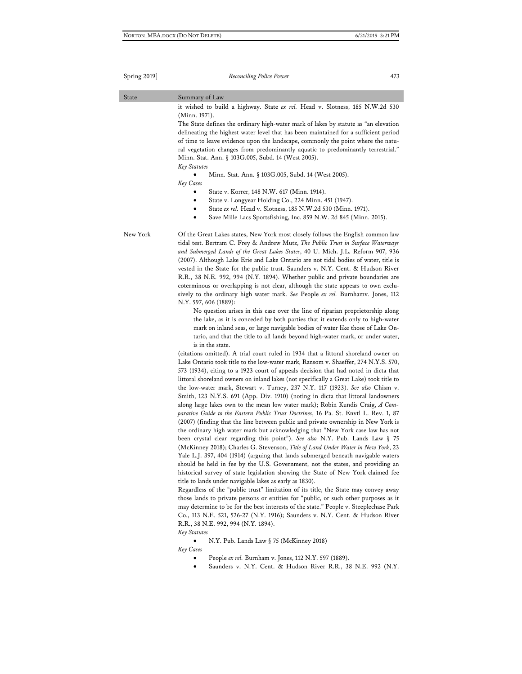| State    | Summary of Law                                                                                                                                                                                                                                                                                                                                                                                                                                                                                                                                                                                                                                                                                                                                                                                                                                                                                                                                                                                                                                                                                                                                                                                                                                                     |
|----------|--------------------------------------------------------------------------------------------------------------------------------------------------------------------------------------------------------------------------------------------------------------------------------------------------------------------------------------------------------------------------------------------------------------------------------------------------------------------------------------------------------------------------------------------------------------------------------------------------------------------------------------------------------------------------------------------------------------------------------------------------------------------------------------------------------------------------------------------------------------------------------------------------------------------------------------------------------------------------------------------------------------------------------------------------------------------------------------------------------------------------------------------------------------------------------------------------------------------------------------------------------------------|
|          | it wished to build a highway. State ex rel. Head v. Slotness, 185 N.W.2d 530<br>(Minn. 1971).                                                                                                                                                                                                                                                                                                                                                                                                                                                                                                                                                                                                                                                                                                                                                                                                                                                                                                                                                                                                                                                                                                                                                                      |
|          | The State defines the ordinary high-water mark of lakes by statute as "an elevation<br>delineating the highest water level that has been maintained for a sufficient period<br>of time to leave evidence upon the landscape, commonly the point where the natu-                                                                                                                                                                                                                                                                                                                                                                                                                                                                                                                                                                                                                                                                                                                                                                                                                                                                                                                                                                                                    |
|          | ral vegetation changes from predominantly aquatic to predominantly terrestrial."<br>Minn. Stat. Ann. § 103G.005, Subd. 14 (West 2005).<br>Key Statutes                                                                                                                                                                                                                                                                                                                                                                                                                                                                                                                                                                                                                                                                                                                                                                                                                                                                                                                                                                                                                                                                                                             |
|          | Minn. Stat. Ann. § 103G.005, Subd. 14 (West 2005).<br>Key Cases                                                                                                                                                                                                                                                                                                                                                                                                                                                                                                                                                                                                                                                                                                                                                                                                                                                                                                                                                                                                                                                                                                                                                                                                    |
|          | State v. Korrer, 148 N.W. 617 (Minn. 1914).<br>State v. Longyear Holding Co., 224 Minn. 451 (1947).<br>٠<br>State ex rel. Head v. Slotness, 185 N.W.2d 530 (Minn. 1971).<br>Save Mille Lacs Sportsfishing, Inc. 859 N.W. 2d 845 (Minn. 2015).                                                                                                                                                                                                                                                                                                                                                                                                                                                                                                                                                                                                                                                                                                                                                                                                                                                                                                                                                                                                                      |
| New York | Of the Great Lakes states, New York most closely follows the English common law<br>tidal test. Bertram C. Frey & Andrew Mutz, <i>The Public Trust in Surface Waterways</i><br>and Submerged Lands of the Great Lakes States, 40 U. Mich. J.L. Reform 907, 936<br>(2007). Although Lake Erie and Lake Ontario are not tidal bodies of water, title is<br>vested in the State for the public trust. Saunders v. N.Y. Cent. & Hudson River<br>R.R., 38 N.E. 992, 994 (N.Y. 1894). Whether public and private boundaries are<br>coterminous or overlapping is not clear, although the state appears to own exclu-<br>sively to the ordinary high water mark. See People ex rel. Burnhamv. Jones, 112<br>N.Y. 597, 606 (1889):<br>No question arises in this case over the line of riparian proprietorship along<br>the lake, as it is conceded by both parties that it extends only to high-water<br>mark on inland seas, or large navigable bodies of water like those of Lake On-<br>tario, and that the title to all lands beyond high-water mark, or under water,<br>is in the state.<br>(citations omitted). A trial court ruled in 1934 that a littoral shoreland owner on<br>Lake Ontario took title to the low-water mark, Ransom v. Shaeffer, 274 N.Y.S. 570, |
|          | 573 (1934), citing to a 1923 court of appeals decision that had noted in dicta that<br>littoral shoreland owners on inland lakes (not specifically a Great Lake) took title to<br>the low-water mark, Stewart v. Turney, 237 N.Y. 117 (1923). See also Chism v.<br>Smith, 123 N.Y.S. 691 (App. Div. 1910) (noting in dicta that littoral landowners<br>along large lakes own to the mean low water mark); Robin Kundis Craig, A Com-<br>parative Guide to the Eastern Public Trust Doctrines, 16 Pa. St. Envtl L. Rev. 1, 87<br>(2007) (finding that the line between public and private ownership in New York is                                                                                                                                                                                                                                                                                                                                                                                                                                                                                                                                                                                                                                                  |
|          | the ordinary high water mark but acknowledging that "New York case law has not<br>been crystal clear regarding this point"). See also N.Y. Pub. Lands Law § 75<br>(McKinney 2018); Charles G. Stevenson, Title of Land Under Water in New York, 23<br>Yale L.J. 397, 404 (1914) (arguing that lands submerged beneath navigable waters<br>should be held in fee by the U.S. Government, not the states, and providing an<br>historical survey of state legislation showing the State of New York claimed fee<br>title to lands under navigable lakes as early as 1830).                                                                                                                                                                                                                                                                                                                                                                                                                                                                                                                                                                                                                                                                                            |
|          | Regardless of the "public trust" limitation of its title, the State may convey away<br>those lands to private persons or entities for "public, or such other purposes as it<br>may determine to be for the best interests of the state." People v. Steeplechase Park<br>Co., 113 N.E. 521, 526-27 (N.Y. 1916); Saunders v. N.Y. Cent. & Hudson River<br>R.R., 38 N.E. 992, 994 (N.Y. 1894).<br>Key Statutes                                                                                                                                                                                                                                                                                                                                                                                                                                                                                                                                                                                                                                                                                                                                                                                                                                                        |
|          | N.Y. Pub. Lands Law § 75 (McKinney 2018)                                                                                                                                                                                                                                                                                                                                                                                                                                                                                                                                                                                                                                                                                                                                                                                                                                                                                                                                                                                                                                                                                                                                                                                                                           |
|          | Key Cases<br>People ex rel. Burnham v. Jones, 112 N.Y. 597 (1889).<br>Saunders v. N.Y. Cent. & Hudson River R.R., 38 N.E. 992 (N.Y.                                                                                                                                                                                                                                                                                                                                                                                                                                                                                                                                                                                                                                                                                                                                                                                                                                                                                                                                                                                                                                                                                                                                |
|          |                                                                                                                                                                                                                                                                                                                                                                                                                                                                                                                                                                                                                                                                                                                                                                                                                                                                                                                                                                                                                                                                                                                                                                                                                                                                    |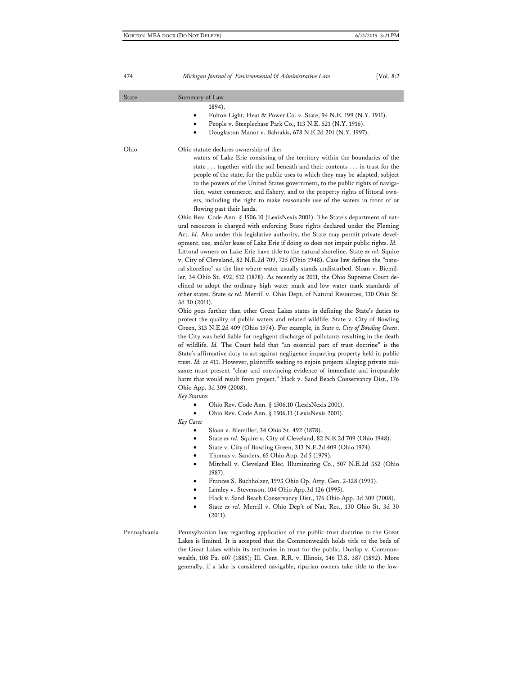| State        | Summary of Law                                                                                                                                                                                                                                                                                                                                                                                                                                                                                                                                                                                                                                                                                                                                                                                                                                                                                                                                                                                                                                                                                                                                                                                                                                                                                                                                                                                                                                                                                                                                                                                                                                                                                                                                                                                                                                                                                                                                                                                                                                                                                                                                                                                                                                                                                                                                                                                                                                                                                                                                                                                                                                                                                                                                                                                                                                                                                                                                                                                                                                                                                             |
|--------------|------------------------------------------------------------------------------------------------------------------------------------------------------------------------------------------------------------------------------------------------------------------------------------------------------------------------------------------------------------------------------------------------------------------------------------------------------------------------------------------------------------------------------------------------------------------------------------------------------------------------------------------------------------------------------------------------------------------------------------------------------------------------------------------------------------------------------------------------------------------------------------------------------------------------------------------------------------------------------------------------------------------------------------------------------------------------------------------------------------------------------------------------------------------------------------------------------------------------------------------------------------------------------------------------------------------------------------------------------------------------------------------------------------------------------------------------------------------------------------------------------------------------------------------------------------------------------------------------------------------------------------------------------------------------------------------------------------------------------------------------------------------------------------------------------------------------------------------------------------------------------------------------------------------------------------------------------------------------------------------------------------------------------------------------------------------------------------------------------------------------------------------------------------------------------------------------------------------------------------------------------------------------------------------------------------------------------------------------------------------------------------------------------------------------------------------------------------------------------------------------------------------------------------------------------------------------------------------------------------------------------------------------------------------------------------------------------------------------------------------------------------------------------------------------------------------------------------------------------------------------------------------------------------------------------------------------------------------------------------------------------------------------------------------------------------------------------------------------------------|
|              | 1894).<br>Fulton Light, Heat & Power Co. v. State, 94 N.E. 199 (N.Y. 1911).<br>٠<br>People v. Steeplechase Park Co., 113 N.E. 521 (N.Y. 1916).<br>Douglaston Manor v. Bahrakis, 678 N.E.2d 201 (N.Y. 1997).<br>٠                                                                                                                                                                                                                                                                                                                                                                                                                                                                                                                                                                                                                                                                                                                                                                                                                                                                                                                                                                                                                                                                                                                                                                                                                                                                                                                                                                                                                                                                                                                                                                                                                                                                                                                                                                                                                                                                                                                                                                                                                                                                                                                                                                                                                                                                                                                                                                                                                                                                                                                                                                                                                                                                                                                                                                                                                                                                                           |
| Ohio         | Ohio statute declares ownership of the:<br>waters of Lake Erie consisting of the territory within the boundaries of the<br>state together with the soil beneath and their contents in trust for the<br>people of the state, for the public uses to which they may be adapted, subject<br>to the powers of the United States government, to the public rights of naviga-<br>tion, water commerce, and fishery, and to the property rights of littoral own-<br>ers, including the right to make reasonable use of the waters in front of or<br>flowing past their lands.<br>Ohio Rev. Code Ann. § 1506.10 (LexisNexis 2001). The State's department of nat-<br>ural resources is charged with enforcing State rights declared under the Fleming<br>Act. Id. Also under this legislative authority, the State may permit private devel-<br>opment, use, and/or lease of Lake Erie if doing so does not impair public rights. Id.<br>Littoral owners on Lake Erie have title to the natural shoreline. State ex rel. Squire<br>v. City of Cleveland, 82 N.E.2d 709, 725 (Ohio 1948). Case law defines the "natu-<br>ral shoreline" as the line where water usually stands undisturbed. Sloan v. Biemil-<br>ler, 34 Ohio St. 492, 512 (1878). As recently as 2011, the Ohio Supreme Court de-<br>clined to adopt the ordinary high water mark and low water mark standards of<br>other states. State ex rel. Merrill v. Ohio Dept. of Natural Resources, 130 Ohio St.<br>3d 30 (2011).<br>Ohio goes further than other Great Lakes states in defining the State's duties to<br>protect the quality of public waters and related wildlife. State v. City of Bowling<br>Green, 313 N.E.2d 409 (Ohio 1974). For example, in State v. City of Bowling Green,<br>the City was held liable for negligent discharge of pollutants resulting in the death<br>of wildlife. Id. The Court held that "an essential part of trust doctrine" is the<br>State's affirmative duty to act against negligence impacting property held in public<br>trust. Id. at 411. However, plaintiffs seeking to enjoin projects alleging private nui-<br>sance must present "clear and convincing evidence of immediate and irreparable<br>harm that would result from project." Hack v. Sand Beach Conservancy Dist., 176<br>Ohio App. 3d 309 (2008).<br>Key Statutes<br>Ohio Rev. Code Ann. § 1506.10 (LexisNexis 2001).<br>Ohio Rev. Code Ann. § 1506.11 (LexisNexis 2001).<br>٠<br>Key Cases<br>Sloan v. Biemiller, 34 Ohio St. 492 (1878).<br>State ex rel. Squire v. City of Cleveland, 82 N.E.2d 709 (Ohio 1948).<br>٠<br>State v. City of Bowling Green, 313 N.E.2d 409 (Ohio 1974).<br>٠<br>Thomas v. Sanders, 65 Ohio App. 2d 5 (1979).<br>٠<br>Mitchell v. Cleveland Elec. Illuminating Co., 507 N.E.2d 352 (Ohio<br>$\bullet$<br>1987).<br>Frances S. Buchholzer, 1993 Ohio Op. Atty. Gen. 2-128 (1993).<br>Lemley v. Stevenson, 104 Ohio App.3d 126 (1995).<br>٠<br>Hack v. Sand Beach Conservancy Dist., 176 Ohio App. 3d 309 (2008).<br>٠<br>State ex rel. Merrill v. Ohio Dep't of Nat. Res., 130 Ohio St. 3d 30<br>(2011). |
| Pennsylvania | Pennsylvanian law regarding application of the public trust doctrine to the Great<br>Lakes is limited. It is accepted that the Commonwealth holds title to the beds of<br>the Great Lakes within its territories in trust for the public. Dunlap v. Common-<br>wealth, 108 Pa. 607 (1885); Ill. Cent. R.R. v. Illinois, 146 U.S. 387 (1892). More<br>generally, if a lake is considered navigable, riparian owners take title to the low-                                                                                                                                                                                                                                                                                                                                                                                                                                                                                                                                                                                                                                                                                                                                                                                                                                                                                                                                                                                                                                                                                                                                                                                                                                                                                                                                                                                                                                                                                                                                                                                                                                                                                                                                                                                                                                                                                                                                                                                                                                                                                                                                                                                                                                                                                                                                                                                                                                                                                                                                                                                                                                                                  |

I